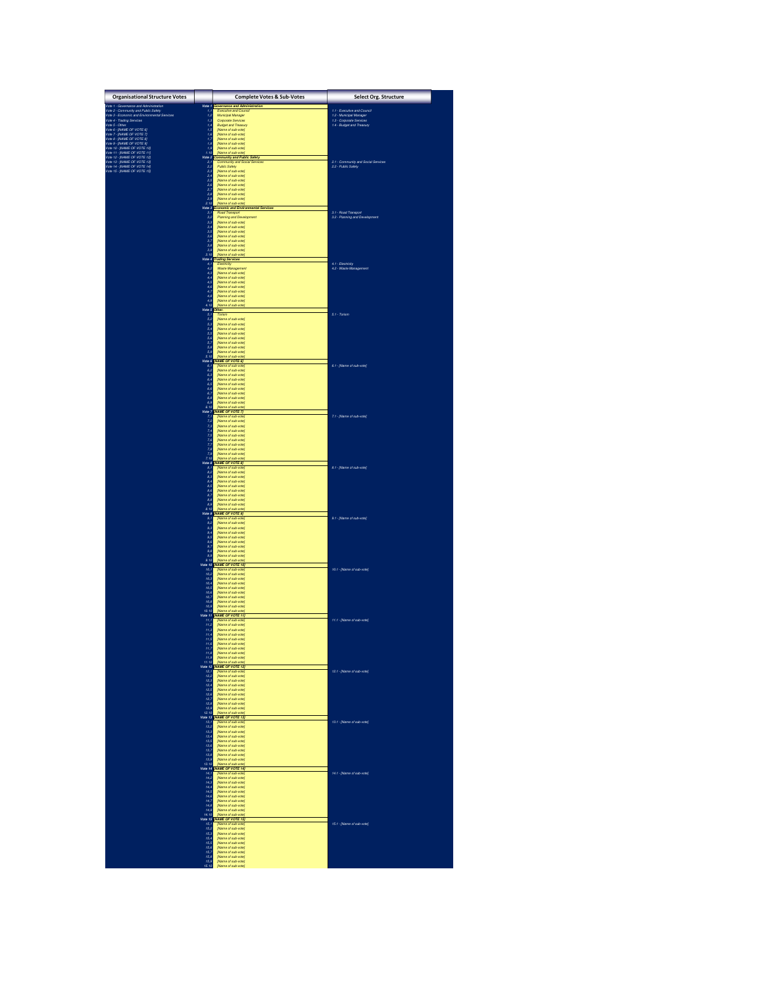| <b>Organisational Structure Votes</b>                                                                                                                                                                                                                                                                                                                                                                                                                        |                                           | <b>Complete Votes &amp; Sub-Votes</b>                                                                                                                                                                                                          | Select Org. Structure                                                          |  |
|--------------------------------------------------------------------------------------------------------------------------------------------------------------------------------------------------------------------------------------------------------------------------------------------------------------------------------------------------------------------------------------------------------------------------------------------------------------|-------------------------------------------|------------------------------------------------------------------------------------------------------------------------------------------------------------------------------------------------------------------------------------------------|--------------------------------------------------------------------------------|--|
| $\begin{tabular}{ c c } \hline \multicolumn{2}{c}{\textbf{Weyl}} & \multicolumn{2}{c}{\textbf{Weyl}} & \multicolumn{2}{c}{\textbf{Weyl}} & \multicolumn{2}{c}{\textbf{Weyl}} & \multicolumn{2}{c}{\textbf{Weyl}} & \multicolumn{2}{c}{\textbf{Weyl}} & \multicolumn{2}{c}{\textbf{Weyl}} & \multicolumn{2}{c}{\textbf{Weyl}} & \multicolumn{2}{c}{\textbf{Weyl}} & \multicolumn{2}{c}{\textbf{Weyl}} & \multicolumn{2}{c}{\textbf{Weyl}} & \multicolumn{2}{$ |                                           | Vote 1 Governance and Administration                                                                                                                                                                                                           |                                                                                |  |
|                                                                                                                                                                                                                                                                                                                                                                                                                                                              | $1, 1$<br>$1, 2$<br>$1, 3$<br>$1, 4$      | Municipal Manager<br>Corporate Services                                                                                                                                                                                                        | 1.1 - Executive and Council<br>1.2 - Municipal Manager                         |  |
|                                                                                                                                                                                                                                                                                                                                                                                                                                                              |                                           | <b>Budget and Treasury</b><br>(Name of sub-vote)                                                                                                                                                                                               | 1.2 - Manuper memager<br>1.3 - Corporate Services<br>1.4 - Budget and Treasury |  |
|                                                                                                                                                                                                                                                                                                                                                                                                                                                              |                                           | [Name of sub-vote]<br>(Name of sub-vote)                                                                                                                                                                                                       |                                                                                |  |
|                                                                                                                                                                                                                                                                                                                                                                                                                                                              | $1,5$<br>$1,6$<br>$1,7$<br>$1,8$<br>$1,9$ | [Name of sub-vote]<br>(Name of sub-vote)                                                                                                                                                                                                       |                                                                                |  |
|                                                                                                                                                                                                                                                                                                                                                                                                                                                              | 1.10                                      | Name of sub-vote<br>Vote 2 Community and Public Safety                                                                                                                                                                                         |                                                                                |  |
|                                                                                                                                                                                                                                                                                                                                                                                                                                                              | 2,1<br>2,2                                | Community and Socia<br>Public Safety                                                                                                                                                                                                           | 21 - Community and Social Services<br>22 - Public Safety                       |  |
|                                                                                                                                                                                                                                                                                                                                                                                                                                                              | 2,3                                       | [Name of sub-vote]                                                                                                                                                                                                                             |                                                                                |  |
|                                                                                                                                                                                                                                                                                                                                                                                                                                                              | $2,4$<br>$2,5$<br>$2,6$                   | (Name of sub-vote)<br>(Name of sub-vote)<br>(Name of sub-vote)                                                                                                                                                                                 |                                                                                |  |
|                                                                                                                                                                                                                                                                                                                                                                                                                                                              | $2,7$<br>$2,8$                            | (Name of sub-vote)<br>[Name of sub-vote]                                                                                                                                                                                                       |                                                                                |  |
|                                                                                                                                                                                                                                                                                                                                                                                                                                                              | 2,9<br>2.10                               | [Name of sub-vote]<br>[Name of sub-vote]                                                                                                                                                                                                       |                                                                                |  |
|                                                                                                                                                                                                                                                                                                                                                                                                                                                              |                                           | Vote 3 Economic and Environmental Services<br>Road Transport                                                                                                                                                                                   | 3.1 - Road Transport                                                           |  |
|                                                                                                                                                                                                                                                                                                                                                                                                                                                              | $\frac{3,1}{3,2}$<br>$\frac{3,3}{3}$      | Planning and Development<br>(Name of sub-vote)                                                                                                                                                                                                 | 3.2 - Planning and Development                                                 |  |
|                                                                                                                                                                                                                                                                                                                                                                                                                                                              | $3,4$<br>$3,5$<br>$3,6$                   | [Name of sub-vote]<br>(Name of sub-vote)<br>Mame of subunte                                                                                                                                                                                    |                                                                                |  |
|                                                                                                                                                                                                                                                                                                                                                                                                                                                              | 3.7<br>3.8                                | [Name of sub-vote]<br>(Name of sub-vote)                                                                                                                                                                                                       |                                                                                |  |
|                                                                                                                                                                                                                                                                                                                                                                                                                                                              | 3,9<br>3.10                               | [Name of sub-vote]<br>(Name of sub-vote)                                                                                                                                                                                                       |                                                                                |  |
|                                                                                                                                                                                                                                                                                                                                                                                                                                                              |                                           | Vote 4 Trading Services<br>Elect<br><b>dolf</b>                                                                                                                                                                                                |                                                                                |  |
|                                                                                                                                                                                                                                                                                                                                                                                                                                                              | $4,1$<br>$4,2$                            | Waste Management<br>(Name of sub-vote)                                                                                                                                                                                                         | 4.1 - Electricity<br>4.2 - Waste Management                                    |  |
|                                                                                                                                                                                                                                                                                                                                                                                                                                                              | $^{4,3}_{4,4}$<br>4.5                     | [Name of sub-vote]<br>[Name of sub-vote]                                                                                                                                                                                                       |                                                                                |  |
|                                                                                                                                                                                                                                                                                                                                                                                                                                                              | 4,6                                       | [Name of sub-vote]<br>(Name of sub-vote)                                                                                                                                                                                                       |                                                                                |  |
|                                                                                                                                                                                                                                                                                                                                                                                                                                                              | $4,7$<br>$4,8$<br>$4,9$                   | [Name of sub-vote]<br>[Name of sub-vote]                                                                                                                                                                                                       |                                                                                |  |
|                                                                                                                                                                                                                                                                                                                                                                                                                                                              | 4.10<br>Vote 5 Other.                     | Name of sub-vote                                                                                                                                                                                                                               |                                                                                |  |
|                                                                                                                                                                                                                                                                                                                                                                                                                                                              | $\frac{5}{7}$                             | Torism<br>(Name of sub-vote)                                                                                                                                                                                                                   | 5.1 - Torism                                                                   |  |
|                                                                                                                                                                                                                                                                                                                                                                                                                                                              | $5,3$<br>$5,4$                            | [Name of sub-vote]<br>(Name of sub-vote)<br>Mame of sub-vote                                                                                                                                                                                   |                                                                                |  |
|                                                                                                                                                                                                                                                                                                                                                                                                                                                              | $\frac{5}{5,5}$                           | (Name of sub-vote)<br>[Name of sub-vote]                                                                                                                                                                                                       |                                                                                |  |
|                                                                                                                                                                                                                                                                                                                                                                                                                                                              | $5,7$<br>$5,8$<br>$5,9$                   | (Name of sub-vote)<br>Mame of subunte                                                                                                                                                                                                          |                                                                                |  |
|                                                                                                                                                                                                                                                                                                                                                                                                                                                              | 5.10                                      | Vote 6 <b>[NAME OF VOTE 6]</b>                                                                                                                                                                                                                 |                                                                                |  |
|                                                                                                                                                                                                                                                                                                                                                                                                                                                              | 6,1<br>6,2                                | me of sub-vote<br>(Name of sub-vote)                                                                                                                                                                                                           | 6.1 - [Name of sub-vote]                                                       |  |
|                                                                                                                                                                                                                                                                                                                                                                                                                                                              | 63<br>6,4                                 | [Name of sub-vote]<br>(Name of sub-vote)                                                                                                                                                                                                       |                                                                                |  |
|                                                                                                                                                                                                                                                                                                                                                                                                                                                              | $\overset{}{\mathbf{6,5}}$<br>6,6         | [Name of sub-vote]<br>(Name of sub-vote)                                                                                                                                                                                                       |                                                                                |  |
|                                                                                                                                                                                                                                                                                                                                                                                                                                                              | $\ddot{\epsilon}$<br>6.8                  | [Name of sub-vote]<br>Mame of sub-untel                                                                                                                                                                                                        |                                                                                |  |
|                                                                                                                                                                                                                                                                                                                                                                                                                                                              | 6,9                                       | [Name of sub-vote]                                                                                                                                                                                                                             |                                                                                |  |
|                                                                                                                                                                                                                                                                                                                                                                                                                                                              |                                           |                                                                                                                                                                                                                                                | 7.1 - [Name of sub-vote]                                                       |  |
|                                                                                                                                                                                                                                                                                                                                                                                                                                                              |                                           | 6.9 (Name of sub-vole)<br>Vote 7 (MAME OF VOTE 7)<br>7.1 (Name of sub-vole)<br>7.2 (Name of sub-vole)<br>7.2 (Name of sub-vole)<br>7.2 (Name of sub-vole)<br>7.5 (Name of sub-vole)<br>7.7 (Name of sub-vole)<br>7.7 (Name of sub-vole)<br>7.7 |                                                                                |  |
|                                                                                                                                                                                                                                                                                                                                                                                                                                                              |                                           |                                                                                                                                                                                                                                                |                                                                                |  |
|                                                                                                                                                                                                                                                                                                                                                                                                                                                              |                                           |                                                                                                                                                                                                                                                |                                                                                |  |
|                                                                                                                                                                                                                                                                                                                                                                                                                                                              | 7.10                                      | Name of sub-                                                                                                                                                                                                                                   |                                                                                |  |
|                                                                                                                                                                                                                                                                                                                                                                                                                                                              |                                           | <b>Vote 8 [NAME OF VOTE 8]</b>                                                                                                                                                                                                                 | 8.1 - [Name of sub-vote]                                                       |  |
|                                                                                                                                                                                                                                                                                                                                                                                                                                                              | $\frac{8}{8}$<br>8,3                      | [Name of sub-vote]<br>[Name of sub-vote]<br>[Name of sub-vote]                                                                                                                                                                                 |                                                                                |  |
|                                                                                                                                                                                                                                                                                                                                                                                                                                                              | 8,4<br>8,5                                | [Name of sub-vote]<br>(Name of sub-vote)                                                                                                                                                                                                       |                                                                                |  |
|                                                                                                                                                                                                                                                                                                                                                                                                                                                              | $s_{0}$<br>$\frac{87}{88}$                | [Name of sub-vote]<br>(Name of sub-vote)                                                                                                                                                                                                       |                                                                                |  |
|                                                                                                                                                                                                                                                                                                                                                                                                                                                              | 8.9<br>8.10                               | [Name of sub-vote]<br>(Name of sub-vote)<br>(Name of sub-vote)                                                                                                                                                                                 |                                                                                |  |
|                                                                                                                                                                                                                                                                                                                                                                                                                                                              | 9,                                        | Vote 9 <mark>INAME OF VOTE 9]</mark><br>[Name of sub-vote]                                                                                                                                                                                     | 9.1 - [Name of sub-vote]                                                       |  |
|                                                                                                                                                                                                                                                                                                                                                                                                                                                              | $\frac{9.2}{9.3}$                         | (Name of sub-vote)<br>[Name of sub-vote]                                                                                                                                                                                                       |                                                                                |  |
|                                                                                                                                                                                                                                                                                                                                                                                                                                                              | $9,5$<br>$9,6$                            | [Name of sub-vote]<br>[Name of sub-vote]                                                                                                                                                                                                       |                                                                                |  |
|                                                                                                                                                                                                                                                                                                                                                                                                                                                              | $9.7$<br>$9.8$                            | [Name of sub-vote]<br>[Name of sub-vote]                                                                                                                                                                                                       |                                                                                |  |
|                                                                                                                                                                                                                                                                                                                                                                                                                                                              | 9,9                                       | [Name of sub-vote]<br>[Name of sub-vote]                                                                                                                                                                                                       |                                                                                |  |
|                                                                                                                                                                                                                                                                                                                                                                                                                                                              | 9.10                                      | (Name of sub-vote)<br>Vote 10 <b>INAME OF VOTE 10</b>                                                                                                                                                                                          |                                                                                |  |
|                                                                                                                                                                                                                                                                                                                                                                                                                                                              | 10,1<br>10,2<br>10,3                      | IName of sub-vote.<br>[Name of sub-vote]<br>[Name of sub-vote]                                                                                                                                                                                 | 10.1 - (Name of sub-vote)                                                      |  |
|                                                                                                                                                                                                                                                                                                                                                                                                                                                              | 10.4<br>10,5                              | [Name of sub-vote]<br>[Name of sub-vote]                                                                                                                                                                                                       |                                                                                |  |
|                                                                                                                                                                                                                                                                                                                                                                                                                                                              | 10,6<br>10.7                              | (Name of sub-vote)<br>[Name of sub-vote]                                                                                                                                                                                                       |                                                                                |  |
|                                                                                                                                                                                                                                                                                                                                                                                                                                                              | 10.8<br>10,9                              | (Name of sub-vote)<br>[Name of sub-vote]                                                                                                                                                                                                       |                                                                                |  |
|                                                                                                                                                                                                                                                                                                                                                                                                                                                              |                                           | 10.10 [Name of sub-vote]<br>Vote 11 [NAME OF VOTE 11]                                                                                                                                                                                          |                                                                                |  |
|                                                                                                                                                                                                                                                                                                                                                                                                                                                              | 11,1<br>11,2                              | (Name of sub-vote<br>[Name of sub-vote]                                                                                                                                                                                                        | 11.1 - [Name of sub-vote]                                                      |  |
|                                                                                                                                                                                                                                                                                                                                                                                                                                                              | 11.3<br>11,4                              | [Name of sub-vote]<br>[Name of sub-vote]                                                                                                                                                                                                       |                                                                                |  |
|                                                                                                                                                                                                                                                                                                                                                                                                                                                              | $\frac{11,5}{11,6}$                       | (Name of sub-vote)<br>(Name of sub-vote)                                                                                                                                                                                                       |                                                                                |  |
|                                                                                                                                                                                                                                                                                                                                                                                                                                                              | $\frac{11,7}{11,8}$<br>11,9               | (Name of sub-vote)<br>(Name of sub-vote)                                                                                                                                                                                                       |                                                                                |  |
|                                                                                                                                                                                                                                                                                                                                                                                                                                                              | 11.10                                     | [Name of sub-vote]<br>.<br>Mame of subunts<br>Vote 12  NAME OF VOTE 12                                                                                                                                                                         |                                                                                |  |
|                                                                                                                                                                                                                                                                                                                                                                                                                                                              | 12,1<br>12,2                              | [Name of sub-vote<br>[Name of sub-vote]                                                                                                                                                                                                        | 12.1 - [Name of sub-vote]                                                      |  |
|                                                                                                                                                                                                                                                                                                                                                                                                                                                              | 12,3<br>12,4                              | [Name of sub-vote]<br>[Name of sub-vote]                                                                                                                                                                                                       |                                                                                |  |
|                                                                                                                                                                                                                                                                                                                                                                                                                                                              | 12,5                                      | [Name of sub-vote]<br>(Name of sub-vote)                                                                                                                                                                                                       |                                                                                |  |
|                                                                                                                                                                                                                                                                                                                                                                                                                                                              | 12,6<br>12,7<br>12,8                      | Mame of subunte<br>[Name of sub-vote]                                                                                                                                                                                                          |                                                                                |  |
|                                                                                                                                                                                                                                                                                                                                                                                                                                                              | 12.9<br>12.10                             | (Name of sub-vote)<br>le of sub-                                                                                                                                                                                                               |                                                                                |  |
|                                                                                                                                                                                                                                                                                                                                                                                                                                                              | 13,1                                      | Vote 13 [NAME OF VOTE 13]<br>[Name of sub-vote]                                                                                                                                                                                                | 13.1 - [Name of sub-vote]                                                      |  |
|                                                                                                                                                                                                                                                                                                                                                                                                                                                              | 13,2<br>13,3<br>13.4                      | (Name of sub-vote)<br>[Name of sub-vote]<br>(Name of sub-vote)                                                                                                                                                                                 |                                                                                |  |
|                                                                                                                                                                                                                                                                                                                                                                                                                                                              | 13,5<br>13,6                              | [Name of sub-vote]<br>(Name of sub-vote)                                                                                                                                                                                                       |                                                                                |  |
|                                                                                                                                                                                                                                                                                                                                                                                                                                                              | 13,7                                      | [Name of sub-vote]<br>(Name of sub-vote)                                                                                                                                                                                                       |                                                                                |  |
|                                                                                                                                                                                                                                                                                                                                                                                                                                                              | 13,8<br>13,9<br>13.10                     | [Name of sub-vote]<br>(Name of sub-vote)                                                                                                                                                                                                       |                                                                                |  |
|                                                                                                                                                                                                                                                                                                                                                                                                                                                              | 14,1                                      | Vote 14 <b>INAME OF VOTE 14</b><br>[Name of sub-vote]                                                                                                                                                                                          | 14.1 - [Name of sub-vote]                                                      |  |
|                                                                                                                                                                                                                                                                                                                                                                                                                                                              | 14,2<br>14,3                              | [Name of sub-vote]<br>(Name of sub-vote)                                                                                                                                                                                                       |                                                                                |  |
|                                                                                                                                                                                                                                                                                                                                                                                                                                                              | 14,4<br>14,5                              | [Name of sub vote]<br>(Name of sub-vote)                                                                                                                                                                                                       |                                                                                |  |
|                                                                                                                                                                                                                                                                                                                                                                                                                                                              | 14,6<br>14,7                              | [Name of sub-vote]<br>[Name of sub-vote]                                                                                                                                                                                                       |                                                                                |  |
|                                                                                                                                                                                                                                                                                                                                                                                                                                                              | 14,8<br>14,9                              | [Name of sub-vote]<br>[Name of sub-vote]                                                                                                                                                                                                       |                                                                                |  |
|                                                                                                                                                                                                                                                                                                                                                                                                                                                              |                                           | 14.10 [Name of sub-vote]<br>Vote 15 [NAME OF VOTE 15]<br>[Name of sub-vote                                                                                                                                                                     |                                                                                |  |
|                                                                                                                                                                                                                                                                                                                                                                                                                                                              | 15,1<br>15,2                              | [Name of sub-vote]<br>(Name of sub-vote)                                                                                                                                                                                                       | 15.1 - [Name of sub-vote]                                                      |  |
|                                                                                                                                                                                                                                                                                                                                                                                                                                                              | 15,3<br>15,4<br>15.5                      | [Name of sub-vote]<br>(Name of sub-vote)                                                                                                                                                                                                       |                                                                                |  |
|                                                                                                                                                                                                                                                                                                                                                                                                                                                              | 15,6<br>15,7                              | [Name of sub-vote]<br>(Name of sub-vote)                                                                                                                                                                                                       |                                                                                |  |
|                                                                                                                                                                                                                                                                                                                                                                                                                                                              | 15,8<br>15.9                              | [Name of sub-vote]<br>(Name of sub-vote)                                                                                                                                                                                                       |                                                                                |  |
|                                                                                                                                                                                                                                                                                                                                                                                                                                                              | 15.10                                     | (Name of sub-vote)                                                                                                                                                                                                                             |                                                                                |  |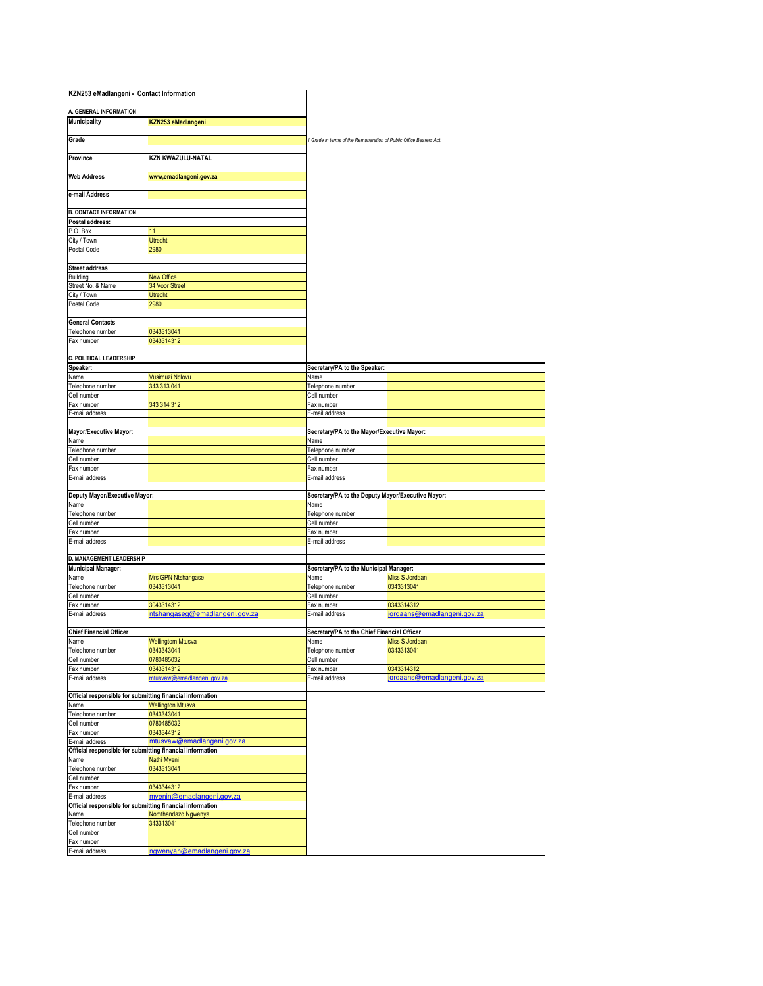| KZN253 eMadlangeni - Contact Information         |                                                                          |                                                                    |                                                   |
|--------------------------------------------------|--------------------------------------------------------------------------|--------------------------------------------------------------------|---------------------------------------------------|
|                                                  |                                                                          |                                                                    |                                                   |
| A. GENERAL INFORMATION<br><b>Municipality</b>    | KZN253 eMadlangeni                                                       |                                                                    |                                                   |
|                                                  |                                                                          |                                                                    |                                                   |
| Grade                                            |                                                                          | 1 Grade in terms of the Remuneration of Public Office Bearers Act. |                                                   |
| Province                                         | <b>KZN KWAZULU-NATAL</b>                                                 |                                                                    |                                                   |
| <b>Web Address</b>                               | www.emadlangeni.gov.za                                                   |                                                                    |                                                   |
| e-mail Address                                   |                                                                          |                                                                    |                                                   |
|                                                  |                                                                          |                                                                    |                                                   |
| <b>B. CONTACT INFORMATION</b><br>Postal address: |                                                                          |                                                                    |                                                   |
| P.O. Box                                         | 11                                                                       |                                                                    |                                                   |
| City / Town                                      | Utrecht                                                                  |                                                                    |                                                   |
| Postal Code                                      | 2980                                                                     |                                                                    |                                                   |
| <b>Street address</b>                            |                                                                          |                                                                    |                                                   |
| Building                                         | New Office                                                               |                                                                    |                                                   |
| Street No. & Name                                | 34 Voor Street                                                           |                                                                    |                                                   |
| City / Town<br>Postal Code                       | <b>Utrecht</b><br>2980                                                   |                                                                    |                                                   |
|                                                  |                                                                          |                                                                    |                                                   |
| <b>General Contacts</b>                          |                                                                          |                                                                    |                                                   |
| Telephone number                                 | 0343313041                                                               |                                                                    |                                                   |
| Fax number                                       | 0343314312                                                               |                                                                    |                                                   |
| C. POLITICAL LEADERSHIP                          |                                                                          |                                                                    |                                                   |
| Speaker:                                         |                                                                          | Secretary/PA to the Speaker:                                       |                                                   |
| Name                                             | Vusimuzi Ndlovu                                                          | Name                                                               |                                                   |
| Telephone number                                 | 343 313 041                                                              | Telephone number                                                   |                                                   |
| Cell number                                      |                                                                          | Cell number                                                        |                                                   |
| Fax number                                       | 343 314 312                                                              | Fax number                                                         |                                                   |
| E-mail address                                   |                                                                          | E-mail address                                                     |                                                   |
|                                                  |                                                                          |                                                                    |                                                   |
| Mayor/Executive Mayor:                           |                                                                          | Secretary/PA to the Mayor/Executive Mayor:                         |                                                   |
| Name                                             |                                                                          | Name                                                               |                                                   |
| Telephone number                                 |                                                                          | Telephone number                                                   |                                                   |
| Cell number                                      |                                                                          | Cell number<br>Fax number                                          |                                                   |
| Fax number<br>E-mail address                     |                                                                          | E-mail address                                                     |                                                   |
|                                                  |                                                                          |                                                                    |                                                   |
| Deputy Mayor/Executive Mayor:                    |                                                                          |                                                                    | Secretary/PA to the Deputy Mayor/Executive Mayor: |
| Name                                             |                                                                          | Name                                                               |                                                   |
| Telephone number                                 |                                                                          | Telephone number                                                   |                                                   |
| Cell number                                      |                                                                          | Cell number                                                        |                                                   |
| Fax number                                       |                                                                          | Fax number                                                         |                                                   |
| E-mail address                                   |                                                                          | E-mail address                                                     |                                                   |
| D. MANAGEMENT LEADERSHIP                         |                                                                          |                                                                    |                                                   |
| <b>Municipal Manager:</b>                        |                                                                          | Secretary/PA to the Municipal Manager:                             |                                                   |
| Name                                             | Mrs GPN Ntshangase                                                       | Name                                                               | Miss S Jordaan                                    |
| Telephone number                                 | 0343313041                                                               | Telephone number                                                   | 0343313041                                        |
| Cell number                                      |                                                                          | Cell number                                                        |                                                   |
| Fax number                                       | 3043314312                                                               | Fax number                                                         | 0343314312                                        |
| E-mail address                                   | ntshangaseg@emadlangeni.gov.za                                           | E-mail address                                                     | jordaans@emadlangeni.gov.za                       |
| <b>Chief Financial Officer</b>                   |                                                                          | Secretary/PA to the Chief Financial Officer                        |                                                   |
| Name                                             | <b>Wellingtom Mtusva</b>                                                 | Name                                                               | Miss S Jordaan                                    |
| Telephone number                                 | 0343343041                                                               | Telephone number                                                   | 0343313041                                        |
| Cell number                                      | 0780485032                                                               | Cell number                                                        |                                                   |
| Fax number                                       | 0343314312                                                               | Fax number                                                         | 0343314312                                        |
| E-mail address                                   | mtusvaw@emadlangeni.gov.za                                               | E-mail address                                                     | jordaans@emadlangeni.gov.za                       |
|                                                  | Official responsible for submitting financial information                |                                                                    |                                                   |
| Name                                             | <b>Wellington Mtusva</b>                                                 |                                                                    |                                                   |
| Telephone number                                 | 0343343041                                                               |                                                                    |                                                   |
| Cell number                                      | 0780485032                                                               |                                                                    |                                                   |
| Fax number                                       | 0343344312                                                               |                                                                    |                                                   |
| E-mail address                                   | mtusvaw@emadlangeni.gov.za                                               |                                                                    |                                                   |
|                                                  | Official responsible for submitting financial information<br>Nathi Myeni |                                                                    |                                                   |
| Name<br>Telephone number                         | 0343313041                                                               |                                                                    |                                                   |
| Cell number                                      |                                                                          |                                                                    |                                                   |
| Fax number                                       | 0343344312                                                               |                                                                    |                                                   |
| E-mail address                                   | myenin@emadlangeni.gov.za                                                |                                                                    |                                                   |
|                                                  | Official responsible for submitting financial information                |                                                                    |                                                   |
| Name                                             | Nomthandazo Ngwenya                                                      |                                                                    |                                                   |
| Telephone number                                 | 343313041                                                                |                                                                    |                                                   |
| Cell number                                      |                                                                          |                                                                    |                                                   |
| Fax number<br>E-mail address                     | ngwenyan@emadlangeni.gov.za                                              |                                                                    |                                                   |
|                                                  |                                                                          |                                                                    |                                                   |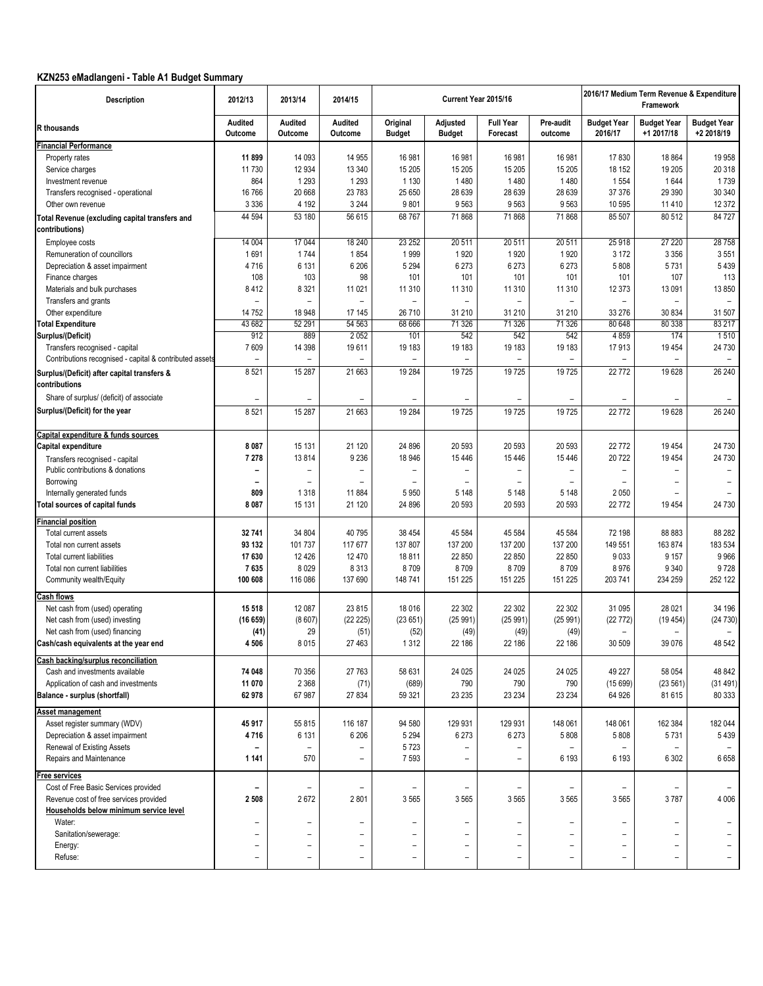# **KZN253 eMadlangeni - Table A1 Budget Summary**

| <b>Description</b>                                               | 2012/13                  | 2013/14                  | 2014/15                  |                           |                           | Current Year 2015/16         |                          | 2016/17 Medium Term Revenue & Expenditure<br>Framework |                                  |                                  |  |
|------------------------------------------------------------------|--------------------------|--------------------------|--------------------------|---------------------------|---------------------------|------------------------------|--------------------------|--------------------------------------------------------|----------------------------------|----------------------------------|--|
| <b>R</b> thousands                                               | Audited<br>Outcome       | Audited<br>Outcome       | Audited<br>Outcome       | Original<br><b>Budget</b> | Adjusted<br><b>Budget</b> | <b>Full Year</b><br>Forecast | Pre-audit<br>outcome     | <b>Budget Year</b><br>2016/17                          | <b>Budget Year</b><br>+1 2017/18 | <b>Budget Year</b><br>+2 2018/19 |  |
| <b>Financial Performance</b>                                     |                          |                          |                          |                           |                           |                              |                          |                                                        |                                  |                                  |  |
| Property rates                                                   | 11899                    | 14 093                   | 14 9 55                  | 16 981                    | 16 981                    | 16 981                       | 16 981                   | 17830                                                  | 18 864                           | 19 958                           |  |
| Service charges                                                  | 11730                    | 12 9 34                  | 13 340                   | 15 205                    | 15 205                    | 15 20 5                      | 15 205                   | 18 152                                                 | 19 20 5                          | 20 318                           |  |
| Investment revenue                                               | 864                      | 1 2 9 3                  | 1 2 9 3                  | 1 1 3 0                   | 1480                      | 1480                         | 1480                     | 1554                                                   | 1644                             | 1739                             |  |
| Transfers recognised - operational                               | 16766                    | 20 668                   | 23 783                   | 25 650                    | 28 639                    | 28 639                       | 28 639                   | 37 376                                                 | 29 390                           | 30 340                           |  |
| Other own revenue                                                | 3 3 3 6                  | 4 1 9 2                  | 3 2 4 4                  | 9801                      | 9563                      | 9563                         | 9563                     | 10 595                                                 | 11 410                           | 12 372                           |  |
| Total Revenue (excluding capital transfers and<br>contributions) | 44 594                   | 53 180                   | 56 615                   | 68767                     | 71868                     | 71868                        | 71868                    | 85 507                                                 | 80 512                           | 84 727                           |  |
| Employee costs                                                   | 14 004                   | 17 044                   | 18 240                   | 23 252                    | 20 511                    | 20 511                       | 20 511                   | 25 918                                                 | 27 220                           | 28 758                           |  |
| Remuneration of councillors                                      | 1691                     | 1744                     | 1854                     | 1999                      | 1920                      | 1920                         | 1920                     | 3 1 7 2                                                | 3 3 5 6                          | 3551                             |  |
| Depreciation & asset impairment                                  | 4716                     | 6 1 3 1                  | 6 20 6                   | 5 2 9 4                   | 6 2 7 3                   | 6 2 7 3                      | 6 2 7 3                  | 5808                                                   | 5731                             | 5 4 3 9                          |  |
| Finance charges                                                  | 108                      | 103                      | 98                       | 101                       | 101                       | 101                          | 101                      | 101                                                    | 107                              | 113                              |  |
| Materials and bulk purchases                                     | 8412                     | 8 3 21                   | 11 0 21                  | 11 310                    | 11 310                    | 11 310                       | 11 310                   | 12 373                                                 | 13 091                           | 13 850                           |  |
| Transfers and grants                                             |                          | $\overline{a}$           |                          |                           |                           |                              |                          |                                                        | $\overline{\phantom{0}}$         |                                  |  |
| Other expenditure                                                | 14 752                   | 18 948                   | 17 145                   | 26 710                    | 31 210                    | 31 210                       | 31 210                   | 33 276                                                 | 30 834                           | 31 507                           |  |
| <b>Total Expenditure</b>                                         | 43 682                   | 52 291                   | 54 563                   | 68 666                    | 71 326                    | 71 326                       | 71 326                   | 80 648                                                 | 80 338                           | 83 217                           |  |
| Surplus/(Deficit)                                                | 912                      | 889                      | 2052                     | 101                       | 542                       | 542                          | 542                      | 4859                                                   | 174                              | 1510                             |  |
| Transfers recognised - capital                                   | 7609                     | 14 3 98                  | 19611                    | 19 183                    | 19 183                    | 19 183                       | 19 183                   | 17913                                                  | 19 4 54                          | 24 730                           |  |
| Contributions recognised - capital & contributed assets          |                          |                          |                          |                           |                           |                              |                          |                                                        |                                  |                                  |  |
| Surplus/(Deficit) after capital transfers &<br>contributions     | 8521                     | 15 287                   | 21 663                   | 19 284                    | 19725                     | 19725                        | 19725                    | 22772                                                  | 19 628                           | 26 240                           |  |
| Share of surplus/ (deficit) of associate                         |                          |                          |                          |                           |                           |                              |                          |                                                        |                                  |                                  |  |
| Surplus/(Deficit) for the year                                   | 8521                     | 15 287                   | 21 663                   | 19 284                    | 19725                     | 19725                        | 19725                    | 22772                                                  | 19628                            | 26 240                           |  |
| Capital expenditure & funds sources                              |                          |                          |                          |                           |                           |                              |                          |                                                        |                                  |                                  |  |
| Capital expenditure                                              | 8 0 8 7                  | 15 131                   | 21 120                   | 24 8 96                   | 20 593                    | 20 593                       | 20 593                   | 22772                                                  | 19 4 5 4                         | 24 730                           |  |
| Transfers recognised - capital                                   | 7 2 7 8                  | 13814                    | 9 2 3 6                  | 18 946                    | 15 4 46                   | 15 4 46                      | 15 4 46                  | 20722                                                  | 19 4 54                          | 24 730                           |  |
| Public contributions & donations                                 |                          | $\overline{a}$           |                          |                           |                           |                              | $\overline{\phantom{0}}$ |                                                        | $\overline{\phantom{0}}$         |                                  |  |
| Borrowing                                                        | ۰                        | $\overline{\phantom{0}}$ |                          | $\overline{a}$            | $\overline{\phantom{0}}$  | -                            | $\overline{\phantom{0}}$ | $\overline{\phantom{0}}$                               | $\overline{\phantom{0}}$         |                                  |  |
| Internally generated funds                                       | 809                      | 1318                     | 11884                    | 5950                      | 5 1 4 8                   | 5 1 4 8                      | 5 1 4 8                  | 2050                                                   |                                  |                                  |  |
| <b>Total sources of capital funds</b>                            | 8 0 8 7                  | 15 131                   | 21 120                   | 24 896                    | 20 593                    | 20 593                       | 20 593                   | 22772                                                  | 19 4 5 4                         | 24 730                           |  |
| <b>Financial position</b>                                        |                          |                          |                          |                           |                           |                              |                          |                                                        |                                  |                                  |  |
| Total current assets                                             | 32 741                   | 34 804                   | 40795                    | 38 4 54                   | 45 584                    | 45 584                       | 45 584                   | 72 198                                                 | 88 883                           | 88 28 2                          |  |
| Total non current assets                                         | 93 132                   | 101 737                  | 117 677                  | 137 807                   | 137 200                   | 137 200                      | 137 200                  | 149 551                                                | 163 874                          | 183 534                          |  |
| <b>Total current liabilities</b>                                 | 17 630                   | 12 4 26                  | 12470                    | 18811                     | 22 850                    | 22 850                       | 22 850                   | 9033                                                   | 9 1 5 7                          | 9 9 6 6                          |  |
| Total non current liabilities                                    | 7635                     | 8 0 2 9                  | 8313                     | 8709                      | 8709                      | 8709                         | 8709                     | 8976                                                   | 9 3 4 0                          | 9728                             |  |
| Community wealth/Equity                                          | 100 608                  | 116 086                  | 137 690                  | 148741                    | 151 225                   | 151 225                      | 151 225                  | 203 741                                                | 234 259                          | 252 122                          |  |
| <u>Cash flows</u>                                                |                          |                          |                          |                           |                           |                              |                          |                                                        |                                  |                                  |  |
| Net cash from (used) operating                                   | 15 5 18                  | 12 087                   | 23 815                   | 18 0 16                   | 22 302                    | 22 302                       | 22 302                   | 31 095                                                 | 28 0 21                          | 34 196                           |  |
| Net cash from (used) investing                                   | (16659)                  | (8607)                   | (22 225)                 | (23651)                   | (25991)                   | (25991)                      | (25991)                  | (22772)                                                | (19454)                          | (24730)                          |  |
| Net cash from (used) financing                                   | (41)                     | 29                       | (51)                     | (52)                      | (49)                      | (49)                         | (49)                     | $\overline{\phantom{a}}$                               | $\qquad \qquad$                  |                                  |  |
| Cash/cash equivalents at the year end                            | 4 506                    | 8015                     | 27 4 63                  | 1312                      | 22 186                    | 22 186                       | 22 186                   | 30 509                                                 | 39 0 76                          | 48 542                           |  |
| Cash backing/surplus reconciliation                              |                          |                          |                          |                           |                           |                              |                          |                                                        |                                  |                                  |  |
| Cash and investments available                                   | 74 048                   | 70 356                   | 27 763                   | 58 631                    | 24 025                    | 24 0 25                      | 24 0 25                  | 49 227                                                 | 58 054                           | 48 842                           |  |
| Application of cash and investments                              | 11 070                   | 2 3 6 8                  | (71)                     | (689)                     | 790                       | 790                          | 790                      | (15699)                                                | (23 561)                         | (31491)                          |  |
| Balance - surplus (shortfall)                                    | 62978                    | 67 987                   | 27 834                   | 59 321                    | 23 235                    | 23 234                       | 23 234                   | 64 926                                                 | 81 615                           | 80 333                           |  |
| Asset management                                                 |                          |                          |                          |                           |                           |                              |                          |                                                        |                                  |                                  |  |
| Asset register summary (WDV)                                     | 45917                    | 55 815                   | 116 187                  | 94 580                    | 129 931                   | 129 931                      | 148 061                  | 148 061                                                | 162 384                          | 182 044                          |  |
| Depreciation & asset impairment                                  | 4716                     | 6 1 3 1                  | 6 20 6                   | 5 2 9 4                   | 6 2 7 3                   | 6 2 7 3                      | 5808                     | 5808                                                   | 5731                             | 5439                             |  |
| Renewal of Existing Assets                                       |                          | $\overline{\phantom{a}}$ |                          | 5723                      |                           |                              |                          |                                                        |                                  |                                  |  |
| Repairs and Maintenance                                          | 1 1 4 1                  | 570                      | $\qquad \qquad -$        | 7593                      | -                         | $\overline{\phantom{0}}$     | 6 1 9 3                  | 6 1 9 3                                                | 6 3 0 2                          | 6658                             |  |
| ree services                                                     |                          |                          |                          |                           |                           |                              |                          |                                                        |                                  |                                  |  |
| Cost of Free Basic Services provided                             |                          | $\qquad \qquad -$        |                          | $\qquad \qquad -$         |                           |                              |                          | $\overline{\phantom{0}}$                               | $\qquad \qquad -$                |                                  |  |
| Revenue cost of free services provided                           | 2508                     | 2672                     | 2801                     | 3565                      | 3565                      | 3565                         | 3565                     | 3565                                                   | 3787                             | 4 0 0 6                          |  |
| Households below minimum service level                           |                          |                          |                          |                           |                           |                              |                          |                                                        |                                  |                                  |  |
| Water:                                                           |                          |                          |                          | $\overline{a}$            |                           |                              |                          |                                                        | $\qquad \qquad -$                |                                  |  |
| Sanitation/sewerage:                                             | $\overline{\phantom{m}}$ | $\overline{a}$           | $\overline{\phantom{0}}$ | $\qquad \qquad -$         | $\overline{\phantom{0}}$  |                              |                          | $\overline{\phantom{a}}$                               | $\qquad \qquad -$                |                                  |  |
| Energy:                                                          | $\overline{\phantom{0}}$ | $\overline{\phantom{0}}$ | $\qquad \qquad -$        | $\overline{\phantom{0}}$  | $\overline{\phantom{0}}$  | -                            | $\overline{a}$           | $\overline{\phantom{0}}$                               | $\overline{\phantom{0}}$         |                                  |  |
| Refuse:                                                          |                          |                          | $\overline{a}$           | $\overline{\phantom{0}}$  | $\overline{\phantom{0}}$  |                              |                          | $\overline{\phantom{0}}$                               | -                                |                                  |  |
|                                                                  |                          |                          |                          |                           |                           |                              |                          |                                                        |                                  |                                  |  |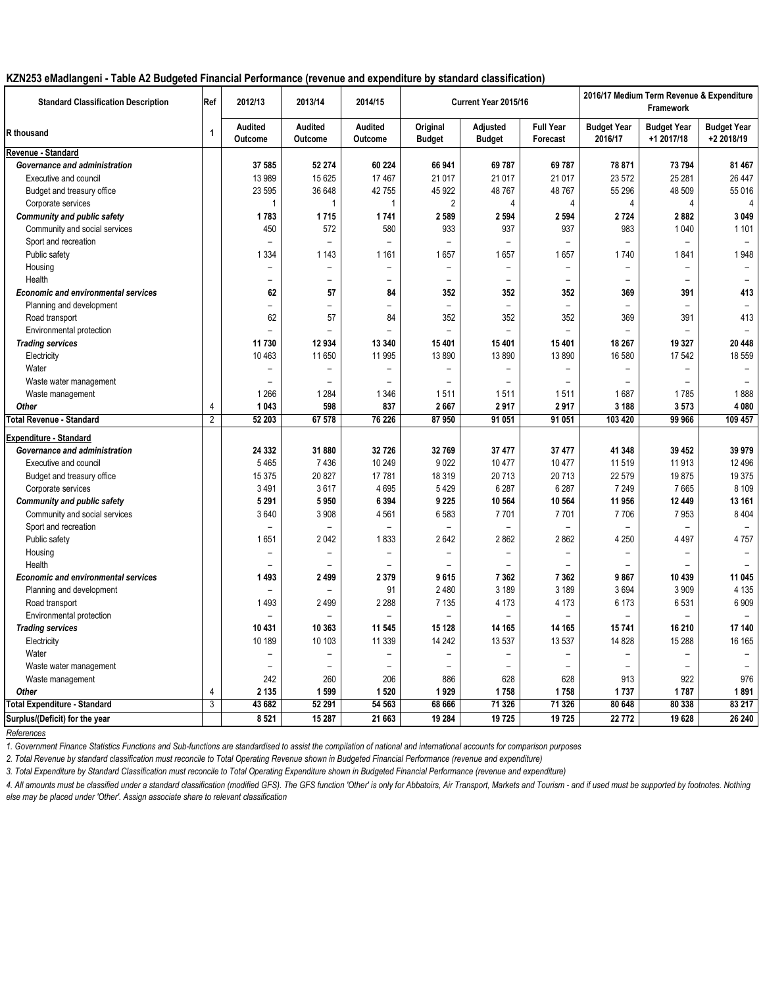### **KZN253 eMadlangeni - Table A2 Budgeted Financial Performance (revenue and expenditure by standard classification)**

| <b>Standard Classification Description</b> | Ref            | 2012/13                   | 2013/14                          | 2014/15                  |                           | Current Year 2015/16      |                              |                               | 2016/17 Medium Term Revenue & Expenditure<br>Framework |                                  |
|--------------------------------------------|----------------|---------------------------|----------------------------------|--------------------------|---------------------------|---------------------------|------------------------------|-------------------------------|--------------------------------------------------------|----------------------------------|
| R thousand                                 | $\mathbf{1}$   | Audited<br><b>Outcome</b> | <b>Audited</b><br><b>Outcome</b> | Audited<br>Outcome       | Original<br><b>Budget</b> | Adjusted<br><b>Budget</b> | <b>Full Year</b><br>Forecast | <b>Budget Year</b><br>2016/17 | <b>Budget Year</b><br>+1 2017/18                       | <b>Budget Year</b><br>+2 2018/19 |
| Revenue - Standard                         |                |                           |                                  |                          |                           |                           |                              |                               |                                                        |                                  |
| Governance and administration              |                | 37 585                    | 52 274                           | 60 224                   | 66 941                    | 69787                     | 69787                        | 78 871                        | 73 794                                                 | 81 467                           |
| Executive and council                      |                | 13 989                    | 15 625                           | 17467                    | 21 017                    | 21 017                    | 21 0 17                      | 23 572                        | 25 281                                                 | 26 447                           |
| Budget and treasury office                 |                | 23 595                    | 36 648                           | 42755                    | 45 922                    | 48767                     | 48767                        | 55 296                        | 48 509                                                 | 55 016                           |
| Corporate services                         |                | -1                        |                                  |                          | $\overline{2}$            | 4                         | 4                            | 4                             | 4                                                      |                                  |
| <b>Community and public safety</b>         |                | 1783                      | 1715                             | 1741                     | 2 5 8 9                   | 2 5 9 4                   | 2 5 9 4                      | 2724                          | 2882                                                   | 3 0 4 9                          |
| Community and social services              |                | 450                       | 572                              | 580                      | 933                       | 937                       | 937                          | 983                           | 1 0 4 0                                                | 1 1 0 1                          |
| Sport and recreation                       |                | $\equiv$                  | $\equiv$                         | $\equiv$                 | $\equiv$                  |                           |                              |                               |                                                        |                                  |
| Public safety                              |                | 1 3 3 4                   | 1 1 4 3                          | 1 1 6 1                  | 1657                      | 1657                      | 1657                         | 1740                          | 1841                                                   | 1948                             |
| Housing                                    |                | $\overline{\phantom{0}}$  | $\equiv$                         | $\overline{\phantom{m}}$ | $\overline{\phantom{0}}$  | $\blacksquare$            | ۳                            |                               |                                                        |                                  |
| Health                                     |                | $\overline{\phantom{0}}$  | $\overline{\phantom{0}}$         | $\overline{\phantom{0}}$ | $\overline{\phantom{0}}$  | $\overline{\phantom{0}}$  | $\overline{\phantom{a}}$     | $\overline{\phantom{0}}$      | $\equiv$                                               |                                  |
| <b>Economic and environmental services</b> |                | 62                        | 57                               | 84                       | 352                       | 352                       | 352                          | 369                           | 391                                                    | 413                              |
| Planning and development                   |                | $\equiv$                  | $\equiv$                         | $\equiv$                 | $\equiv$                  | $\equiv$                  | $\overline{a}$               | $\equiv$                      |                                                        |                                  |
| Road transport                             |                | 62                        | 57                               | 84                       | 352                       | 352                       | 352                          | 369                           | 391                                                    | 413                              |
| Environmental protection                   |                | $\equiv$                  | $\equiv$                         | $\overline{\phantom{0}}$ | $\overline{a}$            | L,                        | ÷                            |                               |                                                        |                                  |
| <b>Trading services</b>                    |                | 11 730                    | 12 934                           | 13 340                   | 15 4 01                   | 15 401                    | 15401                        | 18 267                        | 19 3 27                                                | 20 448                           |
| Electricity                                |                | 10 463                    | 11 650                           | 11 995                   | 13890                     | 13890                     | 13890                        | 16 580                        | 17 542                                                 | 18 559                           |
| Water                                      |                | $\overline{\phantom{0}}$  | $\overline{\phantom{0}}$         | $\overline{\phantom{m}}$ | $\overline{\phantom{0}}$  | $\overline{\phantom{0}}$  | -                            |                               |                                                        |                                  |
| Waste water management                     |                |                           |                                  |                          |                           |                           |                              |                               |                                                        |                                  |
| Waste management                           |                | 1 2 6 6                   | 1 2 8 4                          | 1 3 4 6                  | 1511                      | 1511                      | 1511                         | 1687                          | 1785                                                   | 1888                             |
| Other                                      | 4              | 1 0 4 3                   | 598                              | 837                      | 2667                      | 2917                      | 2917                         | 3 1 8 8                       | 3573                                                   | 4 0 8 0                          |
| <b>Total Revenue - Standard</b>            | $\overline{2}$ | 52 203                    | 67 578                           | 76 226                   | 87 950                    | 91 051                    | 91 051                       | 103 420                       | 99 966                                                 | 109 457                          |
| <b>Expenditure - Standard</b>              |                |                           |                                  |                          |                           |                           |                              |                               |                                                        |                                  |
| Governance and administration              |                | 24 332                    | 31 880                           | 32726                    | 32769                     | 37 477                    | 37 477                       | 41 348                        | 39 452                                                 | 39 979                           |
| Executive and council                      |                | 5465                      | 7436                             | 10 249                   | 9022                      | 10 477                    | 10 477                       | 11519                         | 11913                                                  | 12 4 9 6                         |
|                                            |                | 15 375                    | 20 827                           | 17781                    | 18 3 19                   | 20713                     | 20713                        | 22 579                        | 19875                                                  | 19 375                           |
| Budget and treasury office                 |                |                           | 3617                             | 4695                     | 5429                      | 6 2 8 7                   | 6 2 8 7                      | 7 2 4 9                       | 7665                                                   | 8 1 0 9                          |
| Corporate services                         |                | 3491<br>5 2 9 1           | 5950                             | 6 3 9 4                  | 9 2 2 5                   | 10 564                    | 10 564                       | 11 956                        | 12 449                                                 | 13 161                           |
| <b>Community and public safety</b>         |                | 3640                      | 3 9 0 8                          |                          | 6583                      | 7701                      | 7701                         | 7706                          | 7953                                                   | 8 4 0 4                          |
| Community and social services              |                |                           |                                  | 4561                     |                           |                           |                              |                               |                                                        |                                  |
| Sport and recreation                       |                | $\equiv$                  |                                  |                          |                           |                           |                              |                               |                                                        |                                  |
| Public safety                              |                | 1651                      | 2042                             | 1833                     | 2642                      | 2862                      | 2862                         | 4 2 5 0                       | 4 4 9 7                                                | 4757                             |
| Housing                                    |                | $\overline{\phantom{0}}$  | $\overline{\phantom{0}}$         | $\overline{\phantom{a}}$ | $\overline{\phantom{a}}$  | $\overline{\phantom{m}}$  | -                            | Ξ.                            |                                                        |                                  |
| Health                                     |                |                           |                                  |                          |                           |                           |                              |                               |                                                        |                                  |
| <b>Economic and environmental services</b> |                | 1493                      | 2 4 9 9                          | 2 3 7 9                  | 9615                      | 7 3 6 2                   | 7 3 6 2                      | 9867                          | 10 439                                                 | 11 045                           |
| Planning and development                   |                | $\overline{\phantom{0}}$  | $\equiv$                         | 91                       | 2480                      | 3 1 8 9                   | 3 1 8 9                      | 3694                          | 3 9 0 9                                                | 4 1 3 5                          |
| Road transport                             |                | 1493                      | 2499                             | 2 2 8 8                  | 7 1 3 5                   | 4 1 7 3                   | 4 1 7 3                      | 6 1 7 3                       | 6531                                                   | 6909                             |
| Environmental protection                   |                | $\equiv$                  | $\equiv$                         | $\equiv$                 |                           |                           |                              |                               |                                                        |                                  |
| <b>Trading services</b>                    |                | 10 431                    | 10 363                           | 11 545                   | 15 1 28                   | 14 165                    | 14 165                       | 15741                         | 16 210                                                 | 17 140                           |
| Electricity                                |                | 10 189                    | 10 103                           | 11 3 3 9                 | 14 24 2                   | 13 537                    | 13 537                       | 14 8 28                       | 15 2 88                                                | 16 165                           |
| Water                                      |                | ÷                         | ۳                                | $\overline{\phantom{m}}$ | $\overline{\phantom{0}}$  | $\overline{\phantom{0}}$  | ÷                            | $=$                           | ۳                                                      |                                  |
| Waste water management                     |                | ÷                         | $\equiv$                         | $\equiv$                 | ÷                         |                           |                              |                               |                                                        |                                  |
| Waste management                           |                | 242                       | 260                              | 206                      | 886                       | 628                       | 628                          | 913                           | 922                                                    | 976                              |
| Other                                      | 4              | 2 1 3 5                   | 1599                             | 1 5 2 0                  | 1929                      | 1758                      | 1758                         | 1737                          | 1787                                                   | 1891                             |
| Total Expenditure - Standard               | 3              | 43 682                    | 52 291                           | 54 563                   | 68 666                    | 71 326                    | 71 326                       | 80 648                        | 80 338                                                 | 83 217                           |
| Surplus/(Deficit) for the year             |                | 8521                      | 15 287                           | 21 663                   | 19 284                    | 19725                     | 19725                        | 22772                         | 19 628                                                 | 26 240                           |

*References*

*1. Government Finance Statistics Functions and Sub-functions are standardised to assist the compilation of national and international accounts for comparison purposes*

*2. Total Revenue by standard classification must reconcile to Total Operating Revenue shown in Budgeted Financial Performance (revenue and expenditure)*

*3. Total Expenditure by Standard Classification must reconcile to Total Operating Expenditure shown in Budgeted Financial Performance (revenue and expenditure)*

4. All amounts must be classified under a standard classification (modified GFS). The GFS function 'Other' is only for Abbatoirs, Air Transport, Markets and Tourism - and if used must be supported by footnotes. Nothing *else may be placed under 'Other'. Assign associate share to relevant classification*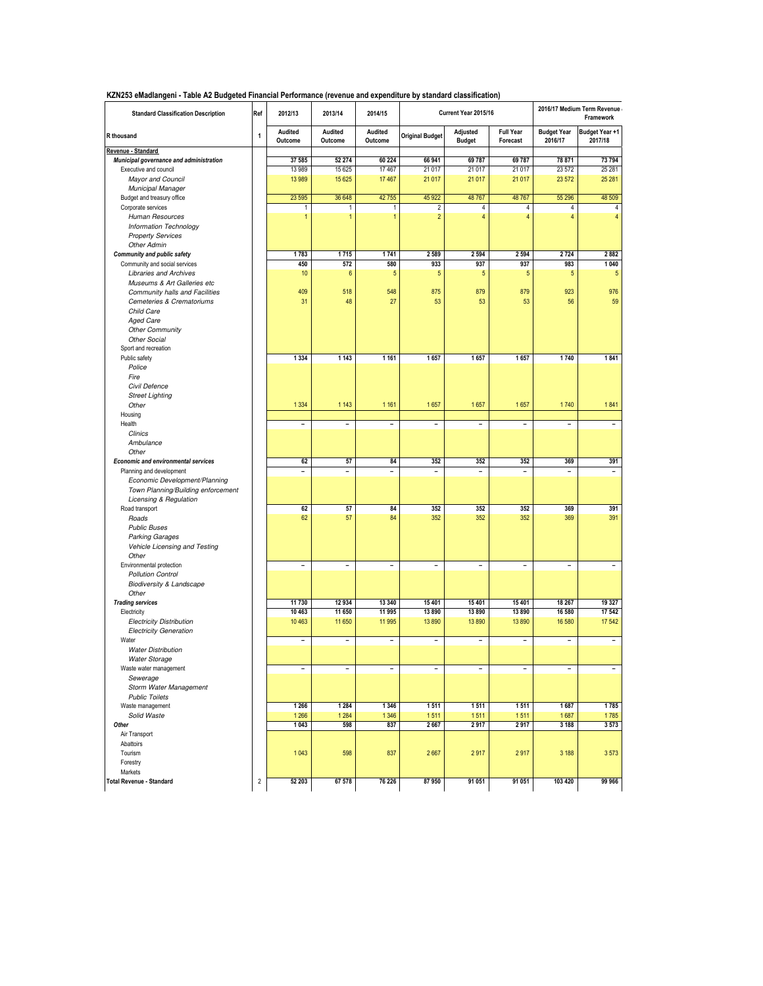**KZN253 eMadlangeni - Table A2 Budgeted Financial Performance (revenue and expenditure by standard classification)**

| KZNZOS emagiangeni - Table AZ Budgeteg Financial Periormance (revenue and expenditure by Standard Classincation)<br><b>Standard Classification Description</b> | Ref        | 2012/13                      | 2013/14                      | 2014/15                      |                              | Current Year 2015/16         |                              |                               | 2016/17 Medium Term Revenue<br>Framework |
|----------------------------------------------------------------------------------------------------------------------------------------------------------------|------------|------------------------------|------------------------------|------------------------------|------------------------------|------------------------------|------------------------------|-------------------------------|------------------------------------------|
| R thousand                                                                                                                                                     | 1          | Audited<br>Outcome           | Audited<br>Outcome           | <b>Audited</b><br>Outcome    | <b>Original Budget</b>       | Adjusted<br><b>Budget</b>    | <b>Full Year</b><br>Forecast | <b>Budget Year</b><br>2016/17 | Budget Year +1<br>2017/18                |
| Revenue - Standard                                                                                                                                             |            |                              |                              |                              |                              |                              |                              |                               |                                          |
| Municipal governance and administration                                                                                                                        |            | 37 585<br>13 989             | 52 274<br>15 6 25            | 60 224<br>17467              | 66 941<br>21 017             | 69 78 7<br>21 017            | 69 787<br>21 017             | 78 871<br>23 572              | 73 794<br>25 28 1                        |
| Executive and council<br>Mayor and Council                                                                                                                     |            | 13 989                       | 15 6 25                      | 17467                        | 21 0 17                      | 21 017                       | 21 017                       | 23 572                        | 25 281                                   |
|                                                                                                                                                                |            |                              |                              |                              |                              |                              |                              |                               |                                          |
| Municipal Manager<br>Budget and treasury office                                                                                                                |            | 23 5 95                      | 36 648                       | 42755                        | 45 9 22                      | 48767                        | 48767                        | 55 296                        | 48 509                                   |
| Corporate services                                                                                                                                             |            | 1                            | 1                            | 1                            | 2                            | 4                            | 4                            | 4                             | 4                                        |
| <b>Human Resources</b>                                                                                                                                         |            | $\mathbf{1}$                 | $\mathbf{1}$                 | $\mathbf{1}$                 | $\overline{2}$               | 4                            | 4                            | 4                             | 4                                        |
| Information Technology                                                                                                                                         |            |                              |                              |                              |                              |                              |                              |                               |                                          |
| <b>Property Services</b>                                                                                                                                       |            |                              |                              |                              |                              |                              |                              |                               |                                          |
| <b>Other Admin</b>                                                                                                                                             |            |                              |                              |                              |                              |                              |                              |                               |                                          |
| <b>Community and public safety</b>                                                                                                                             |            | 1783                         | 1715                         | 1741                         | 2 5 8 9                      | 2 5 9 4                      | 2 5 9 4                      | 2724                          | 2882                                     |
| Community and social services                                                                                                                                  |            | 450                          | 572                          | 580                          | 933                          | 937                          | 937                          | 983                           | 1040                                     |
| <b>Libraries and Archives</b>                                                                                                                                  |            | 10                           | 6                            | 5                            | 5                            | 5                            | 5                            | 5                             | 5                                        |
| Museums & Art Galleries etc                                                                                                                                    |            |                              |                              |                              |                              |                              |                              |                               |                                          |
| Community halls and Facilities                                                                                                                                 |            | 409                          | 518                          | 548                          | 875                          | 879                          | 879                          | 923                           | 976                                      |
| Cemeteries & Crematoriums                                                                                                                                      |            | 31                           | 48                           | 27                           | 53                           | 53                           | 53                           | 56                            | 59                                       |
| Child Care                                                                                                                                                     |            |                              |                              |                              |                              |                              |                              |                               |                                          |
| <b>Aged Care</b>                                                                                                                                               |            |                              |                              |                              |                              |                              |                              |                               |                                          |
| <b>Other Community</b>                                                                                                                                         |            |                              |                              |                              |                              |                              |                              |                               |                                          |
| <b>Other Social</b>                                                                                                                                            |            |                              |                              |                              |                              |                              |                              |                               |                                          |
| Sport and recreation                                                                                                                                           |            |                              |                              |                              |                              |                              |                              |                               |                                          |
| Public safety                                                                                                                                                  |            | 1 3 3 4                      | 1 1 4 3                      | 1 1 6 1                      | 1657                         | 1657                         | 1657                         | 1740                          | 1841                                     |
| Police                                                                                                                                                         |            |                              |                              |                              |                              |                              |                              |                               |                                          |
| Fire                                                                                                                                                           |            |                              |                              |                              |                              |                              |                              |                               |                                          |
| Civil Defence                                                                                                                                                  |            |                              |                              |                              |                              |                              |                              |                               |                                          |
| <b>Street Lighting</b>                                                                                                                                         |            |                              |                              |                              |                              |                              |                              |                               |                                          |
| Other                                                                                                                                                          |            | 1 3 3 4                      | 1 1 4 3                      | 1 1 6 1                      | 1657                         | 1657                         | 1657                         | 1740                          | 1841                                     |
| Housing                                                                                                                                                        |            |                              |                              |                              |                              |                              |                              |                               |                                          |
| Health                                                                                                                                                         |            | $\qquad \qquad \blacksquare$ | $\qquad \qquad \blacksquare$ | $\qquad \qquad \blacksquare$ | $\qquad \qquad \blacksquare$ | $\qquad \qquad \blacksquare$ | $\qquad \qquad \blacksquare$ | $\qquad \qquad -$             | $\overline{\phantom{a}}$                 |
| Clinics                                                                                                                                                        |            |                              |                              |                              |                              |                              |                              |                               |                                          |
| Ambulance                                                                                                                                                      |            |                              |                              |                              |                              |                              |                              |                               |                                          |
| Other                                                                                                                                                          |            |                              |                              |                              |                              |                              |                              |                               |                                          |
| <b>Economic and environmental services</b>                                                                                                                     |            | 62                           | 57                           | 84                           | 352                          | 352                          | 352                          | 369                           | 391                                      |
| Planning and development                                                                                                                                       |            | $\overline{\phantom{a}}$     | $\overline{\phantom{a}}$     | $\overline{\phantom{a}}$     | $\overline{\phantom{0}}$     | $\qquad \qquad \blacksquare$ | $\qquad \qquad \blacksquare$ | $\overline{a}$                | $\overline{\phantom{0}}$                 |
| Economic Development/Planning                                                                                                                                  |            |                              |                              |                              |                              |                              |                              |                               |                                          |
| Town Planning/Building enforcement                                                                                                                             |            |                              |                              |                              |                              |                              |                              |                               |                                          |
| Licensing & Regulation                                                                                                                                         |            |                              |                              |                              |                              |                              |                              |                               |                                          |
| Road transport                                                                                                                                                 |            | 62                           | 57                           | 84                           | 352                          | 352                          | 352                          | 369                           | 391                                      |
| Roads                                                                                                                                                          |            | 62                           | 57                           | 84                           | 352                          | 352                          | 352                          | 369                           | 391                                      |
| <b>Public Buses</b>                                                                                                                                            |            |                              |                              |                              |                              |                              |                              |                               |                                          |
| <b>Parking Garages</b>                                                                                                                                         |            |                              |                              |                              |                              |                              |                              |                               |                                          |
| Vehicle Licensing and Testing                                                                                                                                  |            |                              |                              |                              |                              |                              |                              |                               |                                          |
| Other                                                                                                                                                          |            |                              |                              |                              |                              |                              |                              |                               |                                          |
| Environmental protection                                                                                                                                       |            | $\overline{\phantom{a}}$     | $\qquad \qquad -$            | $\overline{a}$               | -                            | -                            | $\overline{a}$               | -                             | $\overline{a}$                           |
| <b>Pollution Control</b>                                                                                                                                       |            |                              |                              |                              |                              |                              |                              |                               |                                          |
| <b>Biodiversity &amp; Landscape</b>                                                                                                                            |            |                              |                              |                              |                              |                              |                              |                               |                                          |
| Other                                                                                                                                                          |            |                              |                              |                              |                              |                              |                              |                               |                                          |
| <b>Trading services</b>                                                                                                                                        |            | 11 730                       | 12934                        | 13 340                       | 15 4 01                      | 15 4 01                      | 15 401                       | 18 267                        | 19 327                                   |
| Electricity                                                                                                                                                    |            | 10 463                       | 11 650                       | 11 995                       | 13890                        | 13890                        | 13 890                       | 16 580                        | 17 542                                   |
| <b>Electricity Distribution</b>                                                                                                                                |            | 10 4 63                      | 11 650                       | 11 995                       | 13890                        | 13890                        | 13890                        | 16 580                        | 17 542                                   |
| <b>Electricity Generation</b>                                                                                                                                  |            |                              |                              |                              |                              |                              |                              |                               |                                          |
| Water                                                                                                                                                          |            | $\qquad \qquad \blacksquare$ | $\qquad \qquad \blacksquare$ | $\qquad \qquad \blacksquare$ | -                            | $\qquad \qquad \blacksquare$ | $\qquad \qquad \blacksquare$ | $\qquad \qquad -$             | $\qquad \qquad -$                        |
| <b>Water Distribution</b>                                                                                                                                      |            |                              |                              |                              |                              |                              |                              |                               |                                          |
| <b>Water Storage</b>                                                                                                                                           |            |                              |                              |                              |                              |                              |                              |                               |                                          |
| Waste water management                                                                                                                                         |            | $\overline{\phantom{a}}$     | $\overline{\phantom{a}}$     | $\qquad \qquad \blacksquare$ | $\overline{a}$               | $\qquad \qquad \blacksquare$ | $\overline{a}$               | $\overline{\phantom{0}}$      | $\overline{a}$                           |
| Sewerage                                                                                                                                                       |            |                              |                              |                              |                              |                              |                              |                               |                                          |
| Storm Water Management                                                                                                                                         |            |                              |                              |                              |                              |                              |                              |                               |                                          |
| <b>Public Toilets</b>                                                                                                                                          |            |                              |                              |                              |                              |                              |                              |                               |                                          |
| Waste management                                                                                                                                               |            | 1 2 6 6                      | 1 2 8 4                      | 1 3 4 6                      | 1511                         | 1511                         | 1511                         | 1687                          | 1785                                     |
| Solid Waste                                                                                                                                                    |            | 1 2 6 6                      | 1 2 8 4                      | 1 3 4 6                      | 1511                         | 1511                         | 1511                         | 1687                          | 1785                                     |
| Other                                                                                                                                                          |            | 1043                         | 598                          | 837                          | 2667                         | 2917                         | 2917                         | 3 1 8 8                       | 3573                                     |
| Air Transport                                                                                                                                                  |            |                              |                              |                              |                              |                              |                              |                               |                                          |
| Abattoirs                                                                                                                                                      |            |                              |                              |                              |                              |                              |                              |                               |                                          |
| Tourism                                                                                                                                                        |            | 1043                         | 598                          | 837                          | 2667                         | 2917                         | 2917                         | 3 1 8 8                       | 3573                                     |
| Forestry                                                                                                                                                       |            |                              |                              |                              |                              |                              |                              |                               |                                          |
| Markets                                                                                                                                                        |            |                              |                              |                              |                              |                              |                              |                               |                                          |
| <b>Total Revenue - Standard</b>                                                                                                                                | $\sqrt{2}$ | 52 203                       | 67 578                       | 76 226                       | 87950                        | 91 051                       | 91 051                       | 103 420                       | 99 966                                   |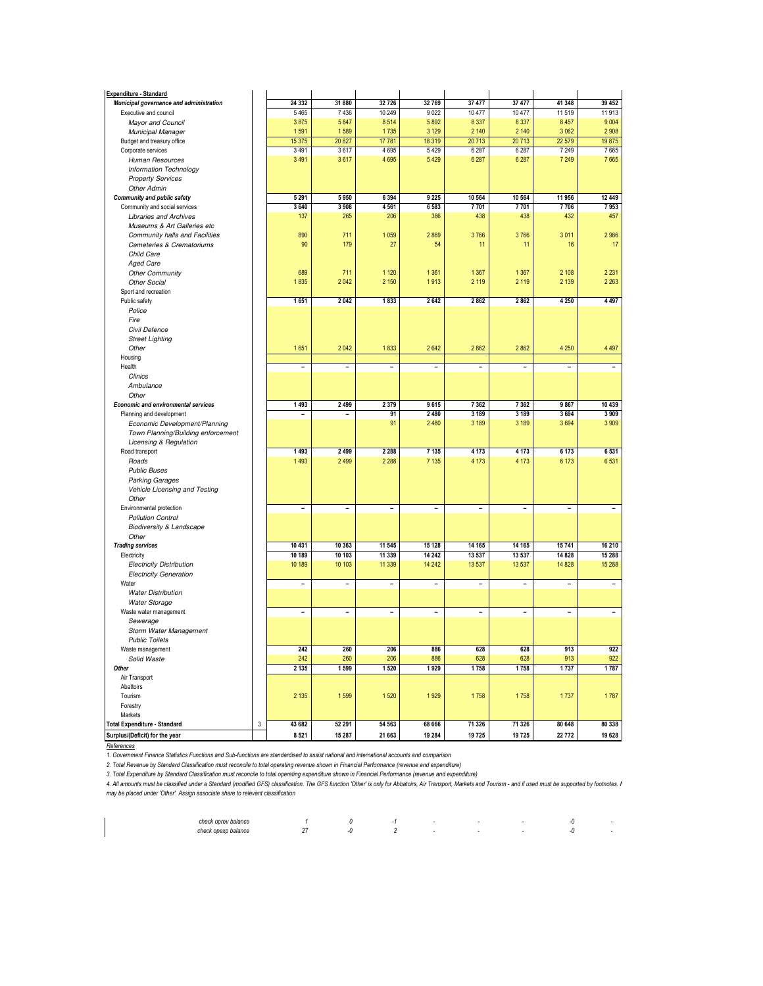| <b>Expenditure - Standard</b>                                          |   |                              |                          |                          |                          |                          |                          |                          |                              |
|------------------------------------------------------------------------|---|------------------------------|--------------------------|--------------------------|--------------------------|--------------------------|--------------------------|--------------------------|------------------------------|
| Municipal governance and administration                                |   | 24 332                       | 31880                    | 32726                    | 32769                    | 37 477                   | 37 477                   | 41 348                   | 39 452                       |
| Executive and council                                                  |   | 5465                         | 7 4 36                   | 10 249                   | 9 0 22                   | 10477                    | 10 477                   | 11 519                   | 11 913                       |
| Mayor and Council                                                      |   | 3875                         | 5847                     | 8514                     | 5892                     | 8 3 3 7                  | 8 3 3 7                  | 8 4 5 7                  | 9004                         |
| <b>Municipal Manager</b>                                               |   | 1591                         | 1589                     | 1735                     | 3 1 2 9                  | 2 140                    | 2 140                    | 3062                     | 2908                         |
| Budget and treasury office                                             |   | 15 375                       | 20827                    | 17781                    | 18 3 19                  | 20713                    | 20713                    | 22 579                   | 19875                        |
| Corporate services                                                     |   | 3491                         | 3617                     | 4695                     | 5 4 2 9                  | 6 28 7                   | 6 28 7                   | 7 2 4 9                  | 7665                         |
| <b>Human Resources</b>                                                 |   | 3 4 9 1                      | 3617                     | 4695                     | 5 4 2 9                  | 6 28 7                   | 6 28 7                   | 7 2 4 9                  | 7665                         |
| Information Technology                                                 |   |                              |                          |                          |                          |                          |                          |                          |                              |
| <b>Property Services</b><br><b>Other Admin</b>                         |   |                              |                          |                          |                          |                          |                          |                          |                              |
| <b>Community and public safety</b>                                     |   | 5 2 9 1                      | 5 9 5 0                  | 6 3 9 4                  | 9 2 2 5                  | 10 5 64                  | 10 564                   | 11 956                   | 12 449                       |
| Community and social services                                          |   | 3640                         | 3 9 0 8                  | 4 5 6 1                  | 6 5 8 3                  | 7701                     | 7701                     | 7706                     | 7953                         |
| <b>Libraries and Archives</b>                                          |   | 137                          | 265                      | 206                      | 386                      | 438                      | 438                      | 432                      | 457                          |
| Museums & Art Galleries etc                                            |   |                              |                          |                          |                          |                          |                          |                          |                              |
| Community halls and Facilities                                         |   | 890                          | 711                      | 1 0 5 9                  | 2869                     | 3766                     | 3766                     | 3011                     | 2986                         |
| Cemeteries & Crematoriums                                              |   | 90                           | 179                      | 27                       | 54                       | 11                       | 11                       | 16                       | 17                           |
| Child Care                                                             |   |                              |                          |                          |                          |                          |                          |                          |                              |
| <b>Aged Care</b>                                                       |   |                              |                          |                          |                          |                          |                          |                          |                              |
| <b>Other Community</b>                                                 |   | 689                          | 711                      | 1 1 2 0                  | 1 3 6 1                  | 1 3 6 7                  | 1 3 6 7                  | 2 1 0 8                  | 2 2 3 1                      |
| Other Social                                                           |   | 1835                         | 2 0 4 2                  | 2 1 5 0                  | 1913                     | 2 1 1 9                  | 2 1 1 9                  | 2 1 3 9                  | 2 2 6 3                      |
| Sport and recreation                                                   |   |                              |                          |                          |                          |                          |                          |                          |                              |
| Public safety                                                          |   | 1651                         | 2 0 4 2                  | 1833                     | 2642                     | 2862                     | 2862                     | 4 2 5 0                  | 4497                         |
| Police                                                                 |   |                              |                          |                          |                          |                          |                          |                          |                              |
| Fire                                                                   |   |                              |                          |                          |                          |                          |                          |                          |                              |
| Civil Defence                                                          |   |                              |                          |                          |                          |                          |                          |                          |                              |
| <b>Street Lighting</b>                                                 |   |                              |                          |                          |                          |                          |                          |                          |                              |
| Other                                                                  |   | 1651                         | 2 0 4 2                  | 1833                     | 2642                     | 2862                     | 2862                     | 4 2 5 0                  | 4 4 9 7                      |
| Housing                                                                |   |                              |                          |                          |                          |                          |                          |                          |                              |
| Health                                                                 |   | $\overline{\phantom{a}}$     | $\overline{\phantom{a}}$ | $\overline{\phantom{a}}$ | $\overline{\phantom{0}}$ | $\overline{\phantom{a}}$ | $\overline{\phantom{0}}$ | $\overline{\phantom{a}}$ | $\overline{\phantom{a}}$     |
| Clinics                                                                |   |                              |                          |                          |                          |                          |                          |                          |                              |
| Ambulance                                                              |   |                              |                          |                          |                          |                          |                          |                          |                              |
| Other                                                                  |   | 1493                         | 2 4 9 9                  | 2 3 7 9                  | 9615                     | 7 3 6 2                  | 7 3 6 2                  | 9867                     | 10 439                       |
| <b>Economic and environmental services</b><br>Planning and development |   |                              |                          | 91                       | 2 4 8 0                  | 3 1 8 9                  | 3 189                    | 3694                     | 3 9 0 9                      |
| Economic Development/Planning                                          |   |                              |                          | 91                       | 2 4 8 0                  | 3 1 8 9                  | 3 1 8 9                  | 3694                     | 3909                         |
| Town Planning/Building enforcement                                     |   |                              |                          |                          |                          |                          |                          |                          |                              |
| Licensing & Regulation                                                 |   |                              |                          |                          |                          |                          |                          |                          |                              |
| Road transport                                                         |   | 1 4 9 3                      | 2 4 9 9                  | 2 2 8 8                  | 7 1 3 5                  | 4 173                    | 4 1 7 3                  | 6 1 7 3                  | 6531                         |
| Roads                                                                  |   | 1493                         | 2 4 9 9                  | 2 2 8 8                  | 7 1 3 5                  | 4 1 7 3                  | 4 1 7 3                  | 6 1 7 3                  | 6531                         |
| <b>Public Buses</b>                                                    |   |                              |                          |                          |                          |                          |                          |                          |                              |
| <b>Parking Garages</b>                                                 |   |                              |                          |                          |                          |                          |                          |                          |                              |
| Vehicle Licensing and Testing                                          |   |                              |                          |                          |                          |                          |                          |                          |                              |
| Other                                                                  |   |                              |                          |                          |                          |                          |                          |                          |                              |
| Environmental protection                                               |   | $\qquad \qquad \blacksquare$ | $\overline{\phantom{a}}$ | $\overline{\phantom{a}}$ | $\overline{\phantom{0}}$ | $\overline{\phantom{a}}$ | $\overline{\phantom{0}}$ | $\overline{\phantom{a}}$ | $\overline{a}$               |
| <b>Pollution Control</b>                                               |   |                              |                          |                          |                          |                          |                          |                          |                              |
| <b>Biodiversity &amp; Landscape</b>                                    |   |                              |                          |                          |                          |                          |                          |                          |                              |
| Other                                                                  |   |                              |                          |                          |                          |                          |                          |                          |                              |
| <b>Trading services</b>                                                |   | 10 431                       | 10 363                   | 11 545                   | 15 128                   | 14 165                   | 14 165                   | 15741                    | 16 210                       |
| Electricity                                                            |   | 10 189                       | 10 103                   | 11 339                   | 14 24 2                  | 13 537                   | 13 537                   | 14 828                   | 15 288                       |
| <b>Electricity Distribution</b>                                        |   | 10 189                       | 10 103                   | 11 3 39                  | 14 24 2                  | 13 5 37                  | 13 537                   | 14 8 28                  | 15 288                       |
| <b>Electricity Generation</b>                                          |   |                              |                          |                          |                          |                          |                          |                          |                              |
| Water                                                                  |   | $\overline{\phantom{a}}$     | $\overline{\phantom{a}}$ | $\overline{\phantom{a}}$ | $\overline{\phantom{0}}$ | $\overline{\phantom{a}}$ | -                        | $\overline{\phantom{a}}$ | $\qquad \qquad \blacksquare$ |
| <b>Water Distribution</b>                                              |   |                              |                          |                          |                          |                          |                          |                          |                              |
| <b>Water Storage</b>                                                   |   |                              |                          |                          |                          |                          |                          | $\overline{\phantom{a}}$ |                              |
| Waste water management<br>Sewerage                                     |   | $\overline{\phantom{a}}$     | Ĭ.                       | $\overline{\phantom{a}}$ | -                        | $\overline{\phantom{a}}$ | $\overline{\phantom{0}}$ |                          | $\overline{a}$               |
| Storm Water Management                                                 |   |                              |                          |                          |                          |                          |                          |                          |                              |
| <b>Public Toilets</b>                                                  |   |                              |                          |                          |                          |                          |                          |                          |                              |
| Waste management                                                       |   | 242                          | 260                      | 206                      | 886                      | 628                      | 628                      | 913                      | 922                          |
| Solid Waste                                                            |   | 242                          | 260                      | 206                      | 886                      | 628                      | 628                      | 913                      | 922                          |
| Other                                                                  |   | 2 1 3 5                      | 1 5 9 9                  | 1520                     | 1929                     | 1758                     | 1758                     | 1737                     | 1787                         |
| Air Transport                                                          |   |                              |                          |                          |                          |                          |                          |                          |                              |
| Abattoirs                                                              |   |                              |                          |                          |                          |                          |                          |                          |                              |
| Tourism                                                                |   | 2 1 3 5                      | 1599                     | 1520                     | 1929                     | 1758                     | 1758                     | 1737                     | 1787                         |
| Forestry                                                               |   |                              |                          |                          |                          |                          |                          |                          |                              |
| Markets                                                                |   |                              |                          |                          |                          |                          |                          |                          |                              |
| Total Expenditure - Standard                                           | 3 | 43 682                       | 52 291                   | 54 563                   | 68 666                   | 71 326                   | 71 326                   | 80 648                   | 80 338                       |
| Surplus/(Deficit) for the year                                         |   | 8521                         | 15 287                   | 21 663                   | 19 284                   | 19725                    | 19725                    | 22 772                   | 19 628                       |

*References*

*1. Government Finance Statistics Functions and Sub-functions are standardised to assist national and international accounts and comparison*

*2. Total Revenue by Standard Classification must reconcile to total operating revenue shown in Financial Performance (revenue and expenditure)*

*3. Total Expenditure by Standard Classification must reconcile to total operating expenditure shown in Financial Performance (revenue and expenditure)*

4. All amounts must be classified under a Standard (modified GFS) classification. The GFS function 'Other' is only for Abbatoirs, Air Transport, Markets and Tourism - and if used must be supported by footnotes. I<br>may be pl

| check oprev<br>' balancı<br>. |     |     |  |  | $-11$ |  |
|-------------------------------|-----|-----|--|--|-------|--|
| novn<br><b><i>COMPANY</i></b> | . . | - 1 |  |  | $-II$ |  |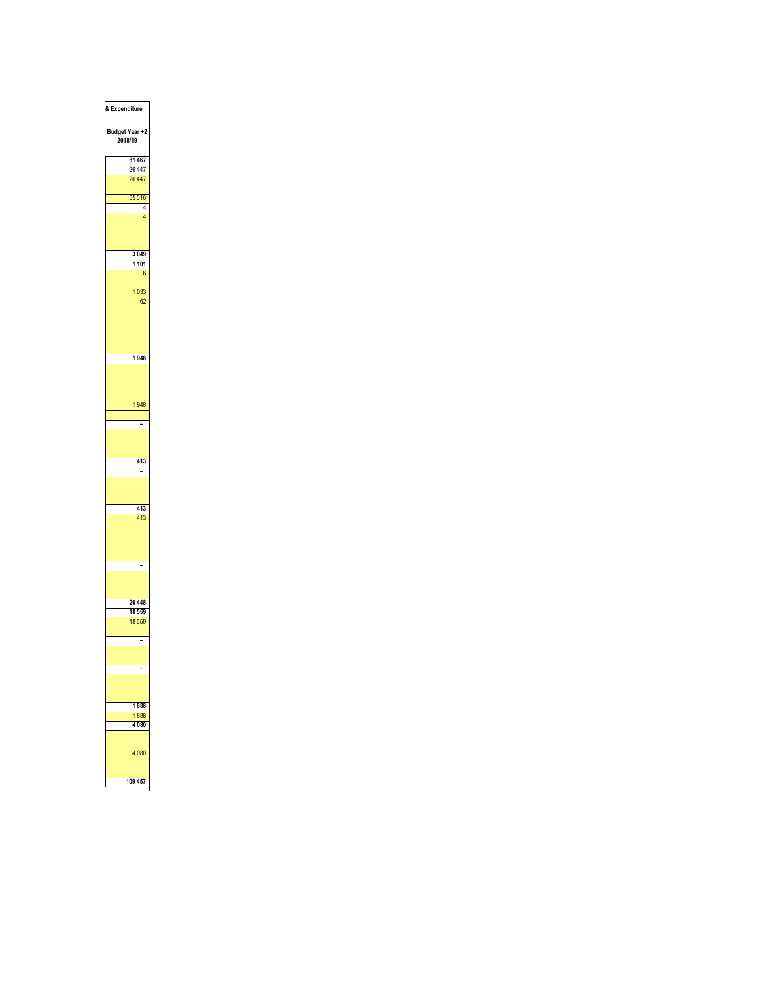| & Expenditure                   |
|---------------------------------|
| Budget Year +2<br>2018/19       |
| 81 467                          |
| 26 447                          |
| 26 447                          |
| 55 016                          |
| 4                               |
| $\overline{4}$                  |
| 3 0 4 9                         |
| 1 101                           |
| $\boldsymbol{6}$                |
| 1033<br>62                      |
| 1948                            |
|                                 |
| 1948                            |
| ÷,                              |
|                                 |
| 413<br>$\overline{\phantom{0}}$ |
|                                 |
| 413                             |
| 413                             |
| ï                               |
|                                 |
| 20 448                          |
| 18 559                          |
| 18 559                          |
| -                               |
| -                               |
|                                 |
| 1888                            |
| 1888                            |
| 4 0 8 0                         |
| 4 0 8 0                         |
| 109 457                         |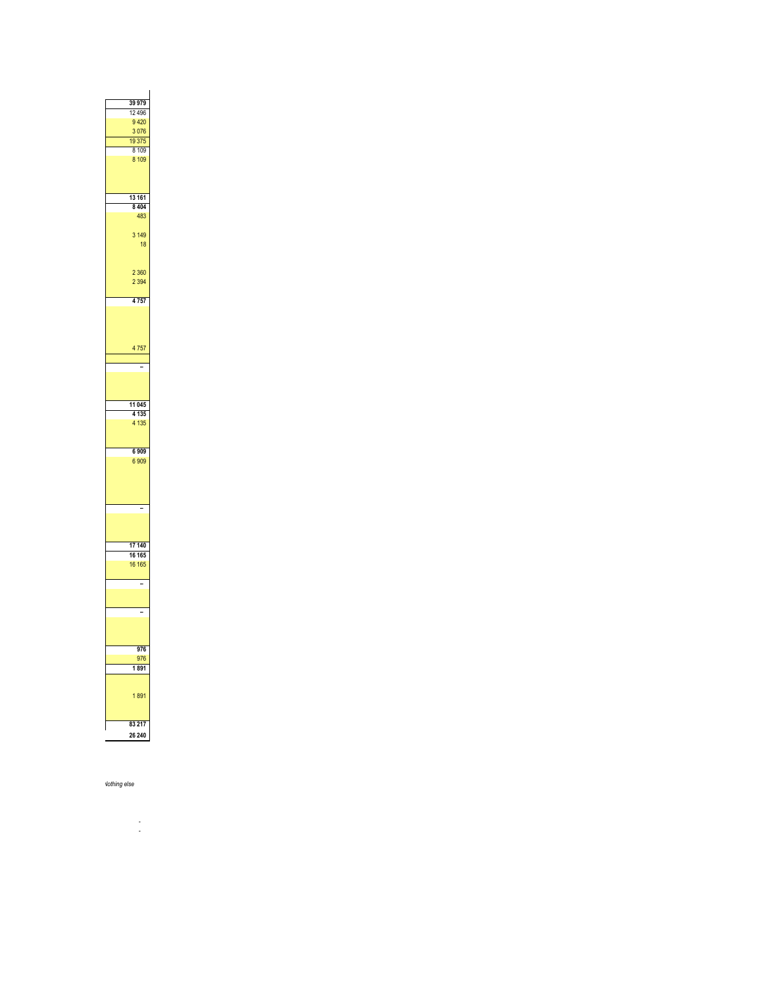| 39 979            |  |
|-------------------|--|
| 12 4 9 6          |  |
| 9 4 20            |  |
| 3076              |  |
| 19 3 75           |  |
| 8 1 0 9           |  |
| 8 1 0 9           |  |
|                   |  |
|                   |  |
|                   |  |
| 13 16 1           |  |
| 8 4 0 4           |  |
| 483               |  |
|                   |  |
| 3 1 4 9           |  |
| 18                |  |
|                   |  |
|                   |  |
| 2 3 6 0           |  |
| 2 3 9 4           |  |
|                   |  |
| $\overline{4757}$ |  |
|                   |  |
|                   |  |
|                   |  |
| 4757              |  |
|                   |  |
|                   |  |
|                   |  |
|                   |  |
|                   |  |
| 11 045            |  |
| 4 1 3 5           |  |
| 4 1 3 5           |  |
|                   |  |
|                   |  |
| 6 9 0 9           |  |
| 6 9 0 9           |  |
|                   |  |
|                   |  |
|                   |  |
|                   |  |
|                   |  |
|                   |  |
|                   |  |
| 17 140            |  |
| 16 16 5           |  |
| 16 16 5           |  |
|                   |  |
| $\sim$            |  |
|                   |  |
|                   |  |
|                   |  |
|                   |  |
|                   |  |
| 976               |  |
| 976               |  |
| 1891              |  |
|                   |  |
|                   |  |
| 1891              |  |
|                   |  |
|                   |  |
| 83 217            |  |
| 26 240            |  |
|                   |  |

**Example 2018** Vothing else

 *- -*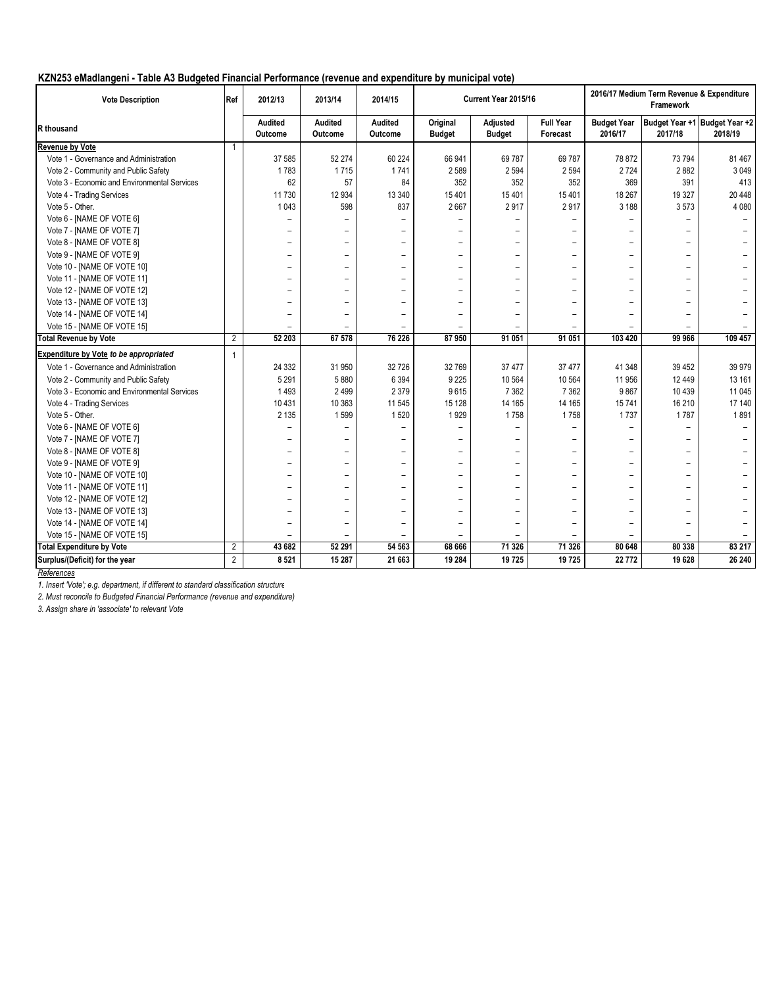| <b>Vote Description</b>                      | Ref            | 2012/13                  | 2013/14                  | 2014/15                  |                           | Current Year 2015/16      |                              | 2016/17 Medium Term Revenue & Expenditure<br>Framework |                          |                                          |  |
|----------------------------------------------|----------------|--------------------------|--------------------------|--------------------------|---------------------------|---------------------------|------------------------------|--------------------------------------------------------|--------------------------|------------------------------------------|--|
| R thousand                                   |                | Audited<br>Outcome       | Audited<br>Outcome       | Audited<br>Outcome       | Original<br><b>Budget</b> | Adjusted<br><b>Budget</b> | <b>Full Year</b><br>Forecast | <b>Budget Year</b><br>2016/17                          | 2017/18                  | Budget Year +1 Budget Year +2<br>2018/19 |  |
| <b>Revenue by Vote</b>                       | -1             |                          |                          |                          |                           |                           |                              |                                                        |                          |                                          |  |
| Vote 1 - Governance and Administration       |                | 37 585                   | 52 274                   | 60 224                   | 66 941                    | 69787                     | 69 787                       | 78872                                                  | 73 794                   | 81 467                                   |  |
| Vote 2 - Community and Public Safety         |                | 1783                     | 1715                     | 1741                     | 2589                      | 2 5 9 4                   | 2 5 9 4                      | 2724                                                   | 2882                     | 3 0 4 9                                  |  |
| Vote 3 - Economic and Environmental Services |                | 62                       | 57                       | 84                       | 352                       | 352                       | 352                          | 369                                                    | 391                      | 413                                      |  |
| Vote 4 - Trading Services                    |                | 11 730                   | 12 9 34                  | 13 340                   | 15 4 01                   | 15 4 01                   | 15 4 01                      | 18 267                                                 | 19 3 27                  | 20 448                                   |  |
| Vote 5 - Other.                              |                | 1 0 4 3                  | 598                      | 837                      | 2667                      | 2917                      | 2917                         | 3 1 8 8                                                | 3573                     | 4 0 8 0                                  |  |
| Vote 6 - [NAME OF VOTE 6]                    |                | $\overline{\phantom{0}}$ | $\overline{\phantom{0}}$ | ۳                        | $\overline{\phantom{0}}$  |                           |                              | ÷,                                                     |                          |                                          |  |
| Vote 7 - [NAME OF VOTE 7]                    |                |                          | $\equiv$                 | ۳                        |                           | -                         |                              |                                                        |                          |                                          |  |
| Vote 8 - [NAME OF VOTE 8]                    |                | $\overline{\phantom{0}}$ | $\overline{\phantom{a}}$ | $\overline{\phantom{0}}$ | -                         | $\overline{\phantom{0}}$  | $\overline{\phantom{0}}$     | $\overline{\phantom{0}}$                               | $\overline{\phantom{0}}$ |                                          |  |
| Vote 9 - [NAME OF VOTE 9]                    |                |                          |                          | -                        | -                         |                           | $\overline{\phantom{m}}$     | -                                                      |                          |                                          |  |
| Vote 10 - [NAME OF VOTE 10]                  |                | $\equiv$                 | $\overline{\phantom{0}}$ | ۳                        | $\overline{\phantom{0}}$  | $\overline{\phantom{0}}$  | $\overline{\phantom{0}}$     | $\overline{\phantom{0}}$                               | -                        |                                          |  |
| Vote 11 - [NAME OF VOTE 11]                  |                | $\equiv$                 | $\equiv$                 | $\equiv$                 | -                         | $\equiv$                  | $\equiv$                     | -                                                      | $\overline{\phantom{a}}$ |                                          |  |
| Vote 12 - [NAME OF VOTE 12]                  |                |                          |                          | $\overline{a}$           | ۳                         |                           | ۳                            |                                                        |                          |                                          |  |
| Vote 13 - [NAME OF VOTE 13]                  |                | $\overline{\phantom{0}}$ | $\overline{\phantom{0}}$ | ۰                        | -                         |                           |                              |                                                        |                          |                                          |  |
| Vote 14 - [NAME OF VOTE 14]                  |                | $\equiv$                 | $\overline{\phantom{a}}$ | ۰                        | -                         | -                         |                              | ۰                                                      |                          |                                          |  |
| Vote 15 - [NAME OF VOTE 15]                  |                |                          |                          |                          |                           |                           |                              |                                                        |                          |                                          |  |
| <b>Total Revenue by Vote</b>                 | $\overline{2}$ | 52 203                   | 67 578                   | 76 226                   | 87 950                    | 91 051                    | 91 051                       | 103 420                                                | 99 966                   | 109 457                                  |  |
| Expenditure by Vote to be appropriated       | $\overline{1}$ |                          |                          |                          |                           |                           |                              |                                                        |                          |                                          |  |
| Vote 1 - Governance and Administration       |                | 24 3 32                  | 31 950                   | 32726                    | 32 769                    | 37 477                    | 37 477                       | 41 348                                                 | 39 452                   | 39 979                                   |  |
| Vote 2 - Community and Public Safety         |                | 5 2 9 1                  | 5880                     | 6 3 9 4                  | 9 2 2 5                   | 10 564                    | 10 564                       | 11 956                                                 | 12 449                   | 13 161                                   |  |
| Vote 3 - Economic and Environmental Services |                | 1493                     | 2499                     | 2 3 7 9                  | 9615                      | 7 3 6 2                   | 7 3 6 2                      | 9867                                                   | 10 439                   | 11 045                                   |  |
| Vote 4 - Trading Services                    |                | 10 431                   | 10 363                   | 11 545                   | 15 128                    | 14 165                    | 14 165                       | 15741                                                  | 16 210                   | 17 140                                   |  |
| Vote 5 - Other.                              |                | 2 1 3 5                  | 1599                     | 1520                     | 1929                      | 1758                      | 1758                         | 1737                                                   | 1787                     | 1891                                     |  |
| Vote 6 - [NAME OF VOTE 6]                    |                | ÷                        | $\qquad \qquad -$        | -                        | ۳                         |                           |                              |                                                        |                          |                                          |  |
| Vote 7 - [NAME OF VOTE 7]                    |                | $\equiv$                 | $\equiv$                 | $\equiv$                 | -                         | $\equiv$                  | $\equiv$                     | $\equiv$                                               |                          |                                          |  |
| Vote 8 - [NAME OF VOTE 8]                    |                | -                        | $\overline{\phantom{m}}$ | $\overline{a}$           | -                         | $\overline{\phantom{0}}$  | $\overline{\phantom{0}}$     | -                                                      | $\overline{\phantom{0}}$ |                                          |  |
| Vote 9 - [NAME OF VOTE 9]                    |                | $\overline{\phantom{0}}$ | $\overline{\phantom{m}}$ | $\overline{a}$           | $\overline{\phantom{0}}$  | $\overline{\phantom{0}}$  | $\overline{\phantom{a}}$     | -                                                      | $\overline{\phantom{m}}$ |                                          |  |
| Vote 10 - [NAME OF VOTE 10]                  |                |                          | $\overline{\phantom{0}}$ | ۳                        | ۳                         | $\overline{\phantom{a}}$  | ۰                            | ۳                                                      |                          |                                          |  |
| Vote 11 - [NAME OF VOTE 11]                  |                | $\equiv$                 | $\overline{\phantom{a}}$ | $\equiv$                 | $\equiv$                  | $\equiv$                  | $\equiv$                     | $\equiv$                                               | $\equiv$                 |                                          |  |
| Vote 12 - [NAME OF VOTE 12]                  |                | $\overline{\phantom{0}}$ | $\overline{\phantom{a}}$ | $\overline{\phantom{0}}$ | -                         | $\overline{\phantom{0}}$  | $\overline{\phantom{0}}$     | -                                                      | $\overline{\phantom{0}}$ |                                          |  |
| Vote 13 - [NAME OF VOTE 13]                  |                | ÷                        | $\equiv$                 | ۳                        | -                         | $\overline{\phantom{0}}$  |                              | ۰                                                      |                          |                                          |  |
| Vote 14 - [NAME OF VOTE 14]                  |                | $\overline{\phantom{0}}$ | $\overline{a}$           | ۳                        | -                         | -                         |                              | -                                                      |                          |                                          |  |
| Vote 15 - [NAME OF VOTE 15]                  |                |                          |                          |                          |                           |                           |                              |                                                        |                          |                                          |  |
| <b>Total Expenditure by Vote</b>             | $\overline{2}$ | 43 682                   | 52 291                   | 54 563                   | 68 666                    | 71 326                    | 71 326                       | 80 648                                                 | 80 338                   | 83 217                                   |  |
| Surplus/(Deficit) for the year<br>Pafarances | $\overline{2}$ | 8 5 2 1                  | 15 287                   | 21 663                   | 19 284                    | 19725                     | 19725                        | 22772                                                  | 19 628                   | 26 240                                   |  |

*References*

*1. Insert 'Vote'; e.g. department, if different to standard classification structure*

*2. Must reconcile to Budgeted Financial Performance (revenue and expenditure)*

*3. Assign share in 'associate' to relevant Vote*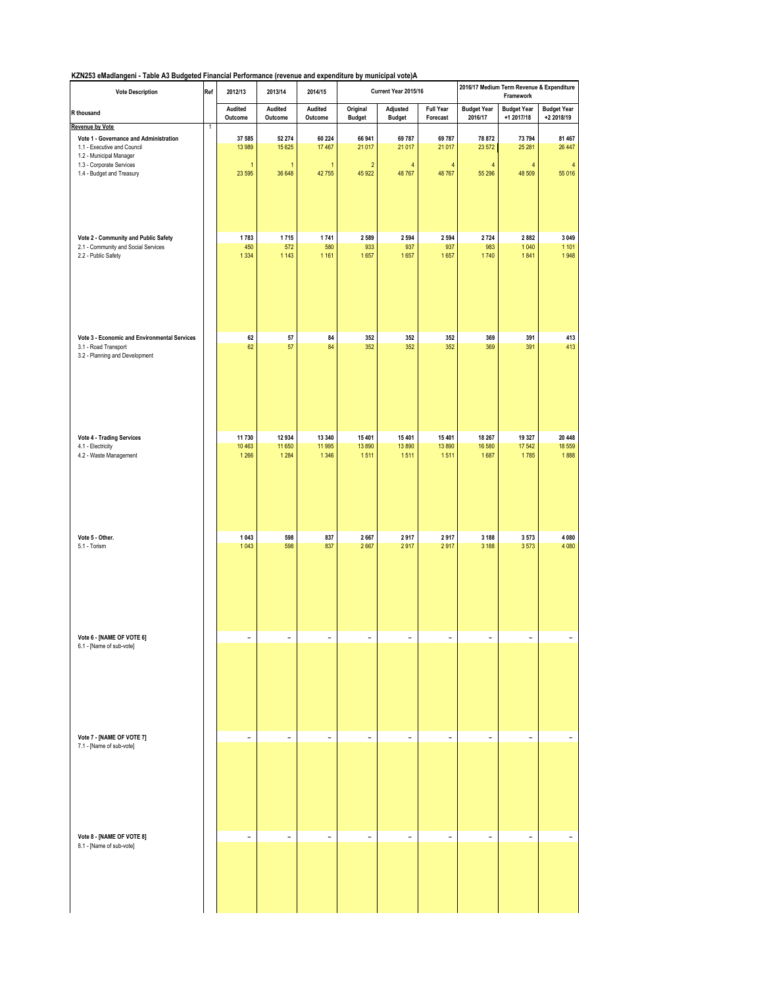| <b>Vote Description</b>                                    | Ref | 2012/13                  | 2013/14                  | 2014/15                  |                           | Current Year 2015/16      |                              | 2016/17 Medium Term Revenue & Expenditure<br>Framework |                                  |                                  |  |
|------------------------------------------------------------|-----|--------------------------|--------------------------|--------------------------|---------------------------|---------------------------|------------------------------|--------------------------------------------------------|----------------------------------|----------------------------------|--|
| R thousand                                                 |     | Audited<br>Outcome       | Audited<br>Outcome       | Audited<br>Outcome       | Original<br><b>Budget</b> | Adjusted<br><b>Budget</b> | <b>Full Year</b><br>Forecast | <b>Budget Year</b><br>2016/17                          | <b>Budget Year</b><br>+1 2017/18 | <b>Budget Year</b><br>+2 2018/19 |  |
| Revenue by Vote                                            | 1   |                          |                          |                          |                           |                           |                              |                                                        |                                  |                                  |  |
| Vote 1 - Governance and Administration                     |     | 37 585                   | 52 274                   | 60 224                   | 66 941                    | 69 787                    | 69 787                       | 78 872                                                 | 73 794                           | 81 467                           |  |
| 1.1 - Executive and Council                                |     | 13 989                   | 15 6 25                  | 17 467                   | 21 017                    | 21 017                    | 21 017                       | 23 572                                                 | 25 28 1                          | 26 447                           |  |
| 1.2 - Municipal Manager                                    |     |                          |                          |                          |                           |                           |                              |                                                        |                                  |                                  |  |
| 1.3 - Corporate Services                                   |     | $\mathbf{1}$             | $\overline{1}$           | $\mathbf{1}$             | $\sqrt{2}$                | $\overline{4}$            | 4                            | 4                                                      | 4                                | 4                                |  |
| 1.4 - Budget and Treasury                                  |     | 23 5 95                  | 36 648                   | 42755                    | 45 922                    | 48767                     | 48767                        | 55 296                                                 | 48 509                           | 55 016                           |  |
|                                                            |     |                          |                          |                          |                           |                           |                              |                                                        |                                  |                                  |  |
|                                                            |     |                          |                          |                          |                           |                           |                              |                                                        |                                  |                                  |  |
|                                                            |     |                          |                          |                          |                           |                           |                              |                                                        |                                  |                                  |  |
|                                                            |     |                          |                          |                          |                           |                           |                              |                                                        |                                  |                                  |  |
|                                                            |     |                          |                          |                          |                           |                           |                              |                                                        |                                  |                                  |  |
|                                                            |     | 1783                     | 1715                     | 1741                     | 2589                      | 2 5 9 4                   | 2 5 9 4                      | 2724                                                   | 2882                             | 3 0 4 9                          |  |
| Vote 2 - Community and Public Safety                       |     | 450                      | 572                      | 580                      | 933                       | 937                       | 937                          | 983                                                    | 1040                             | 1 1 0 1                          |  |
| 2.1 - Community and Social Services<br>2.2 - Public Safety |     | 1 3 3 4                  | 1 1 4 3                  | 1 1 6 1                  | 1657                      | 1657                      | 1657                         | 1740                                                   | 1841                             | 1948                             |  |
|                                                            |     |                          |                          |                          |                           |                           |                              |                                                        |                                  |                                  |  |
|                                                            |     |                          |                          |                          |                           |                           |                              |                                                        |                                  |                                  |  |
|                                                            |     |                          |                          |                          |                           |                           |                              |                                                        |                                  |                                  |  |
|                                                            |     |                          |                          |                          |                           |                           |                              |                                                        |                                  |                                  |  |
|                                                            |     |                          |                          |                          |                           |                           |                              |                                                        |                                  |                                  |  |
|                                                            |     |                          |                          |                          |                           |                           |                              |                                                        |                                  |                                  |  |
|                                                            |     |                          |                          |                          |                           |                           |                              |                                                        |                                  |                                  |  |
|                                                            |     |                          |                          |                          |                           |                           |                              |                                                        |                                  |                                  |  |
|                                                            |     |                          |                          |                          |                           |                           |                              |                                                        |                                  |                                  |  |
| Vote 3 - Economic and Environmental Services               |     | 62<br>62                 | 57<br>57                 | 84<br>84                 | 352<br>352                | 352<br>352                | 352                          | 369<br>369                                             | 391<br>391                       | 413<br>413                       |  |
| 3.1 - Road Transport                                       |     |                          |                          |                          |                           |                           | 352                          |                                                        |                                  |                                  |  |
| 3.2 - Planning and Development                             |     |                          |                          |                          |                           |                           |                              |                                                        |                                  |                                  |  |
|                                                            |     |                          |                          |                          |                           |                           |                              |                                                        |                                  |                                  |  |
|                                                            |     |                          |                          |                          |                           |                           |                              |                                                        |                                  |                                  |  |
|                                                            |     |                          |                          |                          |                           |                           |                              |                                                        |                                  |                                  |  |
|                                                            |     |                          |                          |                          |                           |                           |                              |                                                        |                                  |                                  |  |
|                                                            |     |                          |                          |                          |                           |                           |                              |                                                        |                                  |                                  |  |
|                                                            |     |                          |                          |                          |                           |                           |                              |                                                        |                                  |                                  |  |
|                                                            |     |                          |                          |                          |                           |                           |                              |                                                        |                                  |                                  |  |
| Vote 4 - Trading Services                                  |     | 11730                    | 12934                    | 13 340                   | 15 401                    | 15 4 01                   | 15 401                       | 18 267                                                 | 19 3 27                          | 20 448                           |  |
| 4.1 - Electricity                                          |     | 10 4 63                  | 11 650                   | 11 995                   | 13890                     | 13890                     | 13890                        | 16 580                                                 | 17542                            | 18 559                           |  |
| 4.2 - Waste Management                                     |     | 1 2 6 6                  | 1 2 8 4                  | 1 3 4 6                  | 1511                      | 1511                      | 1511                         | 1687                                                   | 1785                             | 1888                             |  |
|                                                            |     |                          |                          |                          |                           |                           |                              |                                                        |                                  |                                  |  |
|                                                            |     |                          |                          |                          |                           |                           |                              |                                                        |                                  |                                  |  |
|                                                            |     |                          |                          |                          |                           |                           |                              |                                                        |                                  |                                  |  |
|                                                            |     |                          |                          |                          |                           |                           |                              |                                                        |                                  |                                  |  |
|                                                            |     |                          |                          |                          |                           |                           |                              |                                                        |                                  |                                  |  |
|                                                            |     |                          |                          |                          |                           |                           |                              |                                                        |                                  |                                  |  |
|                                                            |     |                          |                          |                          |                           |                           |                              |                                                        |                                  |                                  |  |
|                                                            |     |                          |                          |                          |                           |                           |                              |                                                        |                                  |                                  |  |
| Vote 5 - Other.                                            |     | 1 0 4 3                  | 598                      | 837                      | 2667                      | 2917                      | 2917                         | 3 1 8 8                                                | 3573                             | 4 0 8 0                          |  |
| 5.1 - Torism                                               |     | 1043                     | 598                      | 837                      | 2667                      | 2917                      | 2917                         | 3 1 8 8                                                | 3573                             | 4 0 8 0                          |  |
|                                                            |     |                          |                          |                          |                           |                           |                              |                                                        |                                  |                                  |  |
|                                                            |     |                          |                          |                          |                           |                           |                              |                                                        |                                  |                                  |  |
|                                                            |     |                          |                          |                          |                           |                           |                              |                                                        |                                  |                                  |  |
|                                                            |     |                          |                          |                          |                           |                           |                              |                                                        |                                  |                                  |  |
|                                                            |     |                          |                          |                          |                           |                           |                              |                                                        |                                  |                                  |  |
|                                                            |     |                          |                          |                          |                           |                           |                              |                                                        |                                  |                                  |  |
|                                                            |     |                          |                          |                          |                           |                           |                              |                                                        |                                  |                                  |  |
|                                                            |     |                          |                          |                          |                           |                           |                              |                                                        |                                  |                                  |  |
|                                                            |     |                          |                          |                          |                           |                           |                              |                                                        |                                  |                                  |  |
| Vote 6 - [NAME OF VOTE 6]                                  |     | $\overline{\phantom{a}}$ | $\overline{\phantom{a}}$ | $\overline{a}$           | $\overline{a}$            | -                         | $\qquad \qquad \blacksquare$ | $\overline{\phantom{0}}$                               | $\overline{\phantom{0}}$         | $\overline{\phantom{a}}$         |  |
| 6.1 - [Name of sub-vote]                                   |     |                          |                          |                          |                           |                           |                              |                                                        |                                  |                                  |  |
|                                                            |     |                          |                          |                          |                           |                           |                              |                                                        |                                  |                                  |  |
|                                                            |     |                          |                          |                          |                           |                           |                              |                                                        |                                  |                                  |  |
|                                                            |     |                          |                          |                          |                           |                           |                              |                                                        |                                  |                                  |  |
|                                                            |     |                          |                          |                          |                           |                           |                              |                                                        |                                  |                                  |  |
|                                                            |     |                          |                          |                          |                           |                           |                              |                                                        |                                  |                                  |  |
|                                                            |     |                          |                          |                          |                           |                           |                              |                                                        |                                  |                                  |  |
|                                                            |     |                          |                          |                          |                           |                           |                              |                                                        |                                  |                                  |  |
|                                                            |     |                          |                          |                          |                           |                           |                              |                                                        |                                  |                                  |  |
|                                                            |     |                          |                          |                          |                           |                           |                              |                                                        |                                  |                                  |  |
| Vote 7 - [NAME OF VOTE 7]                                  |     | $\overline{\phantom{a}}$ | $\overline{\phantom{a}}$ | $\overline{\phantom{a}}$ | $\overline{\phantom{a}}$  | $\overline{\phantom{a}}$  | $\overline{\phantom{a}}$     | $\overline{\phantom{0}}$                               | $\overline{\phantom{0}}$         |                                  |  |
| 7.1 - [Name of sub-vote]                                   |     |                          |                          |                          |                           |                           |                              |                                                        |                                  |                                  |  |
|                                                            |     |                          |                          |                          |                           |                           |                              |                                                        |                                  |                                  |  |
|                                                            |     |                          |                          |                          |                           |                           |                              |                                                        |                                  |                                  |  |
|                                                            |     |                          |                          |                          |                           |                           |                              |                                                        |                                  |                                  |  |
|                                                            |     |                          |                          |                          |                           |                           |                              |                                                        |                                  |                                  |  |
|                                                            |     |                          |                          |                          |                           |                           |                              |                                                        |                                  |                                  |  |
|                                                            |     |                          |                          |                          |                           |                           |                              |                                                        |                                  |                                  |  |
|                                                            |     |                          |                          |                          |                           |                           |                              |                                                        |                                  |                                  |  |
|                                                            |     |                          |                          |                          |                           |                           |                              |                                                        |                                  |                                  |  |
|                                                            |     |                          |                          |                          |                           |                           |                              |                                                        |                                  |                                  |  |
| Vote 8 - [NAME OF VOTE 8]                                  |     | $\overline{\phantom{a}}$ | $\overline{\phantom{a}}$ | $\overline{\phantom{a}}$ | $\overline{\phantom{a}}$  | $\bar{\phantom{a}}$       | $\overline{\phantom{a}}$     | $\overline{\phantom{0}}$                               | $\overline{\phantom{a}}$         | $\overline{\phantom{a}}$         |  |
| 8.1 - [Name of sub-vote]                                   |     |                          |                          |                          |                           |                           |                              |                                                        |                                  |                                  |  |
|                                                            |     |                          |                          |                          |                           |                           |                              |                                                        |                                  |                                  |  |
|                                                            |     |                          |                          |                          |                           |                           |                              |                                                        |                                  |                                  |  |
|                                                            |     |                          |                          |                          |                           |                           |                              |                                                        |                                  |                                  |  |
|                                                            |     |                          |                          |                          |                           |                           |                              |                                                        |                                  |                                  |  |
|                                                            |     |                          |                          |                          |                           |                           |                              |                                                        |                                  |                                  |  |
|                                                            |     |                          |                          |                          |                           |                           |                              |                                                        |                                  |                                  |  |
|                                                            |     |                          |                          |                          |                           |                           |                              |                                                        |                                  |                                  |  |
|                                                            |     |                          |                          |                          |                           |                           |                              |                                                        |                                  |                                  |  |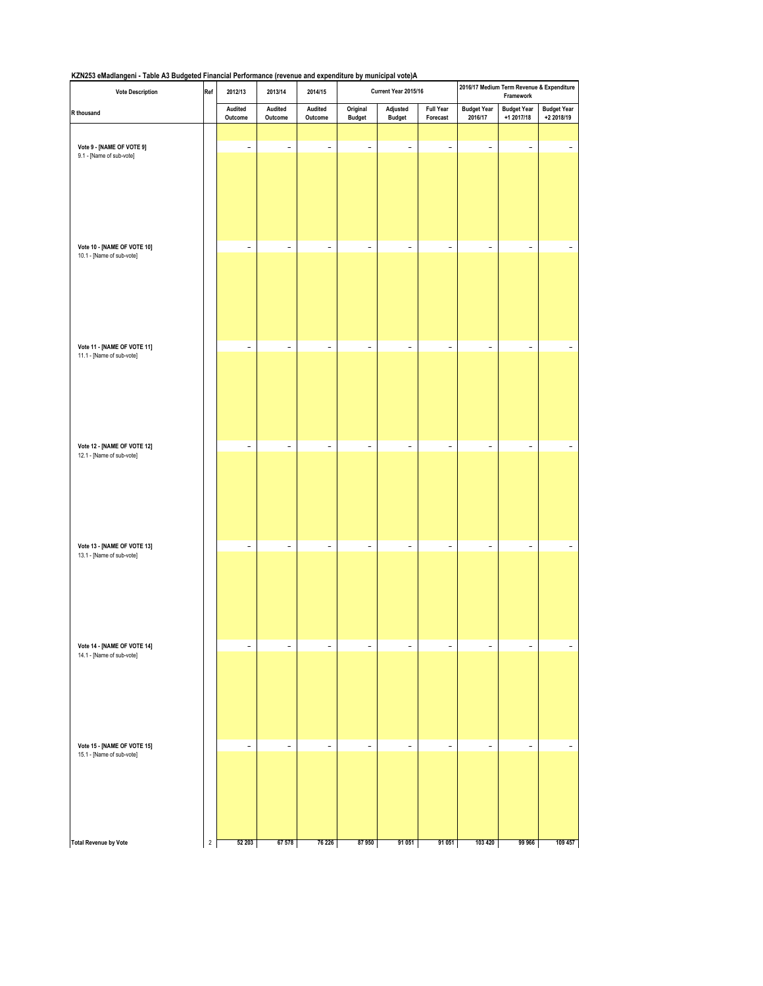| <b>Vote Description</b>                                  | Ref            | 2012/13                  | 2013/14                  | 2014/15                  |                           | Current Year 2015/16      |                              |                               | 2016/17 Medium Term Revenue & Expenditure<br>Framework |                                  |
|----------------------------------------------------------|----------------|--------------------------|--------------------------|--------------------------|---------------------------|---------------------------|------------------------------|-------------------------------|--------------------------------------------------------|----------------------------------|
| R thousand                                               |                | Audited<br>Outcome       | Audited<br>Outcome       | Audited<br>Outcome       | Original<br><b>Budget</b> | Adjusted<br><b>Budget</b> | <b>Full Year</b><br>Forecast | <b>Budget Year</b><br>2016/17 | <b>Budget Year</b><br>+1 2017/18                       | <b>Budget Year</b><br>+2 2018/19 |
|                                                          |                |                          |                          |                          |                           |                           |                              |                               |                                                        |                                  |
| Vote 9 - [NAME OF VOTE 9]<br>9.1 - [Name of sub-vote]    |                | $\overline{\phantom{a}}$ | $\overline{\phantom{0}}$ | $\overline{\phantom{a}}$ | $\overline{\phantom{a}}$  | $\overline{\phantom{a}}$  | $\overline{\phantom{a}}$     | $\overline{\phantom{a}}$      | $\overline{\phantom{a}}$                               |                                  |
| Vote 10 - [NAME OF VOTE 10]                              |                | $\overline{\phantom{a}}$ | $\overline{\phantom{0}}$ | $\overline{\phantom{a}}$ | $\overline{\phantom{a}}$  | $\overline{\phantom{a}}$  | $\overline{\phantom{a}}$     | $\overline{\phantom{a}}$      | $\overline{\phantom{a}}$                               |                                  |
| 10.1 - [Name of sub-vote]                                |                |                          |                          |                          |                           |                           |                              |                               |                                                        |                                  |
| Vote 11 - [NAME OF VOTE 11]<br>11.1 - [Name of sub-vote] |                | $\overline{\phantom{a}}$ | $\overline{\phantom{a}}$ | $\overline{\phantom{a}}$ | $\overline{\phantom{0}}$  | $\overline{\phantom{a}}$  | $\overline{\phantom{a}}$     | $\overline{\phantom{a}}$      | $\qquad \qquad -$                                      |                                  |
| Vote 12 - [NAME OF VOTE 12]<br>12.1 - [Name of sub-vote] |                | $\overline{\phantom{a}}$ | $\overline{\phantom{0}}$ | $\overline{\phantom{a}}$ | $\overline{\phantom{0}}$  | $\overline{\phantom{a}}$  | $\qquad \qquad -$            | $\overline{\phantom{a}}$      | $\overline{\phantom{a}}$                               |                                  |
|                                                          |                |                          |                          |                          |                           |                           |                              |                               |                                                        |                                  |
| Vote 13 - [NAME OF VOTE 13]<br>13.1 - [Name of sub-vote] |                | $\overline{\phantom{a}}$ | $\overline{\phantom{0}}$ | $\overline{\phantom{a}}$ | $\overline{\phantom{0}}$  | $\overline{\phantom{a}}$  | $\overline{\phantom{0}}$     | $\overline{\phantom{a}}$      | $\qquad \qquad -$                                      |                                  |
| Vote 14 - [NAME OF VOTE 14]<br>14.1 - [Name of sub-vote] |                | $\overline{\phantom{a}}$ | $\overline{a}$           | $\overline{\phantom{a}}$ | $\qquad \qquad -$         | $\overline{\phantom{a}}$  | $\overline{\phantom{0}}$     | $\overline{\phantom{a}}$      | $\qquad \qquad -$                                      |                                  |
| Vote 15 - [NAME OF VOTE 15]<br>15.1 - [Name of sub-vote] |                | $\overline{\phantom{a}}$ | $\overline{\phantom{0}}$ | $\overline{\phantom{a}}$ | $\qquad \qquad -$         | $\overline{\phantom{a}}$  | $\qquad \qquad -$            | $\overline{\phantom{a}}$      | $\qquad \qquad -$                                      |                                  |
| <b>Total Revenue by Vote</b>                             | $\overline{2}$ | 52 203                   | 67 578                   | 76 226                   | 87950                     | 91 051                    | 91 051                       | 103 420                       | 99 966                                                 | 109 457                          |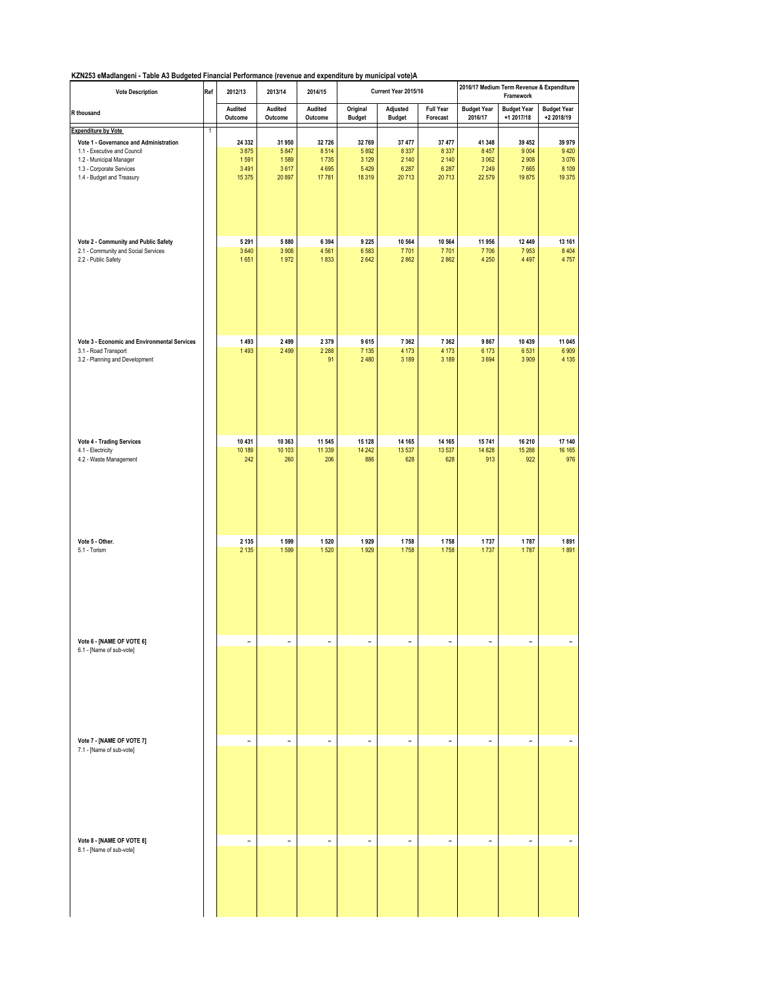| <b>Full Year</b><br>Forecast<br>37 477<br>8 3 3 7<br>2 140<br>6 2 8 7<br>20713 | <b>Budget Year</b><br>2016/17<br>41 348<br>8 4 5 7<br>3 0 6 2   | <b>Budget Year</b><br>+1 2017/18<br>39 452                         | <b>Budget Year</b><br>+2 2018/19                              |
|--------------------------------------------------------------------------------|-----------------------------------------------------------------|--------------------------------------------------------------------|---------------------------------------------------------------|
|                                                                                |                                                                 |                                                                    |                                                               |
|                                                                                |                                                                 |                                                                    |                                                               |
|                                                                                |                                                                 |                                                                    | 39 979                                                        |
|                                                                                |                                                                 | 9 0 0 4<br>2908                                                    | 9 4 2 0<br>3076                                               |
|                                                                                | 7 2 4 9                                                         | 7665                                                               | 8 1 0 9                                                       |
|                                                                                | 22 579                                                          | 19875                                                              | 19 375                                                        |
|                                                                                |                                                                 |                                                                    |                                                               |
| 10 564                                                                         | 11 956                                                          | 12 449                                                             | 13 161                                                        |
| 7701<br>2 8 6 2                                                                | 7706<br>4 2 5 0                                                 | 7953<br>4 4 9 7                                                    | 8 4 0 4<br>4757                                               |
|                                                                                |                                                                 |                                                                    |                                                               |
|                                                                                |                                                                 |                                                                    | 11 045<br>6909                                                |
|                                                                                |                                                                 |                                                                    | 4 1 3 5                                                       |
|                                                                                |                                                                 |                                                                    |                                                               |
| 14 165                                                                         | 15741                                                           | 16 210                                                             | 17 140                                                        |
| 13 5 37                                                                        | 14 828                                                          | 15 288                                                             | 16 16 5                                                       |
|                                                                                |                                                                 |                                                                    | 976                                                           |
|                                                                                |                                                                 |                                                                    | 1891                                                          |
| 1758                                                                           | 1737                                                            | 1787                                                               | 1891                                                          |
|                                                                                |                                                                 |                                                                    |                                                               |
|                                                                                |                                                                 |                                                                    |                                                               |
|                                                                                |                                                                 |                                                                    |                                                               |
|                                                                                |                                                                 |                                                                    | $\overline{a}$                                                |
|                                                                                |                                                                 |                                                                    |                                                               |
| $\overline{\phantom{a}}$                                                       | $\overline{a}$                                                  | $\qquad \qquad -$                                                  | $\overline{a}$                                                |
|                                                                                |                                                                 |                                                                    |                                                               |
|                                                                                | 7 3 6 2<br>4 1 7 3<br>3 189<br>628<br>1758<br>$\qquad \qquad -$ | 9867<br>6 1 7 3<br>3694<br>913<br>1737<br>$\overline{\phantom{m}}$ | 10 439<br>6531<br>3 9 0 9<br>922<br>1787<br>$\qquad \qquad -$ |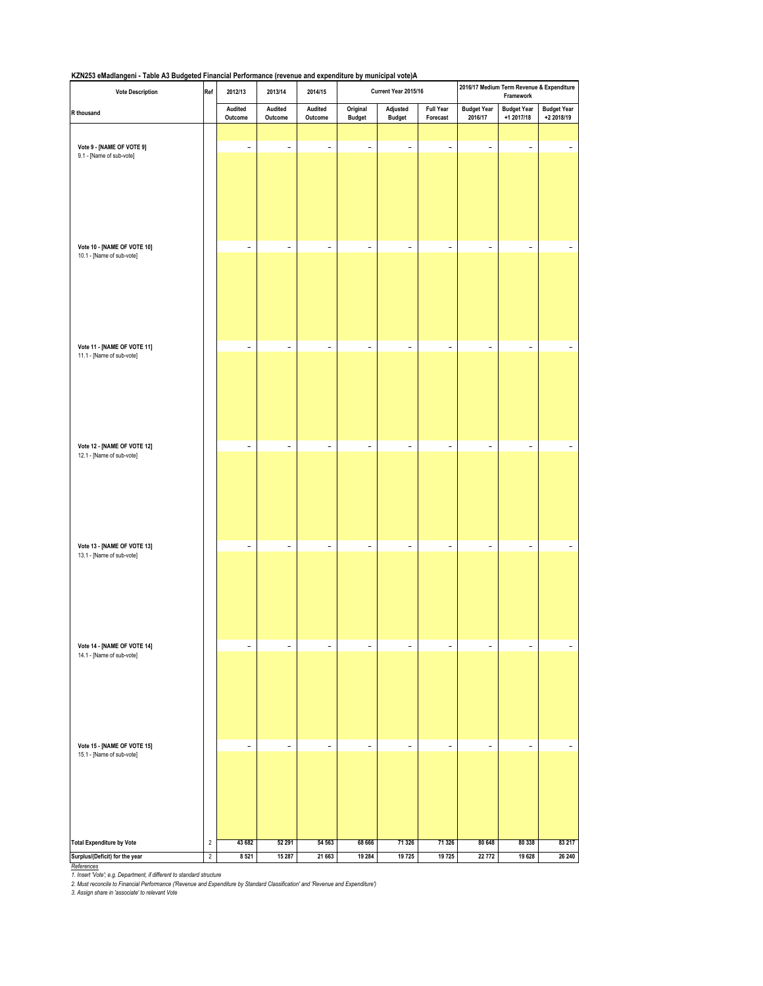| <b>Vote Description</b>                                  | Ref            | 2012/13                  | 2013/14                  | 2014/15                  |                           | Current Year 2015/16      |                              |                               | 2016/17 Medium Term Revenue & Expenditure<br>Framework |                                  |
|----------------------------------------------------------|----------------|--------------------------|--------------------------|--------------------------|---------------------------|---------------------------|------------------------------|-------------------------------|--------------------------------------------------------|----------------------------------|
| R thousand                                               |                | Audited<br>Outcome       | Audited<br>Outcome       | Audited<br>Outcome       | Original<br><b>Budget</b> | Adjusted<br><b>Budget</b> | <b>Full Year</b><br>Forecast | <b>Budget Year</b><br>2016/17 | <b>Budget Year</b><br>+1 2017/18                       | <b>Budget Year</b><br>+2 2018/19 |
|                                                          |                |                          |                          |                          |                           |                           |                              |                               |                                                        |                                  |
| Vote 9 - [NAME OF VOTE 9]<br>9.1 - [Name of sub-vote]    |                | $\overline{\phantom{0}}$ | $\qquad \qquad -$        | $\overline{\phantom{0}}$ | $\overline{\phantom{0}}$  | $\overline{\phantom{0}}$  | $\overline{\phantom{a}}$     | $\overline{\phantom{a}}$      | $\overline{\phantom{0}}$                               |                                  |
| Vote 10 - [NAME OF VOTE 10]                              |                | $\overline{\phantom{0}}$ | $\overline{\phantom{a}}$ | $\qquad \qquad -$        | $\overline{a}$            | $\overline{\phantom{a}}$  | $\overline{\phantom{a}}$     | $\overline{\phantom{0}}$      | $\overline{\phantom{m}}$                               |                                  |
| 10.1 - [Name of sub-vote]                                |                |                          |                          |                          |                           |                           |                              |                               |                                                        |                                  |
| Vote 11 - [NAME OF VOTE 11]<br>11.1 - [Name of sub-vote] |                | $\overline{\phantom{0}}$ | $\overline{\phantom{a}}$ | $\overline{\phantom{0}}$ | $\overline{\phantom{0}}$  | $\overline{\phantom{a}}$  | $\overline{\phantom{a}}$     | $\overline{\phantom{m}}$      | $\overline{\phantom{0}}$                               |                                  |
|                                                          |                |                          |                          |                          |                           |                           |                              |                               |                                                        |                                  |
| Vote 12 - [NAME OF VOTE 12]<br>12.1 - [Name of sub-vote] |                | $\overline{\phantom{a}}$ | $\overline{\phantom{a}}$ | $\qquad \qquad -$        | $\overline{a}$            | $\qquad \qquad -$         | $\overline{\phantom{a}}$     | $\overline{\phantom{a}}$      | $\qquad \qquad -$                                      |                                  |
|                                                          |                |                          |                          |                          |                           |                           |                              |                               |                                                        |                                  |
| Vote 13 - [NAME OF VOTE 13]<br>13.1 - [Name of sub-vote] |                | $\overline{\phantom{0}}$ | $\overline{\phantom{a}}$ | $\overline{\phantom{a}}$ | $\overline{\phantom{0}}$  | $\overline{\phantom{a}}$  | $\overline{\phantom{a}}$     | $\overline{\phantom{a}}$      | $\overline{\phantom{0}}$                               |                                  |
|                                                          |                |                          |                          |                          |                           |                           |                              |                               |                                                        |                                  |
| Vote 14 - [NAME OF VOTE 14]<br>14.1 - [Name of sub-vote] |                | $\overline{\phantom{0}}$ | $\overline{\phantom{a}}$ | $\qquad \qquad -$        | $\overline{\phantom{0}}$  | $\overline{\phantom{a}}$  | $\overline{\phantom{a}}$     | $\overline{\phantom{a}}$      | $\qquad \qquad -$                                      |                                  |
| Vote 15 - [NAME OF VOTE 15]                              |                |                          |                          |                          |                           |                           |                              |                               |                                                        | $\overline{\phantom{a}}$         |
| 15.1 - [Name of sub-vote]                                |                | $\overline{\phantom{a}}$ | $\overline{\phantom{a}}$ | $\qquad \qquad -$        | $\overline{\phantom{0}}$  | $\overline{\phantom{a}}$  | $\overline{\phantom{a}}$     | $\qquad \qquad -$             | $\qquad \qquad -$                                      |                                  |
| <b>Total Expenditure by Vote</b>                         | $\sqrt{2}$     | 43 682                   | 52 291                   | 54 563                   | 68 666                    | 71 326                    | 71 326                       | 80 648                        | 80 338                                                 | 83 217                           |
| Surplus/(Deficit) for the year                           | $\overline{2}$ | 8521                     | 15 287                   | 21 663                   | 19 284                    | 19725                     | 19725                        | 22 772                        | 19 628                                                 | 26 240                           |

<u>References</u><br>1. Insert Vote'; e.g. Department, if different to standard structure<br>2. Must reconcile to Financial Performance ("Revenue and Expenditure by Standard Classification' and 'Revenue and Expenditure')<br>2. Assign sh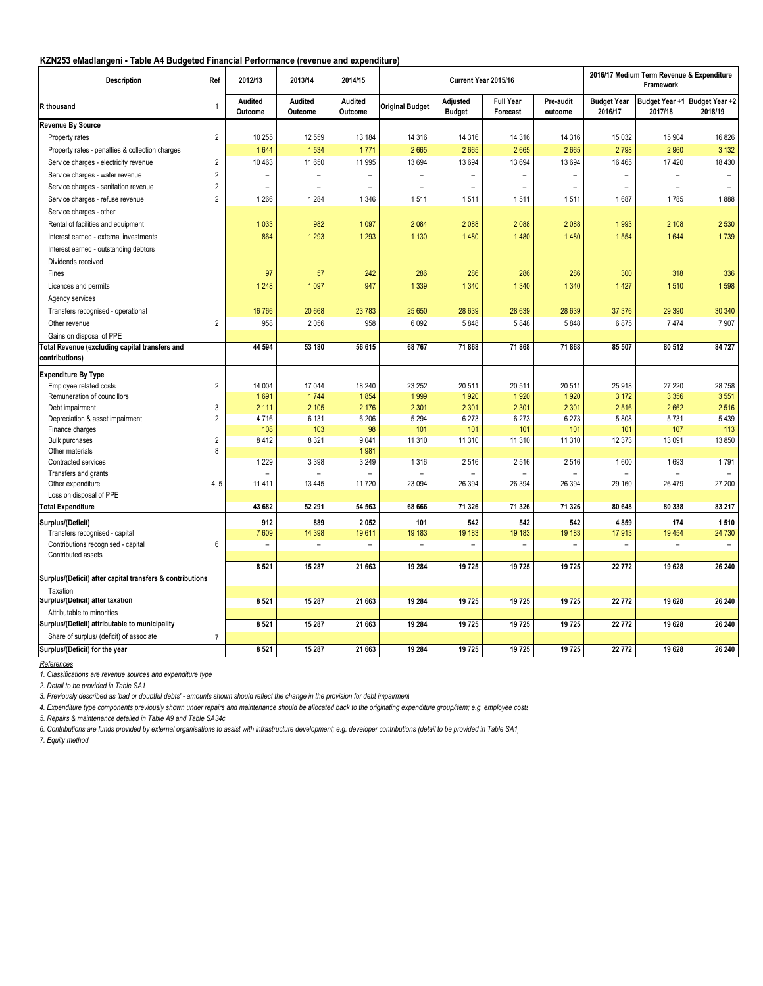### **KZN253 eMadlangeni - Table A4 Budgeted Financial Performance (revenue and expenditure)**

| <b>Description</b>                                        | Ref            | 2012/13                  | 2013/14                  | 2014/15                   |                          |                           | Current Year 2015/16         |                          |                               | 2016/17 Medium Term Revenue & Expenditure<br>Framework |                                          |
|-----------------------------------------------------------|----------------|--------------------------|--------------------------|---------------------------|--------------------------|---------------------------|------------------------------|--------------------------|-------------------------------|--------------------------------------------------------|------------------------------------------|
| R thousand                                                | $\mathbf{1}$   | Audited<br>Outcome       | Audited<br>Outcome       | Audited<br><b>Outcome</b> | <b>Original Budget</b>   | Adjusted<br><b>Budget</b> | <b>Full Year</b><br>Forecast | Pre-audit<br>outcome     | <b>Budget Year</b><br>2016/17 | 2017/18                                                | Budget Year +1 Budget Year +2<br>2018/19 |
| Revenue By Source                                         |                |                          |                          |                           |                          |                           |                              |                          |                               |                                                        |                                          |
| Property rates                                            | $\overline{2}$ | 10 255                   | 12 559                   | 13 184                    | 14 3 16                  | 14 316                    | 14 316                       | 14 3 16                  | 15 0 32                       | 15 904                                                 | 16826                                    |
| Property rates - penalties & collection charges           |                | 1644                     | 1 5 3 4                  | 1771                      | 2665                     | 2665                      | 2665                         | 2665                     | 2798                          | 2 9 6 0                                                | 3 1 3 2                                  |
| Service charges - electricity revenue                     | $\sqrt{2}$     | 10 4 63                  | 11 650                   | 11 995                    | 13694                    | 13 694                    | 13 694                       | 13694                    | 16 4 65                       | 17 4 20                                                | 18 4 30                                  |
| Service charges - water revenue                           | $\sqrt{2}$     |                          | L,                       |                           |                          |                           |                              | $\overline{\phantom{a}}$ | $\equiv$                      | $\equiv$                                               |                                          |
| Service charges - sanitation revenue                      | $\sqrt{2}$     |                          | $\overline{\phantom{a}}$ |                           | $\overline{\phantom{0}}$ |                           | $\equiv$                     | $\overline{\phantom{0}}$ | $\equiv$                      | $\overline{\phantom{a}}$                               | $\blacksquare$                           |
| Service charges - refuse revenue                          | $\overline{2}$ | 1 2 6 6                  | 1 2 8 4                  | 1 3 4 6                   | 1511                     | 1511                      | 1511                         | 1511                     | 1687                          | 1785                                                   | 1888                                     |
| Service charges - other                                   |                |                          |                          |                           |                          |                           |                              |                          |                               |                                                        |                                          |
| Rental of facilities and equipment                        |                | 1033                     | 982                      | 1 0 9 7                   | 2084                     | 2 0 8 8                   | 2 0 8 8                      | 2088                     | 1993                          | 2 108                                                  | 2 5 3 0                                  |
|                                                           |                |                          |                          |                           |                          |                           |                              |                          |                               |                                                        | 1739                                     |
| Interest earned - external investments                    |                | 864                      | 1 2 9 3                  | 1 2 9 3                   | 1 1 3 0                  | 1480                      | 1 4 8 0                      | 1480                     | 1 5 5 4                       | 1644                                                   |                                          |
| Interest earned - outstanding debtors                     |                |                          |                          |                           |                          |                           |                              |                          |                               |                                                        |                                          |
| Dividends received                                        |                |                          |                          |                           |                          |                           |                              |                          |                               |                                                        |                                          |
| Fines                                                     |                | 97                       | 57                       | 242                       | 286                      | 286                       | 286                          | 286                      | 300                           | 318                                                    | 336                                      |
| Licences and permits                                      |                | 1 2 4 8                  | 1 0 9 7                  | 947                       | 1 3 3 9                  | 1 3 4 0                   | 1 3 4 0                      | 1 3 4 0                  | 1 4 2 7                       | 1510                                                   | 1598                                     |
| Agency services                                           |                |                          |                          |                           |                          |                           |                              |                          |                               |                                                        |                                          |
| Transfers recognised - operational                        |                | 16766                    | 20 668                   | 23 783                    | 25 650                   | 28 639                    | 28 639                       | 28 639                   | 37 376                        | 29 390                                                 | 30 340                                   |
| Other revenue                                             | $\overline{2}$ | 958                      | 2056                     | 958                       | 6092                     | 5848                      | 5848                         | 5848                     | 6875                          | 7474                                                   | 7 9 0 7                                  |
| Gains on disposal of PPE                                  |                |                          |                          |                           |                          |                           |                              |                          |                               |                                                        |                                          |
| <b>Total Revenue (excluding capital transfers and</b>     |                | 44 594                   | 53 180                   | 56 615                    | 68767                    | 71 868                    | 71 868                       | 71868                    | 85 507                        | 80 512                                                 | 84 727                                   |
| contributions)                                            |                |                          |                          |                           |                          |                           |                              |                          |                               |                                                        |                                          |
| <b>Expenditure By Type</b>                                |                |                          |                          |                           |                          |                           |                              |                          |                               |                                                        |                                          |
| Employee related costs                                    | $\overline{2}$ | 14 004                   | 17 044                   | 18 240                    | 23 25 2                  | 20 511                    | 20 511                       | 20 511                   | 25 918                        | 27 220                                                 | 28 758                                   |
| Remuneration of councillors                               |                | 1691                     | 1744                     | 1854                      | 1999                     | 1920                      | 1920                         | 1920                     | 3 1 7 2                       | 3 3 5 6                                                | 3 5 5 1                                  |
| Debt impairment                                           | 3              | 2 1 1 1                  | 2 10 5                   | 2 176                     | 2 3 0 1                  | 2 3 0 1                   | 2 3 0 1                      | 2 3 0 1                  | 2516                          | 2662                                                   | 2516                                     |
| Depreciation & asset impairment                           | $\overline{2}$ | 4716                     | 6 1 3 1                  | 6 20 6                    | 5 2 9 4                  | 6 2 7 3                   | 6 2 7 3                      | 6 2 7 3                  | 5 8 0 8                       | 5731                                                   | 5 4 3 9                                  |
| Finance charges                                           |                | 108                      | 103                      | 98                        | 101                      | 101                       | 101                          | 101                      | 101                           | 107                                                    | 113                                      |
| <b>Bulk purchases</b>                                     | $\overline{2}$ | 8412                     | 8 3 21                   | 9 0 4 1                   | 11 310                   | 11 310                    | 11 310                       | 11 310                   | 12 373                        | 13 091                                                 | 13850                                    |
| Other materials                                           | 8              |                          |                          | 1981                      |                          |                           |                              |                          |                               |                                                        |                                          |
| Contracted services                                       |                | 1 2 2 9                  | 3 3 9 8                  | 3 2 4 9                   | 1316                     | 2516                      | 2516                         | 2516                     | 1600                          | 1693                                                   | 1791                                     |
| Transfers and grants                                      |                |                          |                          |                           |                          |                           |                              |                          |                               |                                                        |                                          |
| Other expenditure                                         | 4, 5           | 11 411                   | 13 4 45                  | 11720                     | 23 094                   | 26 394                    | 26 394                       | 26 394                   | 29 160                        | 26 479                                                 | 27 200                                   |
| Loss on disposal of PPE                                   |                |                          |                          |                           |                          |                           |                              |                          |                               |                                                        |                                          |
| <b>Total Expenditure</b>                                  |                | 43 682                   | 52 291                   | 54 563                    | 68 666                   | 71 326                    | 71 326                       | 71 326                   | 80 648                        | 80 338                                                 | 83 217                                   |
| Surplus/(Deficit)                                         |                | 912                      | 889                      | 2052                      | 101                      | 542                       | 542                          | 542                      | 4859                          | 174                                                    | 1510                                     |
| Transfers recognised - capital                            |                | 7609                     | 14 3 98                  | 19611                     | 19 183                   | 19 183                    | 19 183                       | 19 183                   | 17913                         | 19 4 54                                                | 24 730                                   |
| Contributions recognised - capital                        | 6              | $\overline{\phantom{a}}$ | $\overline{\phantom{a}}$ | $\overline{\phantom{a}}$  | $\overline{\phantom{a}}$ | $\overline{\phantom{0}}$  | ÷                            | $\sim$                   | $\overline{\phantom{a}}$      | $\equiv$                                               | $\equiv$                                 |
| Contributed assets                                        |                |                          |                          |                           |                          |                           |                              |                          |                               |                                                        |                                          |
|                                                           |                | 8 5 21                   | 15 287                   | 21 663                    | 19 284                   | 19725                     | 19 725                       | 19725                    | 22 772                        | 19 628                                                 | 26 240                                   |
| Surplus/(Deficit) after capital transfers & contributions |                |                          |                          |                           |                          |                           |                              |                          |                               |                                                        |                                          |
| Taxation                                                  |                |                          |                          |                           |                          |                           |                              |                          |                               |                                                        |                                          |
| Surplus/(Deficit) after taxation                          |                | 8 5 21                   | 15 28 7                  | 21 663                    | 19 284                   | 19 725                    | 19 725                       | 19725                    | 22 772                        | 19 628                                                 | 26 240                                   |
| Attributable to minorities                                |                |                          |                          |                           |                          |                           |                              |                          |                               |                                                        |                                          |
| Surplus/(Deficit) attributable to municipality            |                | 8 5 21                   | 15 287                   | 21 663                    | 19 284                   | 19725                     | 19725                        | 19725                    | 22 772                        | 19 628                                                 | 26 240                                   |
| Share of surplus/ (deficit) of associate                  | $\overline{7}$ |                          |                          |                           |                          |                           |                              |                          |                               |                                                        |                                          |
| Surplus/(Deficit) for the year                            |                | 8 5 21                   | 15 287                   | 21 663                    | 19 284                   | 19725                     | 19725                        | 19725                    | 22 772                        | 19 628                                                 | 26 240                                   |

*References*

*1. Classifications are revenue sources and expenditure type*

*2. Detail to be provided in Table SA1*

3. Previously described as 'bad or doubtful debts' - amounts shown should reflect the change in the provision for debt impairment

*4. Expenditure type components previously shown under repairs and maintenance should be allocated back to the originating expenditure group/item; e.g. employee costs*

*5. Repairs & maintenance detailed in Table A9 and Table SA34c*

*6. Contributions are funds provided by external organisations to assist with infrastructure development; e.g. developer contributions (detail to be provided in Table SA1)*

*7. Equity method*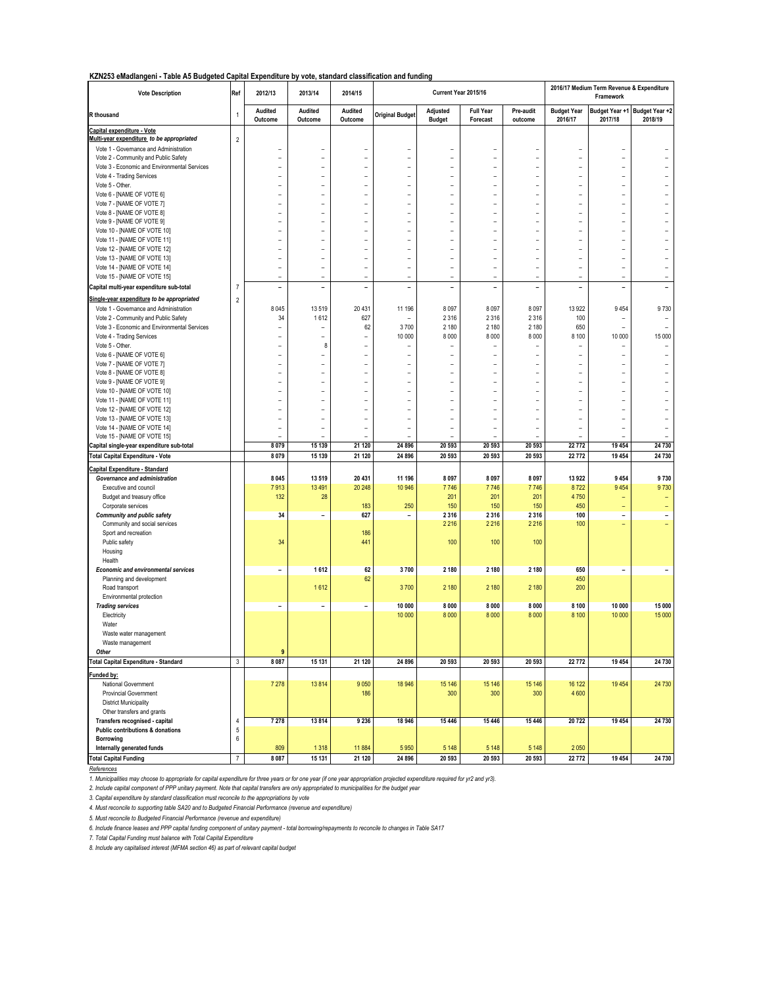#### **KZN253 eMadlangeni - Table A5 Budgeted Capital Expenditure by vote, standard classification and funding**

| <b>Vote Description</b>                                                             | Ref            | 2012/13                  | 2013/14                  | 2014/15                      |                                  |                           | Current Year 2015/16                       |                                  |                                     | 2016/17 Medium Term Revenue & Expenditure<br>Framework |                                            |
|-------------------------------------------------------------------------------------|----------------|--------------------------|--------------------------|------------------------------|----------------------------------|---------------------------|--------------------------------------------|----------------------------------|-------------------------------------|--------------------------------------------------------|--------------------------------------------|
| R thousand                                                                          | $\mathbf 1$    | Audited<br>Outcome       | Audited<br>Outcome       | Audited<br>Outcome           | <b>Original Budget</b>           | Adjusted<br><b>Budget</b> | <b>Full Year</b><br>Forecast               | Pre-audit<br>outcome             | <b>Budget Year</b><br>2016/17       | Budget Year +1<br>2017/18                              | Budget Year +2<br>2018/19                  |
| Capital expenditure - Vote                                                          |                |                          |                          |                              |                                  |                           |                                            |                                  |                                     |                                                        |                                            |
| Multi-year expenditure to be appropriated<br>Vote 1 - Governance and Administration | $\overline{2}$ |                          |                          |                              |                                  |                           |                                            |                                  | $\overline{a}$                      |                                                        |                                            |
| Vote 2 - Community and Public Safety                                                |                | $\overline{a}$           | $\overline{a}$           | $\overline{a}$               | $\overline{a}$                   | -                         | -<br>$\qquad \qquad -$                     | $\overline{a}$<br>$\overline{a}$ | $\overline{a}$                      | $\overline{a}$                                         |                                            |
| Vote 3 - Economic and Environmental Services                                        |                |                          |                          |                              | $\overline{a}$                   | $\overline{\phantom{0}}$  | $\overline{a}$                             |                                  | $\overline{a}$                      |                                                        |                                            |
| Vote 4 - Trading Services                                                           |                | L,                       | $\overline{a}$           | $\overline{a}$               | $\overline{a}$                   |                           | $\overline{a}$                             | $\overline{a}$                   | $\overline{a}$                      | $\overline{a}$                                         | $\overline{a}$                             |
| Vote 5 - Other.                                                                     |                |                          | L,                       |                              | L,                               |                           | $\overline{a}$                             | $\overline{a}$                   | $\overline{a}$                      | $\overline{a}$                                         |                                            |
| Vote 6 - [NAME OF VOTE 6]                                                           |                | $\overline{a}$           | ÷                        | ÷                            | $\overline{a}$                   | $\overline{a}$            | $\overline{a}$                             | $\overline{a}$                   | $\overline{a}$                      | $\overline{a}$                                         | $\overline{a}$                             |
| Vote 7 - [NAME OF VOTE 7]                                                           |                | $\overline{a}$           | ÷                        | ÷                            | ÷                                | $\overline{a}$            | $\overline{\phantom{a}}$                   | ÷                                | $\overline{a}$                      | $\overline{a}$                                         | $\overline{a}$                             |
| Vote 8 - [NAME OF VOTE 8]                                                           |                | ÷                        | $\overline{a}$           |                              | $\overline{a}$                   |                           | $\overline{a}$                             | -                                | $\overline{a}$                      | $\overline{a}$                                         |                                            |
| Vote 9 - [NAME OF VOTE 9]<br>Vote 10 - [NAME OF VOTE 10]                            |                | $\overline{a}$           | Ĭ.                       | $\overline{a}$               | $\overline{a}$<br>$\overline{a}$ | $\overline{\phantom{0}}$  | $\overline{\phantom{0}}$<br>$\overline{a}$ | -<br>-                           | $\overline{a}$<br>$\overline{a}$    | ۳                                                      |                                            |
| Vote 11 - [NAME OF VOTE 11]                                                         |                | $\overline{a}$           |                          | $\overline{a}$               | $\overline{a}$                   | -                         | $\overline{a}$                             | -                                | $\overline{a}$                      |                                                        |                                            |
| Vote 12 - [NAME OF VOTE 12]                                                         |                |                          |                          |                              | $\overline{a}$                   | $\overline{a}$            | $\overline{a}$                             |                                  | $\overline{a}$                      | ÷                                                      |                                            |
| Vote 13 - [NAME OF VOTE 13]                                                         |                | $\overline{a}$           | L,                       | L,                           | $\overline{a}$                   |                           | $\overline{a}$                             | $\overline{a}$                   | $\overline{a}$                      | ÷                                                      | $\overline{\phantom{0}}$                   |
| Vote 14 - [NAME OF VOTE 14]                                                         |                | $\overline{a}$           | $\overline{a}$           |                              | $\overline{a}$                   |                           | $\overline{a}$                             | L,                               | $\overline{a}$                      | $\overline{a}$                                         | $\overline{a}$                             |
| Vote 15 - [NAME OF VOTE 15]                                                         |                | $\overline{a}$           | $\overline{a}$           | ÷                            | ÷                                | $\overline{a}$            | $\overline{\phantom{a}}$                   | ÷                                | $\overline{a}$                      | $\overline{a}$                                         | $\overline{a}$                             |
| Capital multi-year expenditure sub-total                                            | $\overline{7}$ | $\overline{\phantom{a}}$ | $\overline{a}$           | $\overline{\phantom{a}}$     | $\overline{a}$                   | -                         | $\overline{\phantom{a}}$                   | $\overline{a}$                   | $\overline{\phantom{a}}$            | $\overline{\phantom{0}}$                               |                                            |
| Single-year expenditure to be appropriated                                          | $\overline{2}$ |                          |                          |                              |                                  |                           |                                            |                                  |                                     |                                                        |                                            |
| Vote 1 - Governance and Administration                                              |                | 8 0 45                   | 13519                    | 20 431                       | 11 196                           | 8 0 9 7                   | 8 0 9 7                                    | 8 0 9 7                          | 13922                               | 9454                                                   | 9730                                       |
| Vote 2 - Community and Public Safety                                                |                | 34                       | 1612                     | 627                          |                                  | 2 3 1 6                   | 2 3 1 6                                    | 2 3 1 6                          | 100                                 | $\overline{a}$                                         | $\overline{a}$                             |
| Vote 3 - Economic and Environmental Services                                        |                | $\overline{\phantom{a}}$ | ÷                        | 62                           | 3700                             | 2 180                     | 2 180                                      | 2 180                            | 650                                 | $\overline{a}$                                         | $\overline{a}$                             |
| Vote 4 - Trading Services<br>Vote 5 - Other.                                        |                | Ē.<br>$\overline{a}$     | L,<br>8                  | $\overline{a}$<br>÷          | 10 000<br>÷                      | 8 0 0 0<br>$\overline{a}$ | 8 0 0 0<br>$\overline{\phantom{0}}$        | 8 0 0 0<br>÷                     | 8 1 0 0<br>$\overline{\phantom{a}}$ | 10 000<br>$\overline{a}$                               | 15 000<br>$\overline{\phantom{a}}$         |
| Vote 6 - [NAME OF VOTE 6]                                                           |                | $\overline{a}$           | $\overline{a}$           | $\overline{a}$               | $\overline{a}$                   | $\overline{\phantom{0}}$  | $\overline{a}$                             | $\overline{a}$                   | $\overline{a}$                      | $\overline{a}$                                         | $\overline{\phantom{m}}$                   |
| Vote 7 - [NAME OF VOTE 7]                                                           |                | $\overline{a}$           | $\overline{a}$           | $\overline{a}$               | $\overline{a}$                   | $\overline{a}$            | $\overline{\phantom{0}}$                   | $\overline{a}$                   | $\overline{a}$                      | ۳                                                      | ÷.                                         |
| Vote 8 - [NAME OF VOTE 8]                                                           |                | ۳                        | L,                       |                              | $\overline{a}$                   |                           | $\overline{a}$                             | -                                | $\overline{a}$                      |                                                        |                                            |
| Vote 9 - [NAME OF VOTE 9]                                                           |                | $\overline{a}$           | L,                       | $\overline{a}$               | $\overline{a}$                   | -                         | $\overline{a}$                             | $\overline{a}$                   | $\overline{a}$                      | $\overline{a}$                                         | $\overline{a}$                             |
| Vote 10 - [NAME OF VOTE 10]                                                         |                |                          |                          |                              | $\overline{a}$                   | $\overline{\phantom{0}}$  | $\overline{a}$                             |                                  | $\overline{a}$                      |                                                        |                                            |
| Vote 11 - [NAME OF VOTE 11]                                                         |                | L,                       | L,                       |                              | $\overline{a}$                   |                           | $\overline{a}$                             | $\overline{a}$                   | $\overline{a}$                      | $\overline{a}$                                         | $\overline{a}$                             |
| Vote 12 - [NAME OF VOTE 12]                                                         |                | $\overline{a}$           | $\overline{a}$<br>÷      |                              | $\overline{a}$                   | ۳                         | $\overline{a}$<br>$\overline{a}$           | $\overline{a}$                   | $\overline{a}$<br>$\overline{a}$    | $\overline{a}$                                         | $\overline{a}$<br>$\overline{\phantom{a}}$ |
| Vote 13 - [NAME OF VOTE 13]<br>Vote 14 - [NAME OF VOTE 14]                          |                | $\overline{a}$           | ÷                        |                              | ÷                                | $\overline{a}$            | $\overline{a}$                             | $\overline{a}$                   | $\overline{a}$                      | ۰                                                      | $\overline{\phantom{a}}$                   |
| Vote 15 - [NAME OF VOTE 15]                                                         |                |                          |                          |                              | L,                               |                           |                                            | $\overline{a}$                   |                                     |                                                        | $\overline{a}$                             |
| Capital single-year expenditure sub-total                                           |                | 8 0 7 9                  | 15 139                   | 21 120                       | 24 8 96                          | 20 593                    | 20 593                                     | 20 593                           | 22772                               | 19 454                                                 | 24 730                                     |
| <b>Total Capital Expenditure - Vote</b>                                             |                | 8 0 7 9                  | 15 139                   | 21 120                       | 24 8 96                          | 20 593                    | 20 593                                     | 20 593                           | 22772                               | 19 454                                                 | 24 730                                     |
| <b>Capital Expenditure - Standard</b>                                               |                |                          |                          |                              |                                  |                           |                                            |                                  |                                     |                                                        |                                            |
| Governance and administration                                                       |                | 8 0 4 5                  | 13519                    | 20 431                       | 11 196                           | 8 0 9 7                   | 8 0 9 7                                    | 8 0 9 7                          | 13922                               | 9 4 5 4                                                | 9730                                       |
| Executive and council                                                               |                | 7913                     | 13491                    | 20 248                       | 10 946                           | 7746                      | 7746                                       | 7746                             | 8722                                | 9 4 5 4                                                | 9730                                       |
| Budget and treasury office                                                          |                | 132                      | 28                       |                              |                                  | 201                       | 201                                        | 201                              | 4750                                |                                                        | $\equiv$                                   |
| Corporate services                                                                  |                |                          |                          | 183                          | 250                              | 150                       | 150                                        | 150                              | 450                                 | ÷                                                      | $\equiv$                                   |
| <b>Community and public safety</b>                                                  |                | 34                       | $\overline{\phantom{0}}$ | 627                          | $\qquad \qquad -$                | 2 3 1 6                   | 2 3 1 6                                    | 2 3 1 6                          | 100                                 | $\overline{a}$                                         | $\overline{\phantom{a}}$                   |
| Community and social services<br>Sport and recreation                               |                |                          |                          | 186                          |                                  | 2 2 16                    | 2 2 1 6                                    | 2 2 16                           | 100                                 | $\overline{\phantom{0}}$                               | u,                                         |
| Public safety                                                                       |                | 34                       |                          | 441                          |                                  | 100                       | 100                                        | 100                              |                                     |                                                        |                                            |
| Housing                                                                             |                |                          |                          |                              |                                  |                           |                                            |                                  |                                     |                                                        |                                            |
| Health                                                                              |                |                          |                          |                              |                                  |                           |                                            |                                  |                                     |                                                        |                                            |
| <b>Economic and environmental services</b>                                          |                | $\overline{\phantom{a}}$ | 1612                     | 62                           | 3700                             | 2 180                     | 2 1 8 0                                    | 2 180                            | 650                                 | -                                                      | $\overline{\phantom{a}}$                   |
| Planning and development                                                            |                |                          |                          | 62                           |                                  |                           |                                            |                                  | 450                                 |                                                        |                                            |
| Road transport                                                                      |                |                          | 1612                     |                              | 3700                             | 2 180                     | 2 180                                      | 2 180                            | 200                                 |                                                        |                                            |
| Environmental protection<br><b>Trading services</b>                                 |                | $\overline{\phantom{a}}$ | $\overline{\phantom{a}}$ | $\qquad \qquad \blacksquare$ | 10 000                           | 8 0 0 0                   | 8 0 0 0                                    | 8 0 0 0                          | 8 1 0 0                             | 10 000                                                 | 15 000                                     |
| Electricity                                                                         |                |                          |                          |                              | 10 000                           | 8 0 0 0                   | 8 0 0 0                                    | 8 0 0 0                          | 8 1 0 0                             | 10 000                                                 | 15 000                                     |
| Water                                                                               |                |                          |                          |                              |                                  |                           |                                            |                                  |                                     |                                                        |                                            |
| Waste water management                                                              |                |                          |                          |                              |                                  |                           |                                            |                                  |                                     |                                                        |                                            |
| Waste management                                                                    |                |                          |                          |                              |                                  |                           |                                            |                                  |                                     |                                                        |                                            |
| Other                                                                               |                | $\boldsymbol{9}$         |                          |                              |                                  |                           |                                            |                                  |                                     |                                                        |                                            |
| Total Capital Expenditure - Standard                                                | $\mathsf 3$    | 8 0 8 7                  | 15 131                   | 21 120                       | 24 8 96                          | 20 593                    | 20 593                                     | 20 593                           | 22772                               | 19 454                                                 | 24 730                                     |
| Funded by:                                                                          |                |                          |                          |                              |                                  |                           |                                            |                                  |                                     |                                                        |                                            |
| National Government                                                                 |                | 7 2 7 8                  | 13814                    | 9 0 5 0                      | 18 946                           | 15 146                    | 15 146                                     | 15 14 6                          | 16 122                              | 19 4 54                                                | 24 730                                     |
| <b>Provincial Government</b>                                                        |                |                          |                          | 186                          |                                  | 300                       | 300                                        | 300                              | 4600                                |                                                        |                                            |
| <b>District Municipality</b>                                                        |                |                          |                          |                              |                                  |                           |                                            |                                  |                                     |                                                        |                                            |
| Other transfers and grants<br>Transfers recognised - capital                        | $\sqrt{4}$     | 7 2 7 8                  | 13814                    | 9 2 3 6                      | 18 946                           | 15 4 46                   | 15 4 46                                    | 15 4 46                          | 20722                               | 19 454                                                 | 24 730                                     |
| Public contributions & donations                                                    | $\mathbf 5$    |                          |                          |                              |                                  |                           |                                            |                                  |                                     |                                                        |                                            |
| Borrowing                                                                           | 6              |                          |                          |                              |                                  |                           |                                            |                                  |                                     |                                                        |                                            |
| Internally generated funds                                                          |                | 809                      | 1318                     | 11884                        | 5950                             | 5 1 4 8                   | 5 1 4 8                                    | 5 1 4 8                          | 2050                                |                                                        |                                            |
| <b>Total Capital Funding</b>                                                        | $\overline{7}$ | 8 0 8 7                  | 15 131                   | 21 120                       | 24 896                           | 20 593                    | 20 593                                     | 20 593                           | 22772                               | 19 454                                                 | 24 730                                     |

*References*

*1. Municipalities may choose to appropriate for capital expenditure for three years or for one year (if one year appropriation projected expenditure required for yr2 and yr3).*

2. Include capital component of PPP unitary payment. Note that capital transfers are only appropriated to municipalities for the budget year<br>3. Capital expenditure by standard classification must reconcile to the appropria

*4. Must reconcile to supporting table SA20 and to Budgeted Financial Performance (revenue and expenditure)*

*5. Must reconcile to Budgeted Financial Performance (revenue and expenditure)*

*6. Include finance leases and PPP capital funding component of unitary payment - total borrowing/repayments to reconcile to changes in Table SA17*

*7. Total Capital Funding must balance with Total Capital Expenditure*

*8. Include any capitalised interest (MFMA section 46) as part of relevant capital budget*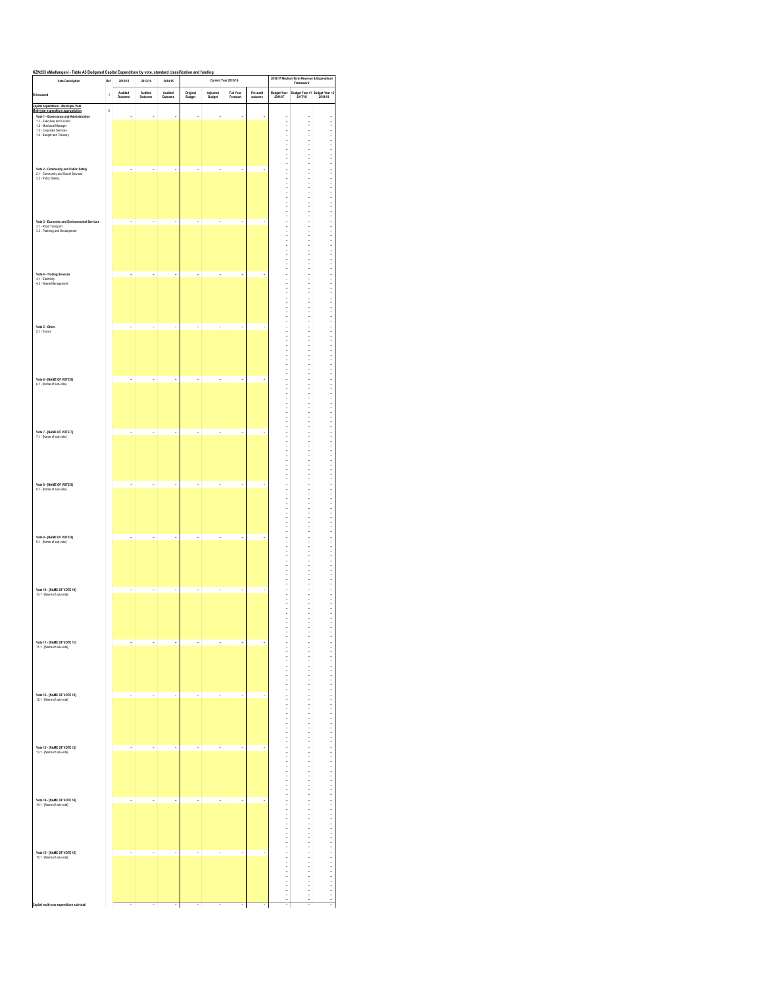| KZN253 eMadlangeni<br><b>A5 Budgeted</b><br>able<br><b>Vote Description</b>    | Capital<br>Ref | 2012/13            | 2013/14                  | 2014/15                  | Expenditure by vote, standard classification and funding |                          | Current Year 2015/16     |                      |                        | 2016/17 Medium Term Revenue & Expenditure<br>Framework |                                                  |
|--------------------------------------------------------------------------------|----------------|--------------------|--------------------------|--------------------------|----------------------------------------------------------|--------------------------|--------------------------|----------------------|------------------------|--------------------------------------------------------|--------------------------------------------------|
| R thousand                                                                     | 1              | Audited<br>Outcome | Audited<br>Outcome       | Audited<br>Outcome       | Original<br>Budget                                       | Adjusted<br>Budget       | Full Year<br>Forecast    | Pre-audit<br>outcome | Budget Year<br>2016/17 |                                                        | Budget Year +1 Budget Year +2<br>2017/18 2018/19 |
| Capital expenditure - Municipal Vote                                           |                |                    |                          |                          |                                                          |                          |                          |                      |                        |                                                        |                                                  |
| Multi-vear expenditure appropriation<br>Vote 1 - Governance and Administration | $\overline{a}$ | J.                 | i,                       | ä,                       | J.                                                       | í,                       | í,                       | J.                   |                        |                                                        |                                                  |
| 1.1 - Executive and Council<br>1.2 - Municipal Manager                         |                |                    |                          |                          |                                                          |                          |                          |                      |                        |                                                        |                                                  |
| 1.3 - Corporate Services<br>1.4 - Budget and Treasury                          |                |                    |                          |                          |                                                          |                          |                          |                      |                        |                                                        |                                                  |
|                                                                                |                |                    |                          |                          |                                                          |                          |                          |                      |                        |                                                        |                                                  |
|                                                                                |                |                    |                          |                          |                                                          |                          |                          |                      |                        |                                                        |                                                  |
| Vote 2 - Community and Public Safety<br>2.1 - Community and Social Services    |                | í,                 | í,                       | i,                       | í,                                                       | i,                       | Ĭ,                       |                      |                        |                                                        |                                                  |
| 2.2 - Public Safety                                                            |                |                    |                          |                          |                                                          |                          |                          |                      |                        |                                                        |                                                  |
|                                                                                |                |                    |                          |                          |                                                          |                          |                          |                      |                        |                                                        |                                                  |
|                                                                                |                |                    |                          |                          |                                                          |                          |                          |                      |                        |                                                        |                                                  |
|                                                                                |                |                    |                          |                          |                                                          |                          |                          |                      |                        |                                                        |                                                  |
| Vote 3 - Economic and Environmental Services                                   |                | í,                 | í,                       | i,                       | J.                                                       | i,                       | Ĭ,                       | i.                   |                        |                                                        |                                                  |
| 3.1 - Road Transport<br>3.2 - Planning and Development                         |                |                    |                          |                          |                                                          |                          |                          |                      |                        |                                                        |                                                  |
|                                                                                |                |                    |                          |                          |                                                          |                          |                          |                      |                        |                                                        |                                                  |
|                                                                                |                |                    |                          |                          |                                                          |                          |                          |                      |                        |                                                        |                                                  |
|                                                                                |                |                    |                          |                          |                                                          |                          |                          |                      |                        |                                                        |                                                  |
| Vote 4 - Trading Services                                                      |                | š                  | ł                        | i,                       | i,                                                       | ł                        | i,                       |                      |                        |                                                        |                                                  |
| 4.1 - Electricity<br>4.2 - Waste Management                                    |                |                    |                          |                          |                                                          |                          |                          |                      |                        |                                                        |                                                  |
|                                                                                |                |                    |                          |                          |                                                          |                          |                          |                      |                        |                                                        |                                                  |
|                                                                                |                |                    |                          |                          |                                                          |                          |                          |                      |                        |                                                        |                                                  |
|                                                                                |                |                    |                          |                          |                                                          |                          |                          |                      |                        |                                                        |                                                  |
| Vote 5 - Other.                                                                |                | í,                 | i,                       | ×,                       | í,                                                       | i,                       | Ĭ,                       | i,                   |                        |                                                        |                                                  |
| 5.1 - Torism                                                                   |                |                    |                          |                          |                                                          |                          |                          |                      |                        |                                                        |                                                  |
|                                                                                |                |                    |                          |                          |                                                          |                          |                          |                      |                        |                                                        |                                                  |
|                                                                                |                |                    |                          |                          |                                                          |                          |                          |                      |                        |                                                        |                                                  |
|                                                                                |                |                    |                          |                          |                                                          |                          |                          |                      |                        |                                                        |                                                  |
| Vote 6 - [NAME OF VOTE 6]                                                      |                | ÿ                  | i,                       | i,                       | í,                                                       | i,                       | Ĭ,                       | ÷                    |                        |                                                        |                                                  |
| 6.1 - [Name of sub-vote]                                                       |                |                    |                          |                          |                                                          |                          |                          |                      |                        |                                                        |                                                  |
|                                                                                |                |                    |                          |                          |                                                          |                          |                          |                      |                        |                                                        |                                                  |
|                                                                                |                |                    |                          |                          |                                                          |                          |                          |                      |                        |                                                        |                                                  |
|                                                                                |                |                    |                          |                          |                                                          |                          |                          |                      |                        |                                                        |                                                  |
|                                                                                |                |                    |                          |                          |                                                          |                          |                          |                      |                        |                                                        |                                                  |
| Vote 7 - [NAME OF VOTE 7]<br>7.1 - [Name of sub-vote]                          |                | J.                 | ä,                       | ä,                       | J.                                                       | i,                       | $\overline{\phantom{a}}$ | J.                   |                        |                                                        |                                                  |
|                                                                                |                |                    |                          |                          |                                                          |                          |                          |                      |                        |                                                        |                                                  |
|                                                                                |                |                    |                          |                          |                                                          |                          |                          |                      |                        |                                                        |                                                  |
|                                                                                |                |                    |                          |                          |                                                          |                          |                          |                      |                        |                                                        |                                                  |
|                                                                                |                |                    |                          |                          |                                                          |                          |                          |                      |                        |                                                        |                                                  |
| Vote 8 - [NAME OF VOTE 8]<br>8.1 - [Name of sub-vote]                          |                | Î,                 | í,                       | i,                       | Î,                                                       | í,                       | í,                       | í.                   |                        |                                                        |                                                  |
|                                                                                |                |                    |                          |                          |                                                          |                          |                          |                      |                        |                                                        |                                                  |
|                                                                                |                |                    |                          |                          |                                                          |                          |                          |                      |                        |                                                        |                                                  |
|                                                                                |                |                    |                          |                          |                                                          |                          |                          |                      |                        |                                                        |                                                  |
|                                                                                |                |                    |                          |                          |                                                          |                          |                          |                      |                        |                                                        |                                                  |
| Vote 9 - [NAME OF VOTE 9]<br>9.1 - [Name of sub-vote]                          |                | í,                 | i,                       | i,                       | í,                                                       | ÷                        | ä,                       | i,                   |                        |                                                        |                                                  |
|                                                                                |                |                    |                          |                          |                                                          |                          |                          |                      |                        |                                                        |                                                  |
|                                                                                |                |                    |                          |                          |                                                          |                          |                          |                      |                        |                                                        |                                                  |
|                                                                                |                |                    |                          |                          |                                                          |                          |                          |                      |                        |                                                        |                                                  |
|                                                                                |                |                    |                          |                          |                                                          |                          |                          |                      |                        |                                                        |                                                  |
| Vote 10 - [NAME OF VOTE 10]<br>10.1 - [Name of sub-vote]                       |                | ÿ                  | i,                       | i,                       | i,                                                       | ÷                        | i,                       | š                    |                        |                                                        |                                                  |
|                                                                                |                |                    |                          |                          |                                                          |                          |                          |                      |                        |                                                        |                                                  |
|                                                                                |                |                    |                          |                          |                                                          |                          |                          |                      |                        |                                                        |                                                  |
|                                                                                |                |                    |                          |                          |                                                          |                          |                          |                      |                        |                                                        |                                                  |
|                                                                                |                |                    |                          |                          |                                                          |                          |                          |                      | ٠<br>ł,                | ٠<br>$\frac{1}{2}$                                     | ٠                                                |
| Vote 11 - [NAME OF VOTE 11]<br>11.1 - [Name of sub-vote]                       |                | ٠                  | i,                       | ×,                       | ÷                                                        | i,                       | ×,                       | ÷                    |                        |                                                        |                                                  |
|                                                                                |                |                    |                          |                          |                                                          |                          |                          |                      |                        |                                                        |                                                  |
|                                                                                |                |                    |                          |                          |                                                          |                          |                          |                      |                        |                                                        |                                                  |
|                                                                                |                |                    |                          |                          |                                                          |                          |                          |                      |                        |                                                        |                                                  |
|                                                                                |                |                    |                          |                          |                                                          |                          |                          |                      |                        |                                                        |                                                  |
| Vote 12 - [NAME OF VOTE 12]                                                    |                | í,                 | i,                       | i,                       | ×                                                        | ł,                       | i,                       | ٠                    |                        |                                                        |                                                  |
| 12.1 - [Name of sub-vote]                                                      |                |                    |                          |                          |                                                          |                          |                          |                      |                        |                                                        |                                                  |
|                                                                                |                |                    |                          |                          |                                                          |                          |                          |                      |                        |                                                        |                                                  |
|                                                                                |                |                    |                          |                          |                                                          |                          |                          |                      |                        |                                                        |                                                  |
|                                                                                |                |                    |                          |                          |                                                          |                          |                          |                      |                        |                                                        |                                                  |
| Vote 13 - [NAME OF VOTE 13]<br>13.1 - [Name of sub-vote]                       |                | J.                 | ä,                       | ×,                       | J.                                                       | ×,                       | ä,                       | J.                   |                        |                                                        |                                                  |
|                                                                                |                |                    |                          |                          |                                                          |                          |                          |                      |                        |                                                        |                                                  |
|                                                                                |                |                    |                          |                          |                                                          |                          |                          |                      |                        |                                                        |                                                  |
|                                                                                |                |                    |                          |                          |                                                          |                          |                          |                      |                        |                                                        |                                                  |
|                                                                                |                |                    |                          |                          |                                                          |                          |                          |                      |                        |                                                        |                                                  |
| Vote 14 - [NAME OF VOTE 14]                                                    |                | í,                 | ×,                       | $\overline{\phantom{a}}$ | ×                                                        | ×,                       | $\overline{\phantom{a}}$ | J.                   |                        |                                                        |                                                  |
| 14.1 - [Name of sub-vote]                                                      |                |                    |                          |                          |                                                          |                          |                          |                      |                        |                                                        |                                                  |
|                                                                                |                |                    |                          |                          |                                                          |                          |                          |                      |                        |                                                        |                                                  |
|                                                                                |                |                    |                          |                          |                                                          |                          |                          |                      |                        |                                                        |                                                  |
|                                                                                |                |                    |                          |                          |                                                          |                          |                          |                      |                        |                                                        |                                                  |
| Vote 15 - [NAME OF VOTE 15]                                                    |                | i,                 | i,                       | i,                       | í,                                                       | ł,                       | i,                       | í.                   |                        |                                                        |                                                  |
| 15.1 - [Name of sub-vote]                                                      |                |                    |                          |                          |                                                          |                          |                          |                      |                        |                                                        |                                                  |
|                                                                                |                |                    |                          |                          |                                                          |                          |                          |                      |                        |                                                        |                                                  |
|                                                                                |                |                    |                          |                          |                                                          |                          |                          |                      |                        |                                                        |                                                  |
|                                                                                |                |                    |                          |                          |                                                          |                          |                          |                      |                        |                                                        |                                                  |
| Capital multi-year expenditure sub-total                                       |                | ÷                  | $\overline{\phantom{a}}$ | $\overline{\phantom{a}}$ | ٠                                                        | $\overline{\phantom{a}}$ | $\overline{\phantom{a}}$ | ÷                    | i,                     | $\overline{\phantom{a}}$                               | ×,                                               |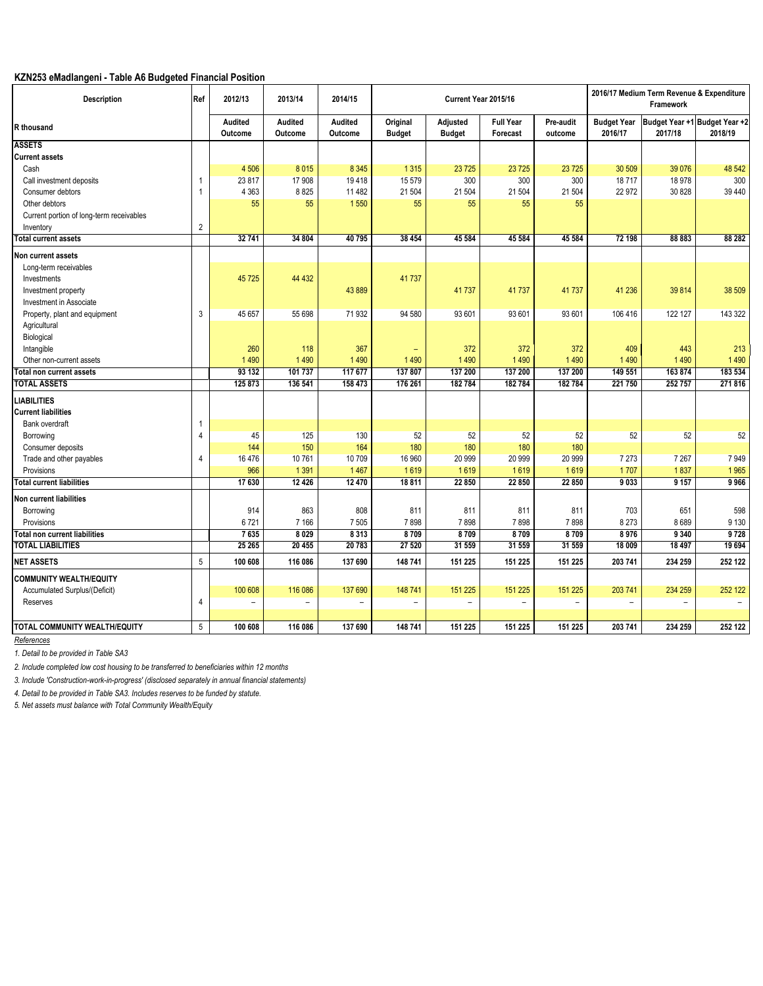## **KZN253 eMadlangeni - Table A6 Budgeted Financial Position**

| Description                              | Ref            | 2012/13                  | 2013/14                  | 2014/15                  |                           | Current Year 2015/16      |                              |                          |                               | 2016/17 Medium Term Revenue & Expenditure<br>Framework |          |
|------------------------------------------|----------------|--------------------------|--------------------------|--------------------------|---------------------------|---------------------------|------------------------------|--------------------------|-------------------------------|--------------------------------------------------------|----------|
| <b>R</b> thousand                        |                | Audited<br>Outcome       | Audited<br>Outcome       | Audited<br>Outcome       | Original<br><b>Budget</b> | Adjusted<br><b>Budget</b> | <b>Full Year</b><br>Forecast | Pre-audit<br>outcome     | <b>Budget Year</b><br>2016/17 | Budget Year +1 Budget Year +2<br>2017/18               | 2018/19  |
| <b>ASSETS</b>                            |                |                          |                          |                          |                           |                           |                              |                          |                               |                                                        |          |
| <b>Current assets</b>                    |                |                          |                          |                          |                           |                           |                              |                          |                               |                                                        |          |
| Cash                                     |                | 4 5 0 6                  | 8 0 1 5                  | 8 3 4 5                  | 1 3 1 5                   | 23725                     | 23725                        | 23 7 25                  | 30 509                        | 39 0 76                                                | 48 542   |
| Call investment deposits                 | 1              | 23 817                   | 17 908                   | 19418                    | 15 579                    | 300                       | 300                          | 300                      | 18717                         | 18 978                                                 | 300      |
| Consumer debtors                         | 1              | 4 3 6 3                  | 8825                     | 11 482                   | 21 504                    | 21 504                    | 21 504                       | 21 504                   | 22 972                        | 30 828                                                 | 39 440   |
| Other debtors                            |                | 55                       | 55                       | 1550                     | 55                        | 55                        | 55                           | 55                       |                               |                                                        |          |
| Current portion of long-term receivables |                |                          |                          |                          |                           |                           |                              |                          |                               |                                                        |          |
| Inventory                                | $\overline{2}$ |                          |                          |                          |                           |                           |                              |                          |                               |                                                        |          |
| <b>Total current assets</b>              |                | 32 741                   | 34 804                   | 40795                    | 38 454                    | 45 584                    | 45 584                       | 45 584                   | 72 198                        | 88 883                                                 | 88 282   |
| Non current assets                       |                |                          |                          |                          |                           |                           |                              |                          |                               |                                                        |          |
| Long-term receivables                    |                |                          |                          |                          |                           |                           |                              |                          |                               |                                                        |          |
| Investments                              |                | 45725                    | 44 4 32                  |                          | 41737                     |                           |                              |                          |                               |                                                        |          |
| Investment property                      |                |                          |                          | 43 889                   |                           | 41737                     | 41737                        | 41737                    | 41 236                        | 39 814                                                 | 38 509   |
| <b>Investment in Associate</b>           |                |                          |                          |                          |                           |                           |                              |                          |                               |                                                        |          |
| Property, plant and equipment            | 3              | 45 657                   | 55 698                   | 71932                    | 94 580                    | 93 601                    | 93 601                       | 93 601                   | 106 416                       | 122 127                                                | 143 322  |
| Agricultural                             |                |                          |                          |                          |                           |                           |                              |                          |                               |                                                        |          |
| Biological                               |                |                          |                          |                          |                           |                           |                              |                          |                               |                                                        |          |
| Intangible                               |                | 260                      | 118                      | 367                      | ÷                         | 372                       | 372                          | 372                      | 409                           | 443                                                    | 213      |
| Other non-current assets                 |                | 1490                     | 1 4 9 0                  | 1490                     | 1 4 9 0                   | 1490                      | 1 4 9 0                      | 1 4 9 0                  | 1490                          | 1 4 9 0                                                | 1490     |
| <b>Total non current assets</b>          |                | 93 132                   | 101 737                  | 117 677                  | 137 807                   | 137 200                   | 137 200                      | 137 200                  | 149 551                       | 163 874                                                | 183 534  |
| <b>TOTAL ASSETS</b>                      |                | 125 873                  | 136 541                  | 158 473                  | 176 261                   | 182784                    | 182 784                      | 182 784                  | 221 750                       | 252 757                                                | 271816   |
| <b>LIABILITIES</b>                       |                |                          |                          |                          |                           |                           |                              |                          |                               |                                                        |          |
| <b>Current liabilities</b>               |                |                          |                          |                          |                           |                           |                              |                          |                               |                                                        |          |
| Bank overdraft                           | -1             |                          |                          |                          |                           |                           |                              |                          |                               |                                                        |          |
| Borrowing                                | $\overline{4}$ | 45                       | 125                      | 130                      | 52                        | 52                        | 52                           | 52                       | 52                            | 52                                                     | 52       |
| Consumer deposits                        |                | 144                      | 150                      | 164                      | 180                       | 180                       | 180                          | 180                      |                               |                                                        |          |
| Trade and other payables                 | 4              | 16 476                   | 10761                    | 10709                    | 16 960                    | 20 999                    | 20 999                       | 20 999                   | 7 2 7 3                       | 7 2 6 7                                                | 7949     |
| Provisions                               |                | 966                      | 1 3 9 1                  | 1467                     | 1619                      | 1619                      | 1619                         | 1619                     | 1707                          | 1837                                                   | 1965     |
| <b>Total current liabilities</b>         |                | 17630                    | 12 4 26                  | 12 470                   | 18 811                    | 22 850                    | 22 850                       | 22 850                   | 9033                          | 9157                                                   | 9966     |
| Non current liabilities                  |                |                          |                          |                          |                           |                           |                              |                          |                               |                                                        |          |
| Borrowing                                |                | 914                      | 863                      | 808                      | 811                       | 811                       | 811                          | 811                      | 703                           | 651                                                    | 598      |
| Provisions                               |                | 6721                     | 7 1 6 6                  | 7 5 0 5                  | 7898                      | 7898                      | 7898                         | 7898                     | 8 2 7 3                       | 8 6 8 9                                                | 9 1 3 0  |
| <b>Total non current liabilities</b>     |                | 7635                     | 8 0 29                   | 8 3 1 3                  | 8709                      | 8709                      | 8709                         | 8709                     | 8976                          | 9 3 4 0                                                | 9728     |
| <b>TOTAL LIABILITIES</b>                 |                | 25 265                   | 20 455                   | 20783                    | 27 520                    | 31 559                    | 31 559                       | 31 559                   | 18 009                        | 18 497                                                 | 19 694   |
|                                          |                |                          |                          |                          |                           |                           |                              |                          |                               |                                                        |          |
| <b>NET ASSETS</b>                        | 5              | 100 608                  | 116 086                  | 137 690                  | 148 741                   | 151 225                   | 151 225                      | 151 225                  | 203 741                       | 234 259                                                | 252 122  |
| <b>COMMUNITY WEALTH/EQUITY</b>           |                |                          |                          |                          |                           |                           |                              |                          |                               |                                                        |          |
| Accumulated Surplus/(Deficit)            |                | 100 608                  | 116 086                  | 137 690                  | 148 741                   | 151 225                   | 151 225                      | 151 225                  | 203 741                       | 234 259                                                | 252 122  |
| Reserves                                 | 4              | $\overline{\phantom{0}}$ | $\overline{\phantom{a}}$ | $\overline{\phantom{a}}$ | $\overline{\phantom{0}}$  | $\overline{a}$            | $\overline{\phantom{m}}$     | $\overline{\phantom{m}}$ | $\overline{\phantom{m}}$      | $\overline{\phantom{0}}$                               | $\equiv$ |
|                                          |                |                          |                          |                          |                           |                           |                              |                          |                               |                                                        |          |
| TOTAL COMMUNITY WEALTH/EQUITY            | 5              | 100 608                  | 116 086                  | 137 690                  | 148 741                   | 151 225                   | 151 225                      | 151 225                  | 203 741                       | 234 259                                                | 252 122  |

*References*

*1. Detail to be provided in Table SA3*

*2. Include completed low cost housing to be transferred to beneficiaries within 12 months*

*3. Include 'Construction-work-in-progress' (disclosed separately in annual financial statements)*

*4. Detail to be provided in Table SA3. Includes reserves to be funded by statute.*

*5. Net assets must balance with Total Community Wealth/Equity*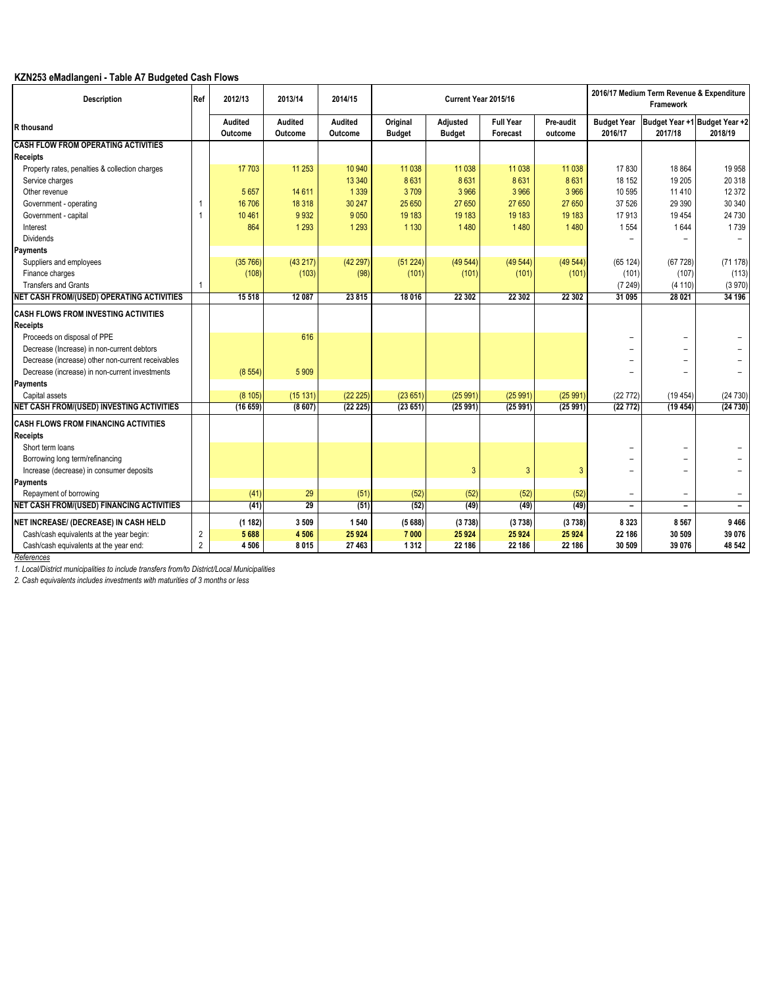# **KZN253 eMadlangeni - Table A7 Budgeted Cash Flows**

| <b>Description</b>                                | Ref            | 2012/13                   | 2013/14                   | 2014/15                   |                           | Current Year 2015/16      |                              |                      |                               | 2016/17 Medium Term Revenue & Expenditure<br>Framework |                                          |
|---------------------------------------------------|----------------|---------------------------|---------------------------|---------------------------|---------------------------|---------------------------|------------------------------|----------------------|-------------------------------|--------------------------------------------------------|------------------------------------------|
| R thousand                                        |                | <b>Audited</b><br>Outcome | <b>Audited</b><br>Outcome | <b>Audited</b><br>Outcome | Original<br><b>Budget</b> | Adjusted<br><b>Budget</b> | <b>Full Year</b><br>Forecast | Pre-audit<br>outcome | <b>Budget Year</b><br>2016/17 | 2017/18                                                | Budget Year +1 Budget Year +2<br>2018/19 |
| <b>CASH FLOW FROM OPERATING ACTIVITIES</b>        |                |                           |                           |                           |                           |                           |                              |                      |                               |                                                        |                                          |
| Receipts                                          |                |                           |                           |                           |                           |                           |                              |                      |                               |                                                        |                                          |
| Property rates, penalties & collection charges    |                | 17 703                    | 11 253                    | 10 940                    | 11 0 38                   | 11 0 38                   | 11 0 38                      | 11 0 38              | 17830                         | 18 864                                                 | 19 9 58                                  |
| Service charges                                   |                |                           |                           | 13 340                    | 8631                      | 8631                      | 8631                         | 8631                 | 18 152                        | 19 20 5                                                | 20 318                                   |
| Other revenue                                     |                | 5 6 5 7                   | 14 611                    | 1 3 3 9                   | 3709                      | 3 9 6 6                   | 3 9 6 6                      | 3 9 6 6              | 10 595                        | 11 4 10                                                | 12 372                                   |
| Government - operating                            |                | 16 70 6                   | 18 318                    | 30 247                    | 25 650                    | 27 650                    | 27 650                       | 27 650               | 37 526                        | 29 3 90                                                | 30 340                                   |
| Government - capital                              |                | 10 4 61                   | 9932                      | 9050                      | 19 183                    | 19 183                    | 19 183                       | 19 183               | 17913                         | 19 4 54                                                | 24 730                                   |
| Interest                                          |                | 864                       | 1 2 9 3                   | 1 2 9 3                   | 1 1 3 0                   | 1480                      | 1 4 8 0                      | 1 4 8 0              | 1554                          | 1644                                                   | 1739                                     |
| <b>Dividends</b>                                  |                |                           |                           |                           |                           |                           |                              |                      |                               |                                                        | $\overline{\phantom{0}}$                 |
| Payments                                          |                |                           |                           |                           |                           |                           |                              |                      |                               |                                                        |                                          |
| Suppliers and employees                           |                | (35766)                   | (43217)                   | (42297)                   | (51 224)                  | (49544)                   | (49544)                      | (49 544)             | (65124)                       | (67728)                                                | (71178)                                  |
| Finance charges                                   |                | (108)                     | (103)                     | (98)                      | (101)                     | (101)                     | (101)                        | (101)                | (101)                         | (107)                                                  | (113)                                    |
| <b>Transfers and Grants</b>                       |                |                           |                           |                           |                           |                           |                              |                      | (7249)                        | (4 110)                                                | (3970)                                   |
| NET CASH FROM/(USED) OPERATING ACTIVITIES         |                | 15 5 18                   | 12 087                    | 23815                     | 18 016                    | 22 30 2                   | 22 30 2                      | 22 30 2              | 31 095                        | 28 0 21                                                | 34 196                                   |
| <b>CASH FLOWS FROM INVESTING ACTIVITIES</b>       |                |                           |                           |                           |                           |                           |                              |                      |                               |                                                        |                                          |
| Receipts                                          |                |                           |                           |                           |                           |                           |                              |                      |                               |                                                        |                                          |
| Proceeds on disposal of PPE                       |                |                           | 616                       |                           |                           |                           |                              |                      | $\overline{\phantom{0}}$      | -                                                      |                                          |
| Decrease (Increase) in non-current debtors        |                |                           |                           |                           |                           |                           |                              |                      |                               |                                                        |                                          |
| Decrease (increase) other non-current receivables |                |                           |                           |                           |                           |                           |                              |                      | -                             | -                                                      |                                          |
| Decrease (increase) in non-current investments    |                | (8554)                    | 5 9 0 9                   |                           |                           |                           |                              |                      | -                             |                                                        |                                          |
| Payments                                          |                |                           |                           |                           |                           |                           |                              |                      |                               |                                                        |                                          |
| Capital assets                                    |                | (8105)                    | (15131)                   | (22 225)                  | (23651)                   | (25991)                   | (25991)                      | (25991)              | (22772)                       | (19454)                                                | (24730)                                  |
| NET CASH FROM/(USED) INVESTING ACTIVITIES         |                | (16659)                   | (8607)                    | (22 225)                  | (23651)                   | (25991)                   | (25991)                      | (25 991)             | (22772)                       | (19454)                                                | (24730)                                  |
| CASH FLOWS FROM FINANCING ACTIVITIES              |                |                           |                           |                           |                           |                           |                              |                      |                               |                                                        |                                          |
|                                                   |                |                           |                           |                           |                           |                           |                              |                      |                               |                                                        |                                          |
| Receipts<br>Short term loans                      |                |                           |                           |                           |                           |                           |                              |                      | -                             |                                                        |                                          |
|                                                   |                |                           |                           |                           |                           |                           |                              |                      |                               | -                                                      |                                          |
| Borrowing long term/refinancing                   |                |                           |                           |                           |                           |                           | 3                            |                      | $\overline{\phantom{0}}$      | -                                                      |                                          |
| Increase (decrease) in consumer deposits          |                |                           |                           |                           |                           | $\overline{3}$            |                              | $\overline{3}$       | $\overline{\phantom{0}}$      | $\overline{\phantom{0}}$                               |                                          |
| Payments                                          |                |                           |                           |                           |                           |                           |                              |                      |                               |                                                        |                                          |
| Repayment of borrowing                            |                | (41)                      | 29                        | (51)                      | (52)                      | (52)                      | (52)                         | (52)                 | $\overline{a}$                | -                                                      | -                                        |
| NET CASH FROM/(USED) FINANCING ACTIVITIES         |                | (41)                      | $\overline{29}$           | (51)                      | (52)                      | (49)                      | (49)                         | (49)                 | $\qquad \qquad -$             | $\qquad \qquad -$                                      | $\overline{\phantom{a}}$                 |
| NET INCREASE/ (DECREASE) IN CASH HELD             |                | (1182)                    | 3 5 0 9                   | 1 5 4 0                   | (5688)                    | (3738)                    | (3738)                       | (3738)               | 8323                          | 8 5 6 7                                                | 9466                                     |
| Cash/cash equivalents at the year begin:          | $\overline{2}$ | 5688                      | 4 5 0 6                   | 25 9 24                   | 7 000                     | 25 9 24                   | 25 9 24                      | 25 9 24              | 22 186                        | 30 509                                                 | 39 076                                   |
| Cash/cash equivalents at the year end:            | $\overline{2}$ | 4506                      | 8015                      | 27 463                    | 1312                      | 22 186                    | 22 186                       | 22 186               | 30 509                        | 39 076                                                 | 48 542                                   |

*References*

*1. Local/District municipalities to include transfers from/to District/Local Municipalities*

*2. Cash equivalents includes investments with maturities of 3 months or less*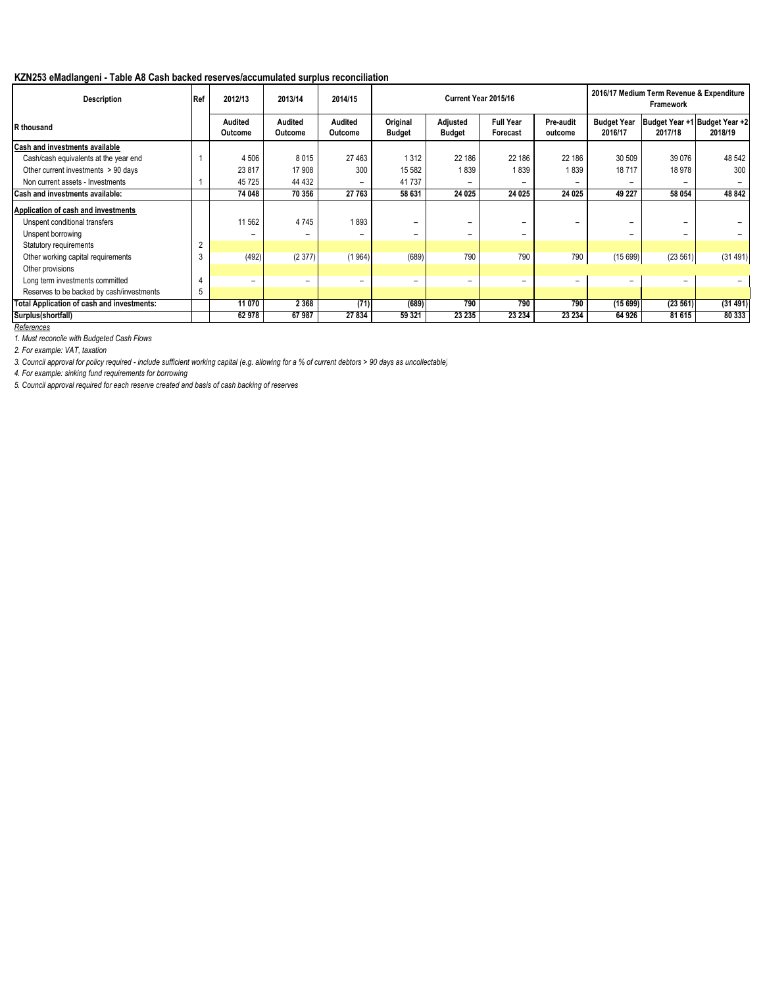## **KZN253 eMadlangeni - Table A8 Cash backed reserves/accumulated surplus reconciliation**

| <b>Description</b>                         | Ref            | 2012/13                   | 2013/14            | 2014/15            |                           | Current Year 2015/16             |                              |                      |                               | 2016/17 Medium Term Revenue & Expenditure<br>Framework |         |
|--------------------------------------------|----------------|---------------------------|--------------------|--------------------|---------------------------|----------------------------------|------------------------------|----------------------|-------------------------------|--------------------------------------------------------|---------|
| R thousand                                 |                | <b>Audited</b><br>Outcome | Audited<br>Outcome | Audited<br>Outcome | Original<br><b>Budget</b> | <b>Adjusted</b><br><b>Budget</b> | <b>Full Year</b><br>Forecast | Pre-audit<br>outcome | <b>Budget Year</b><br>2016/17 | Budget Year +1 Budget Year +2<br>2017/18               | 2018/19 |
| Cash and investments available             |                |                           |                    |                    |                           |                                  |                              |                      |                               |                                                        |         |
| Cash/cash equivalents at the year end      |                | 4 5 0 6                   | 8015               | 27 4 63            | 1 3 1 2                   | 22 186                           | 22 186                       | 22 186               | 30 509                        | 39 0 76                                                | 48 542  |
| Other current investments > 90 days        |                | 23 817                    | 17 908             | 300                | 15 5 82                   | 1839                             | 1839                         | 1839                 | 18717                         | 18 978                                                 | 300     |
| Non current assets - Investments           |                | 45725                     | 44 432             | -                  | 41737                     | -                                |                              |                      |                               | -                                                      |         |
| Cash and investments available:            |                | 74 048                    | 70 356             | 27 763             | 58 631                    | 24 0 25                          | 24 0 25                      | 24 0 25              | 49 227                        | 58 054                                                 | 48 842  |
| Application of cash and investments        |                |                           |                    |                    |                           |                                  |                              |                      |                               |                                                        |         |
| Unspent conditional transfers              |                | 11 562                    | 4745               | 1893               | -                         | $\overline{\phantom{0}}$         | $\overline{\phantom{0}}$     |                      | $\qquad \qquad$               | -                                                      |         |
| Unspent borrowing                          |                | -                         |                    |                    | -                         | $\overline{\phantom{0}}$         | $\overline{\phantom{0}}$     |                      |                               | -                                                      |         |
| Statutory requirements                     | $\overline{2}$ |                           |                    |                    |                           |                                  |                              |                      |                               |                                                        |         |
| Other working capital requirements         | 3              | (492)                     | (2377)             | (1964)             | (689)                     | 790                              | 790                          | 790                  | (15699)                       | (23 561)                                               | (31491) |
| Other provisions                           |                |                           |                    |                    |                           |                                  |                              |                      |                               |                                                        |         |
| Long term investments committed            |                | -                         | Ξ.                 | -                  | -                         | $\qquad \qquad \blacksquare$     | $\qquad \qquad \blacksquare$ | $\equiv$             | $\overline{\phantom{0}}$      | -                                                      |         |
| Reserves to be backed by cash/investments  | 5              |                           |                    |                    |                           |                                  |                              |                      |                               |                                                        |         |
| Total Application of cash and investments: |                | 11 070                    | 2 3 6 8            | (71)               | (689)                     | 790                              | 790                          | 790                  | (15699)                       | (23 561)                                               | (31491) |
| Surplus(shortfall)                         |                | 62978                     | 67987              | 27 834             | 59 321                    | 23 235                           | 23 234                       | 23 234               | 64 926                        | 81 615                                                 | 80 333  |
| References                                 |                |                           |                    |                    |                           |                                  |                              |                      |                               |                                                        |         |

*1. Must reconcile with Budgeted Cash Flows*

*2. For example: VAT, taxation*

*3. Council approval for policy required - include sufficient working capital (e.g. allowing for a % of current debtors > 90 days as uncollectable)*

*4. For example: sinking fund requirements for borrowing*

*5. Council approval required for each reserve created and basis of cash backing of reserves*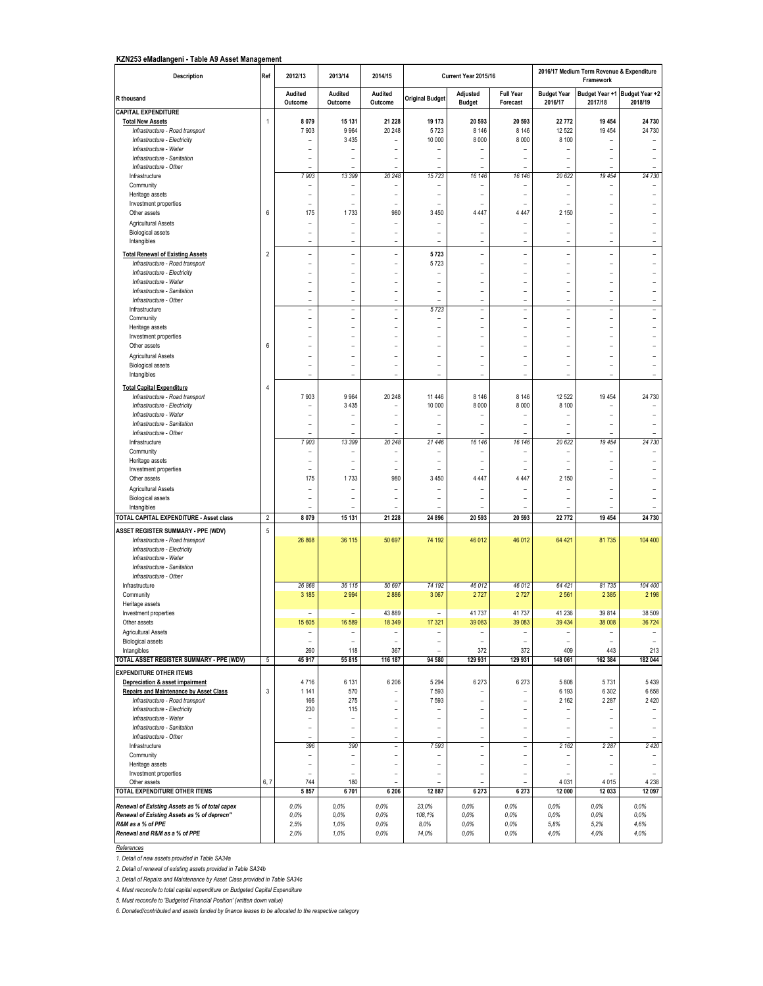#### **KZN253 eMadlangeni - Table A9 Asset Management**

| Description                                           | Ref            | 2012/13                          | 2013/14                  | 2014/15                  |                                  | Current Year 2015/16      |                               |                               | 2016/17 Medium Term Revenue & Expenditure<br>Framework |                                            |
|-------------------------------------------------------|----------------|----------------------------------|--------------------------|--------------------------|----------------------------------|---------------------------|-------------------------------|-------------------------------|--------------------------------------------------------|--------------------------------------------|
| R thousand                                            |                | Audited<br>Outcome               | Audited<br>Outcome       | Audited<br>Outcome       | <b>Original Budget</b>           | Adjusted<br><b>Budget</b> | <b>Full Year</b><br>Forecast  | <b>Budget Year</b><br>2016/17 | 2017/18                                                | Budget Year +1 Budget Year +2<br>2018/19   |
| <b>CAPITAL EXPENDITURE</b>                            |                |                                  |                          |                          |                                  |                           |                               |                               |                                                        |                                            |
| <b>Total New Assets</b>                               | $\mathbf{1}$   | 8 0 7 9                          | 15 131                   | 21 228                   | 19 173                           | 20 593                    | 20 593                        | 22 772                        | 19 4 54                                                | 24 730                                     |
| Infrastructure - Road transport                       |                | 7903                             | 9964                     | 20 248                   | 5723                             | 8 1 4 6                   | 8 1 4 6                       | 12 5 22                       | 19 4 5 4                                               | 24 730                                     |
| Infrastructure - Electricity                          |                |                                  | 3 4 3 5                  | $\overline{a}$           | 10 000                           | 8 0 0 0                   | 8 0 0 0                       | 8 100                         |                                                        | $\overline{\phantom{0}}$                   |
| Infrastructure - Water                                |                |                                  |                          |                          |                                  |                           | L,                            |                               |                                                        | $\overline{a}$                             |
| Infrastructure - Sanitation<br>Infrastructure - Other |                | L,                               | L,                       | $\overline{a}$           | $\overline{a}$<br>$\overline{a}$ | L,<br>L,                  | $\overline{a}$                |                               |                                                        | $\overline{a}$                             |
| Infrastructure                                        |                | 7 903                            | 13 399                   | 20 248                   | 15723                            | 16 146                    | 16 146                        | 20 622                        | 19 454                                                 | 24 730                                     |
| Community                                             |                | $\overline{\phantom{a}}$         |                          |                          | $\overline{a}$                   | $\overline{\phantom{a}}$  | $\overline{\phantom{a}}$      |                               |                                                        | $\overline{a}$                             |
| Heritage assets                                       |                | $\overline{a}$                   | $\overline{a}$           | $\overline{a}$           | $\overline{a}$                   | $\overline{a}$            | $\overline{a}$                | $\overline{a}$                | $\overline{a}$                                         | $\overline{a}$                             |
| Investment properties                                 |                | $\overline{\phantom{a}}$         |                          |                          |                                  |                           | $\overline{\phantom{a}}$      |                               | $\overline{\phantom{a}}$                               |                                            |
| Other assets                                          | 6              | 175                              | 1733                     | 980                      | 3 4 5 0                          | 4 4 4 7                   | 4 4 4 7                       | 2 150                         | ÷                                                      | $\overline{\phantom{0}}$                   |
| Agricultural Assets                                   |                |                                  |                          |                          |                                  |                           |                               |                               |                                                        |                                            |
| <b>Biological assets</b>                              |                | $\overline{a}$                   |                          | $\overline{a}$           | ÷                                | -                         |                               |                               | $\overline{a}$                                         |                                            |
| Intangibles                                           |                | $\overline{a}$                   | $\overline{a}$           | $\overline{a}$           | $\overline{a}$                   | $\overline{a}$            | $\overline{a}$                | $\overline{a}$                | $\overline{a}$                                         | $\overline{a}$                             |
| <b>Total Renewal of Existing Assets</b>               | $\overline{2}$ | $\overline{a}$                   | $\overline{a}$           | $\overline{a}$           | 5723                             | $\overline{a}$            | $\overline{a}$                |                               |                                                        | $\overline{a}$                             |
| Infrastructure - Road transport                       |                | $\overline{a}$                   | $\overline{a}$           | $\overline{a}$           | 5723                             | $\overline{\phantom{a}}$  | $\overline{a}$                | $\overline{a}$                | $\overline{a}$                                         | $\overline{a}$                             |
| Infrastructure - Electricity                          |                | $\overline{a}$                   | $\overline{a}$           | $\overline{\phantom{a}}$ |                                  | ÷                         | $\overline{a}$                | $\overline{a}$                | ÷                                                      | $\overline{\phantom{a}}$                   |
| Infrastructure - Water                                |                | $\overline{a}$                   | $\overline{a}$           | $\overline{\phantom{a}}$ | $\overline{a}$                   | $\overline{\phantom{0}}$  | $\overline{a}$                | $\overline{a}$                | $\overline{\phantom{a}}$                               | $\overline{\phantom{0}}$                   |
| Infrastructure - Sanitation                           |                | $\overline{a}$                   | $\overline{a}$           | $\overline{a}$           |                                  |                           | L,                            |                               |                                                        | $\overline{a}$                             |
| Infrastructure - Other                                |                | ÷,                               | L,                       | $\overline{a}$           | $\overline{a}$                   | $\overline{a}$            | $\overline{a}$                | $\overline{a}$                | $\overline{a}$                                         | $\overline{a}$                             |
| Infrastructure                                        |                | L.                               | $\equiv$                 | $\overline{a}$           | 5723                             | L.                        | $\equiv$                      | $\equiv$                      | $\equiv$                                               | $\bar{a}$                                  |
| Community                                             |                | $\overline{a}$                   |                          | $\overline{a}$           |                                  | -                         |                               |                               |                                                        |                                            |
| Heritage assets                                       |                |                                  |                          |                          |                                  |                           |                               |                               |                                                        |                                            |
| Investment properties                                 |                | $\overline{a}$                   | $\overline{a}$           | $\overline{a}$           | J.                               | $\overline{a}$            | $\overline{a}$                | $\overline{a}$                | $\overline{a}$                                         | $\overline{a}$                             |
| Other assets                                          | $6\phantom{1}$ | $\overline{a}$                   | $\overline{a}$           | $\overline{a}$           | $\overline{a}$                   | $\overline{\phantom{a}}$  | $\overline{a}$                | $\overline{a}$                | $\overline{a}$                                         | $\overline{a}$                             |
| <b>Agricultural Assets</b>                            |                | $\overline{a}$                   |                          | L,                       | $\overline{a}$                   |                           | $\overline{a}$                |                               |                                                        |                                            |
| <b>Biological assets</b>                              |                | L,                               | L,                       | $\overline{a}$           | $\overline{a}$                   |                           | L,                            |                               |                                                        | $\overline{a}$                             |
| Intangibles                                           |                | $\overline{\phantom{0}}$         | $\overline{a}$           | $\qquad \qquad -$        | $\qquad \qquad -$                | $\overline{a}$            | $\overline{a}$                | $\overline{a}$                | $\overline{a}$                                         | $\overline{\phantom{0}}$                   |
| <b>Total Capital Expenditure</b>                      | 4              |                                  |                          |                          |                                  |                           |                               |                               |                                                        |                                            |
| Infrastructure - Road transport                       |                | 7903                             | 9964                     | 20 248                   | 11 4 46                          | 8 1 4 6                   | 8 1 4 6                       | 12 5 22                       | 19 454                                                 | 24 730                                     |
| Infrastructure - Electricity                          |                |                                  | 3 4 3 5                  |                          | 10 000                           | 8 0 0 0                   | 8 0 0 0                       | 8 100                         |                                                        | $\overline{\phantom{a}}$                   |
| Infrastructure - Water                                |                | $\overline{a}$                   |                          | $\overline{a}$           |                                  |                           | $\overline{\phantom{a}}$      |                               | $\overline{a}$                                         | $\overline{a}$                             |
| Infrastructure - Sanitation                           |                | $\overline{a}$<br>$\overline{a}$ | $\overline{a}$           | $\overline{\phantom{a}}$ | $\overline{a}$<br>$\overline{a}$ | $\overline{a}$            | ÷<br>$\overline{\phantom{a}}$ | $\overline{a}$                | $\overline{\phantom{a}}$                               | $\overline{\phantom{a}}$<br>$\overline{a}$ |
| Infrastructure - Other<br>Infrastructure              |                | 7 903                            | 13 399                   | 20 248                   | 21 446                           | 16 146                    | 16 146                        | 20 622                        | 19 454                                                 | 24 730                                     |
| Community                                             |                |                                  |                          |                          |                                  |                           |                               |                               |                                                        |                                            |
| Heritage assets                                       |                | $\overline{a}$                   |                          | $\overline{a}$           |                                  |                           | $\overline{a}$                |                               |                                                        |                                            |
| Investment properties                                 |                |                                  |                          |                          |                                  |                           |                               |                               |                                                        |                                            |
| Other assets                                          |                | 175                              | 1733                     | 980                      | 3 4 5 0                          | 4 4 4 7                   | 4 4 4 7                       | 2 1 5 0                       | $\overline{a}$                                         | $\overline{a}$                             |
| Agricultural Assets                                   |                | $\overline{a}$                   |                          |                          | ۳                                |                           |                               |                               | ۰                                                      | $\overline{\phantom{0}}$                   |
| <b>Biological assets</b>                              |                | $\overline{a}$                   |                          | $\overline{a}$           | $\overline{a}$                   |                           | L,                            |                               |                                                        | $\overline{a}$                             |
| Intangibles                                           |                |                                  |                          |                          | $\overline{a}$                   |                           |                               |                               |                                                        |                                            |
| TOTAL CAPITAL EXPENDITURE - Asset class               | $\overline{2}$ | 8 0 7 9                          | 15 131                   | 21 228                   | 24 8 96                          | 20 593                    | 20 593                        | 22 772                        | 19 454                                                 | 24 730                                     |
| ASSET REGISTER SUMMARY - PPE (WDV)                    | $\overline{5}$ |                                  |                          |                          |                                  |                           |                               |                               |                                                        |                                            |
| Infrastructure - Road transport                       |                | 26 868                           | 36 115                   | 50 697                   | 74 192                           | 46 012                    | 46 012                        | 64 421                        | 81735                                                  | 104 400                                    |
| Infrastructure - Electricity                          |                |                                  |                          |                          |                                  |                           |                               |                               |                                                        |                                            |
| Infrastructure - Water                                |                |                                  |                          |                          |                                  |                           |                               |                               |                                                        |                                            |
| Infrastructure - Sanitation                           |                |                                  |                          |                          |                                  |                           |                               |                               |                                                        |                                            |
| Infrastructure - Other                                |                |                                  |                          |                          |                                  |                           |                               |                               |                                                        |                                            |
| Infrastructure                                        |                | 26 868                           | 36 115                   | 50 697                   | 74 192                           | 46 012                    | 46 012                        | 64 421                        | 81 735                                                 | 104 400                                    |
| Community                                             |                | 3 1 8 5                          | 2994                     | 2886                     | 3 0 6 7                          | 2727                      | 2727                          | 2561                          | 2 3 8 5                                                | 2 1 9 8                                    |
| Heritage assets                                       |                | ÷                                | ÷                        | 43 889                   | $\overline{a}$                   |                           |                               | 41 236                        | 39 8 14                                                | 38 509                                     |
| Investment properties                                 |                |                                  |                          |                          |                                  | 41 737                    | 41737                         |                               |                                                        |                                            |
| Other assets<br><b>Agricultural Assets</b>            |                | 15 605                           | 16 589<br>$\overline{a}$ | 18 349<br>$\overline{a}$ | 17 321<br>$\overline{a}$         | 39 083<br>$\overline{a}$  | 39 083<br>$\overline{a}$      | 39 434                        | 38 008<br>۰                                            | 36 7 24<br>$\overline{\phantom{a}}$        |
| <b>Biological assets</b>                              |                | $\overline{a}$                   | L,                       |                          | $\overline{a}$                   |                           | L,                            |                               |                                                        | $\overline{a}$                             |
| Intangibles                                           |                | 260                              | 118                      | 367                      |                                  | 372                       | 372                           | 409                           | 443                                                    | 213                                        |
| TOTAL ASSET REGISTER SUMMARY - PPE (WDV)              | 5              | 45 917                           | 55 815                   | 116 187                  | 94 580                           | 129 931                   | 129 931                       | 148 061                       | 162 384                                                | 182 044                                    |
| <b>EXPENDITURE OTHER ITEMS</b>                        |                |                                  |                          |                          |                                  |                           |                               |                               |                                                        |                                            |
| Depreciation & asset impairment                       |                | 4716                             | 6 1 3 1                  | 6 20 6                   | 5 2 9 4                          | 6 2 7 3                   | 6 2 7 3                       | 5808                          | 5731                                                   | 5439                                       |
| <b>Repairs and Maintenance by Asset Class</b>         | $\mathsf 3$    | 1 1 4 1                          | 570                      |                          | 7593                             |                           | $\overline{a}$                | 6 1 9 3                       | 6 3 0 2                                                | 6658                                       |
| Infrastructure - Road transport                       |                | 166                              | 275                      | $\overline{a}$           | 7593                             | ÷                         | $\overline{a}$                | 2 1 6 2                       | 2 2 8 7                                                | 2420                                       |
| Infrastructure - Electricity                          |                | 230                              | 115                      | $\overline{a}$           | $\overline{a}$                   | ÷                         | $\overline{\phantom{a}}$      |                               |                                                        | $\overline{\phantom{a}}$                   |
| Infrastructure - Water                                |                | ÷                                | $\overline{a}$           | $\overline{a}$           | $\overline{a}$                   | L,                        | $\overline{a}$                | $\overline{a}$                | L,                                                     | $\blacksquare$                             |
| Infrastructure - Sanitation                           |                | ÷,                               | $\overline{a}$           | $\overline{a}$           | L,                               | $\overline{a}$            | $\overline{a}$                |                               | L,                                                     | $\overline{a}$                             |
| Infrastructure - Other                                |                | $\overline{a}$                   |                          | $\overline{a}$           | $\overline{a}$                   | $\overline{\phantom{0}}$  | $\frac{1}{2}$                 |                               |                                                        |                                            |
| Infrastructure                                        |                | 396                              | 390                      | $\frac{1}{2}$            | 7593                             | $\frac{1}{2}$             | $\overline{\phantom{a}}$      | 2 1 6 2                       | 2 2 8 7                                                | 2 4 2 0                                    |
| Community                                             |                | ÷                                | $\overline{\phantom{a}}$ | $\overline{a}$           | $\overline{a}$                   | $\overline{a}$            | $\overline{\phantom{a}}$      |                               |                                                        |                                            |
| Heritage assets                                       |                | $\overline{a}$                   | $\overline{a}$           | $\overline{a}$           | $\overline{a}$                   | $\overline{a}$            | $\overline{a}$                | $\overline{a}$                | $\overline{a}$                                         | $\overline{a}$                             |
| Investment properties                                 |                | $\overline{a}$                   | ÷                        | $\overline{a}$           | $\overline{a}$                   | ÷                         | $\overline{\phantom{a}}$      | $\overline{a}$                | $\overline{\phantom{a}}$                               | $\overline{\phantom{0}}$                   |
| Other assets                                          | 6, 7           | 744                              | 180                      | $\overline{\phantom{a}}$ | $\overline{\phantom{a}}$         | ÷                         | $\overline{a}$                | 4 0 31                        | 4015                                                   | 4 2 3 8                                    |
| TOTAL EXPENDITURE OTHER ITEMS                         |                | 5 8 5 7                          | 6701                     | 6 20 6                   | 12 887                           | 6 2 7 3                   | 6 2 7 3                       | 12 000                        | 12 033                                                 | 12 097                                     |
| Renewal of Existing Assets as % of total capex        |                | 0,0%                             | 0,0%                     | 0,0%                     | 23.0%                            | 0.0%                      | 0,0%                          | 0.0%                          | 0,0%                                                   | 0.0%                                       |
| Renewal of Existing Assets as % of deprecn"           |                | 0,0%                             | 0.0%                     | 0.0%                     | 108,1%                           | 0.0%                      | 0,0%                          | 0.0%                          | 0,0%                                                   | 0.0%                                       |
| R&M as a % of PPE                                     |                | 2,5%                             | 1,0%                     | 0,0%                     | 8.0%                             | 0,0%                      | 0,0%                          | 5,8%                          | 5,2%                                                   | 4.6%                                       |
| Renewal and R&M as a % of PPE                         |                | 2,0%                             | 1,0%                     | 0,0%                     | 14,0%                            | 0,0%                      | 0,0%                          | 4,0%                          | 4,0%                                                   | 4,0%                                       |

## *References*

*1. Detail of new assets provided in Table SA34a*

*2. Detail of renewal of existing assets provided in Table SA34b*

*3. Detail of Repairs and Maintenance by Asset Class provided in Table SA34c*

*4. Must reconcile to total capital expenditure on Budgeted Capital Expenditure*

*5. Must reconcile to 'Budgeted Financial Position' (written down value)*

*6. Donated/contributed and assets funded by finance leases to be allocated to the respective category*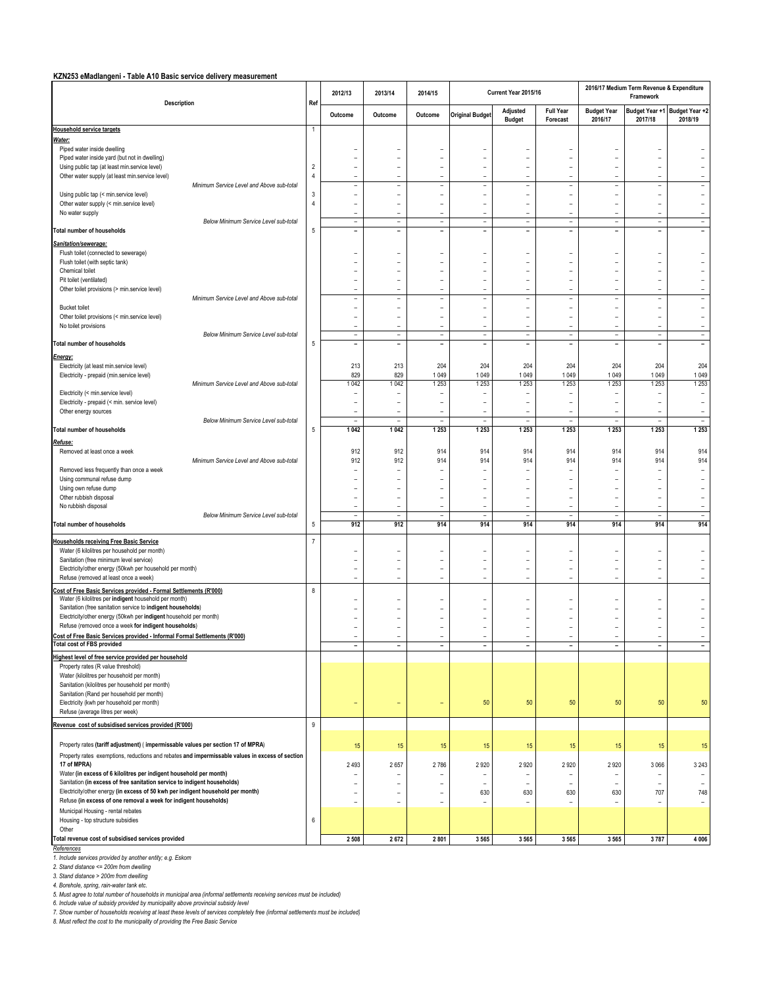#### **KZN253 eMadlangeni - Table A10 Basic service delivery measurement**

| <b>Description</b>                                                                                                                                  |                | 2012/13                                              | 2013/14                                              | 2014/15                                              |                                                      | Current Year 2015/16                                 |                                            |                                                      | 2016/17 Medium Term Revenue & Expenditure<br>Framework |                                                      |
|-----------------------------------------------------------------------------------------------------------------------------------------------------|----------------|------------------------------------------------------|------------------------------------------------------|------------------------------------------------------|------------------------------------------------------|------------------------------------------------------|--------------------------------------------|------------------------------------------------------|--------------------------------------------------------|------------------------------------------------------|
|                                                                                                                                                     | Ref            | Outcome                                              | Outcome                                              | Outcome                                              | <b>Original Budget</b>                               | Adjusted<br><b>Budget</b>                            | <b>Full Year</b><br>Forecast               | <b>Budget Year</b><br>2016/17                        | Budget Year +1 Budget Year +2<br>2017/18               | 2018/19                                              |
| <b>Household service targets</b>                                                                                                                    | $\mathbf{1}$   |                                                      |                                                      |                                                      |                                                      |                                                      |                                            |                                                      |                                                        |                                                      |
| <u>Water:</u>                                                                                                                                       |                |                                                      |                                                      |                                                      |                                                      |                                                      |                                            |                                                      |                                                        |                                                      |
| Piped water inside dwelling<br>Piped water inside yard (but not in dwelling)                                                                        |                | $\overline{a}$                                       | ÷                                                    | ÷,                                                   | $\overline{\phantom{0}}$                             | $\overline{a}$                                       | ÷                                          | $\overline{a}$                                       | $\qquad \qquad -$                                      | $\overline{\phantom{a}}$                             |
| Using public tap (at least min.service level)                                                                                                       | $\sqrt{2}$     | $\overline{a}$                                       | $\overline{\phantom{a}}$                             | $\overline{\phantom{a}}$                             | $\overline{a}$                                       | $\overline{a}$                                       | ÷                                          | $\overline{a}$                                       | $\overline{a}$                                         | $\overline{a}$                                       |
| Other water supply (at least min.service level)                                                                                                     | $\overline{4}$ | $\overline{a}$                                       | $\overline{a}$                                       | $\overline{a}$                                       | $\overline{a}$                                       | $\overline{a}$                                       | $\overline{a}$                             | $\overline{\phantom{a}}$                             | $\overline{a}$                                         | $\overline{a}$                                       |
| Minimum Service Level and Above sub-total                                                                                                           |                | $\overline{a}$                                       | $\overline{a}$                                       | $\overline{a}$                                       | $\overline{a}$                                       | L,                                                   | L,                                         | $\overline{a}$                                       | $\overline{a}$                                         | $\overline{\phantom{a}}$                             |
| Using public tap (< min.service level)                                                                                                              | 3              | $\overline{a}$                                       | $\overline{a}$                                       | $\overline{a}$                                       | $\overline{a}$                                       | L,                                                   | $\overline{a}$                             |                                                      | $\overline{a}$                                         | $\overline{\phantom{a}}$                             |
| Other water supply (< min.service level)<br>No water supply                                                                                         | 4              | $\overline{a}$<br>$\overline{a}$                     | $\overline{a}$<br>$\overline{a}$                     | $\overline{a}$<br>$\overline{a}$                     | $\overline{a}$<br>$\overline{\phantom{a}}$           | $\overline{a}$<br>$\overline{\phantom{0}}$           | $\overline{a}$<br>$\overline{a}$           | $\overline{a}$<br>$\overline{a}$                     | $\overline{a}$<br>$\overline{\phantom{0}}$             | $\overline{\phantom{0}}$<br>$\overline{a}$           |
| Below Minimum Service Level sub-total                                                                                                               |                | $\overline{\phantom{a}}$                             | $\overline{\phantom{a}}$                             | $\overline{\phantom{a}}$                             | $\overline{\phantom{a}}$                             | $\overline{\phantom{a}}$                             | $\overline{\phantom{a}}$                   | $\overline{\phantom{a}}$                             | $\overline{\phantom{a}}$                               | $\overline{\phantom{a}}$                             |
| Total number of households                                                                                                                          | 5              | $\overline{\phantom{a}}$                             | $\overline{\phantom{0}}$                             | $\overline{\phantom{a}}$                             | $\overline{\phantom{a}}$                             | $\overline{\phantom{a}}$                             | $\qquad \qquad -$                          | $\overline{\phantom{0}}$                             | $\qquad \qquad -$                                      | $\overline{\phantom{a}}$                             |
| Sanitation/sewerage:                                                                                                                                |                |                                                      |                                                      |                                                      |                                                      |                                                      |                                            |                                                      |                                                        |                                                      |
| Flush toilet (connected to sewerage)                                                                                                                |                | $\overline{a}$                                       | $\overline{\phantom{a}}$                             | $\overline{a}$                                       | $\overline{\phantom{a}}$                             | ÷                                                    | ÷                                          | $\overline{\phantom{a}}$                             | ÷                                                      | $\overline{\phantom{m}}$                             |
| Flush toilet (with septic tank)                                                                                                                     |                | -                                                    | $\overline{a}$                                       | L,                                                   | $\overline{\phantom{0}}$                             | $\overline{a}$                                       | L,                                         | $\overline{a}$                                       | $\overline{a}$                                         | $\overline{\phantom{a}}$                             |
| Chemical toilet                                                                                                                                     |                | $\overline{a}$                                       | $\overline{a}$                                       | $\overline{a}$                                       | $\overline{a}$                                       | $\overline{a}$                                       | L,<br>$\overline{a}$                       | $\overline{a}$                                       | $\overline{a}$                                         | $\overline{\phantom{0}}$                             |
| Pit toilet (ventilated)<br>Other toilet provisions (> min.service level)                                                                            |                | -<br>-                                               | $\overline{a}$<br>$\overline{a}$                     | $\overline{a}$<br>$\overline{a}$                     | $\overline{a}$<br>$\overline{a}$                     | $\overline{a}$<br>L,                                 | $\overline{a}$                             | $\overline{a}$<br>$\overline{a}$                     | $\overline{a}$<br>$\overline{a}$                       | $\overline{\phantom{0}}$<br>$\frac{1}{2}$            |
| Minimum Service Level and Above sub-total                                                                                                           |                | $\overline{a}$                                       | $\qquad \qquad -$                                    | $\overline{\phantom{a}}$                             | $\overline{a}$                                       | $\overline{\phantom{a}}$                             | $\overline{\phantom{a}}$                   | $\overline{a}$                                       | $\overline{\phantom{a}}$                               | $\overline{\phantom{a}}$                             |
| <b>Bucket toilet</b>                                                                                                                                |                | -                                                    | $\overline{a}$                                       | $\overline{a}$                                       | $\overline{a}$                                       | $\overline{a}$                                       | $\overline{a}$                             | $\overline{a}$                                       | $\overline{a}$                                         | $\overline{\phantom{a}}$                             |
| Other toilet provisions (< min.service level)                                                                                                       |                | $\overline{a}$                                       | $\overline{\phantom{a}}$                             | $\overline{\phantom{a}}$                             | $\overline{\phantom{a}}$                             | $\overline{\phantom{a}}$                             | ÷                                          | $\overline{\phantom{a}}$                             | $\overline{a}$                                         | $\overline{\phantom{a}}$                             |
| No toilet provisions<br>Below Minimum Service Level sub-total                                                                                       |                | $\overline{\phantom{a}}$<br>$\overline{\phantom{a}}$ | $\overline{\phantom{a}}$<br>$\overline{a}$           | $\overline{\phantom{a}}$<br>$\overline{\phantom{a}}$ | $\overline{a}$<br>$\overline{\phantom{a}}$           | $\overline{\phantom{a}}$<br>$\overline{\phantom{a}}$ | $\overline{a}$<br>$\overline{\phantom{a}}$ | $\overline{\phantom{a}}$<br>$\overline{a}$           | $\overline{a}$<br>$\overline{\phantom{a}}$             | $\overline{a}$<br>$\overline{\phantom{a}}$           |
| Total number of households                                                                                                                          | 5              | $\overline{\phantom{a}}$                             | $\overline{\phantom{a}}$                             | $\overline{a}$                                       | $\overline{\phantom{a}}$                             | $\overline{\phantom{a}}$                             | $\overline{\phantom{a}}$                   | $\qquad \qquad -$                                    | $\overline{\phantom{a}}$                               | $\overline{\phantom{a}}$                             |
| Energy:                                                                                                                                             |                |                                                      |                                                      |                                                      |                                                      |                                                      |                                            |                                                      |                                                        |                                                      |
| Electricity (at least min.service level)                                                                                                            |                | 213                                                  | 213                                                  | 204                                                  | 204                                                  | 204                                                  | 204                                        | 204                                                  | 204                                                    | 204                                                  |
| Electricity - prepaid (min.service level)                                                                                                           |                | 829                                                  | 829                                                  | 1049                                                 | 1 0 4 9                                              | 1 0 4 9                                              | 1049                                       | 1 0 4 9                                              | 1 0 4 9                                                | 1 0 4 9                                              |
| Minimum Service Level and Above sub-total                                                                                                           |                | 1042                                                 | 1042                                                 | 1253                                                 | 1253                                                 | 1 2 5 3                                              | 1 2 5 3                                    | 1 2 5 3                                              | 1 2 5 3                                                | 1 2 5 3                                              |
| Electricity (< min.service level)                                                                                                                   |                | ÷                                                    | $\overline{\phantom{a}}$                             | $\overline{\phantom{0}}$                             | $\overline{\phantom{0}}$                             | $\overline{a}$                                       | $\overline{a}$                             | $\overline{\phantom{0}}$                             | $\overline{\phantom{0}}$                               | $\overline{\phantom{a}}$                             |
| Electricity - prepaid (< min. service level)<br>Other energy sources                                                                                |                | $\overline{\phantom{a}}$<br>$\overline{a}$           | $\overline{\phantom{a}}$<br>$\overline{a}$           | $\overline{\phantom{a}}$<br>$\overline{a}$           | ۰<br>$\overline{\phantom{a}}$                        | $\overline{\phantom{m}}$<br>$\overline{a}$           | $\overline{\phantom{a}}$<br>$\overline{a}$ | $\overline{\phantom{a}}$<br>$\overline{a}$           | $\overline{\phantom{m}}$<br>÷,                         | $\sim$<br>$\overline{\phantom{a}}$                   |
| Below Minimum Service Level sub-total                                                                                                               |                | $\overline{a}$                                       | $\overline{\phantom{a}}$                             | $\overline{\phantom{a}}$                             | $\qquad \qquad -$                                    | $\overline{\phantom{0}}$                             | $\overline{\phantom{a}}$                   | $\overline{a}$                                       | $\overline{\phantom{0}}$                               | $\overline{\phantom{a}}$                             |
| <b>Total number of households</b>                                                                                                                   | 5              | 1 0 4 2                                              | 1042                                                 | 1 2 5 3                                              | 1 2 5 3                                              | 1 2 5 3                                              | 1 2 5 3                                    | 1 2 5 3                                              | 1 2 5 3                                                | 1 2 5 3                                              |
| Refuse:                                                                                                                                             |                |                                                      |                                                      |                                                      |                                                      |                                                      |                                            |                                                      |                                                        |                                                      |
| Removed at least once a week                                                                                                                        |                | 912                                                  | 912                                                  | 914                                                  | 914                                                  | 914                                                  | 914                                        | 914                                                  | 914                                                    | 914                                                  |
| Minimum Service Level and Above sub-total                                                                                                           |                | 912                                                  | 912                                                  | 914                                                  | 914                                                  | 914                                                  | 914                                        | 914                                                  | 914                                                    | 914                                                  |
| Removed less frequently than once a week                                                                                                            |                | Ē,                                                   | $\overline{a}$                                       | $\overline{a}$                                       | $\overline{\phantom{a}}$                             |                                                      | $\overline{a}$                             |                                                      | $\overline{a}$                                         | $\overline{\phantom{a}}$                             |
| Using communal refuse dump<br>Using own refuse dump                                                                                                 |                | $\overline{a}$<br>$\overline{a}$                     | $\overline{\phantom{a}}$<br>$\overline{\phantom{a}}$ | $\overline{a}$<br>$\overline{a}$                     | $\overline{\phantom{0}}$<br>۰                        | $\overline{a}$<br>÷                                  | $\overline{a}$<br>÷                        | $\overline{\phantom{a}}$<br>$\overline{\phantom{a}}$ | $\overline{a}$<br>÷                                    | $\overline{\phantom{a}}$<br>$\overline{\phantom{a}}$ |
| Other rubbish disposal                                                                                                                              |                | $\overline{a}$                                       | $\overline{a}$                                       | $\overline{a}$                                       | $\overline{a}$                                       | $\overline{a}$                                       | $\overline{a}$                             |                                                      | $\overline{a}$                                         | $\overline{\phantom{a}}$                             |
| No rubbish disposal                                                                                                                                 |                | $\overline{a}$                                       | $\overline{a}$                                       | $\overline{a}$                                       | $\overline{\phantom{a}}$                             | $\overline{a}$                                       | $\overline{a}$                             | $\overline{a}$                                       | $\overline{a}$                                         | $\equiv$                                             |
| Below Minimum Service Level sub-total                                                                                                               |                | $\overline{a}$                                       | $\overline{a}$                                       | $\overline{\phantom{0}}$                             | $\overline{\phantom{a}}$                             | $\overline{a}$                                       | $\overline{a}$                             | $\overline{a}$                                       | $\overline{a}$                                         | $\overline{\phantom{a}}$                             |
| <b>Total number of households</b>                                                                                                                   | 5              | 912                                                  | 912                                                  | 914                                                  | 914                                                  | 914                                                  | 914                                        | 914                                                  | 914                                                    | 914                                                  |
| <b>Households receiving Free Basic Service</b>                                                                                                      | $\overline{7}$ |                                                      |                                                      |                                                      |                                                      |                                                      |                                            |                                                      |                                                        |                                                      |
| Water (6 kilolitres per household per month)                                                                                                        |                |                                                      | $\overline{a}$                                       |                                                      |                                                      |                                                      |                                            |                                                      | $\overline{a}$                                         |                                                      |
| Sanitation (free minimum level service)                                                                                                             |                |                                                      | $\overline{a}$                                       |                                                      |                                                      | Ĭ.                                                   | $\overline{a}$                             |                                                      | $\overline{a}$                                         | $\overline{a}$                                       |
| Electricity/other energy (50kwh per household per month)<br>Refuse (removed at least once a week)                                                   |                | $\overline{a}$<br>$\overline{a}$                     | $\overline{a}$<br>$\overline{a}$                     | $\overline{\phantom{a}}$<br>$\overline{\phantom{a}}$ | $\overline{\phantom{a}}$<br>$\overline{\phantom{a}}$ | $\qquad \qquad -$<br>$\overline{a}$                  | $\overline{a}$<br>$\overline{\phantom{a}}$ | $\overline{a}$<br>$\overline{\phantom{a}}$           | $\qquad \qquad -$<br>$\overline{a}$                    | $\overline{\phantom{a}}$<br>$\sim$                   |
|                                                                                                                                                     |                |                                                      |                                                      |                                                      |                                                      |                                                      |                                            |                                                      |                                                        |                                                      |
| Cost of Free Basic Services provided - Formal Settlements (R'000)<br>Water (6 kilolitres per indigent household per month)                          | 8              | $\overline{a}$                                       | $\qquad \qquad -$                                    | $\overline{\phantom{0}}$                             | $\overline{\phantom{0}}$                             | $\overline{a}$                                       | $\overline{a}$                             | $\qquad \qquad -$                                    | $\overline{a}$                                         | $\overline{\phantom{a}}$                             |
| Sanitation (free sanitation service to indigent households)                                                                                         |                |                                                      |                                                      |                                                      | $\overline{a}$                                       | $\overline{a}$                                       |                                            |                                                      | $\overline{a}$                                         |                                                      |
| Electricity/other energy (50kwh per indigent household per month)                                                                                   |                |                                                      | $\overline{a}$                                       | $\overline{a}$                                       | $\overline{\phantom{a}}$                             | $\qquad \qquad -$                                    | $\overline{a}$                             | $\overline{\phantom{a}}$                             | $\qquad \qquad -$                                      | $\overline{\phantom{0}}$                             |
| Refuse (removed once a week for indigent households)                                                                                                |                |                                                      | $\overline{a}$                                       | $\overline{a}$                                       | $\overline{a}$                                       | L,                                                   | $\overline{a}$                             | $\overline{a}$                                       | $\overline{a}$                                         | $\overline{a}$                                       |
| Cost of Free Basic Services provided - Informal Formal Settlements (R'000)<br><b>Total cost of FBS provided</b>                                     |                | $\overline{\phantom{a}}$                             |                                                      | $\overline{\phantom{a}}$                             | $\overline{a}$                                       | $\overline{a}$                                       | $\overline{a}$<br>$\qquad \qquad$          | $\overline{a}$                                       | $\overline{a}$<br>$\overline{\phantom{a}}$             | $\overline{a}$<br>$\overline{\phantom{a}}$           |
| Highest level of free service provided per household                                                                                                |                |                                                      | $\overline{\phantom{a}}$                             |                                                      | $\overline{\phantom{a}}$                             | -                                                    |                                            | $\overline{\phantom{a}}$                             |                                                        |                                                      |
| Property rates (R value threshold)                                                                                                                  |                |                                                      |                                                      |                                                      |                                                      |                                                      |                                            |                                                      |                                                        |                                                      |
| Water (kilolitres per household per month)                                                                                                          |                |                                                      |                                                      |                                                      |                                                      |                                                      |                                            |                                                      |                                                        |                                                      |
| Sanitation (kilolitres per household per month)                                                                                                     |                |                                                      |                                                      |                                                      |                                                      |                                                      |                                            |                                                      |                                                        |                                                      |
| Sanitation (Rand per household per month)                                                                                                           |                |                                                      |                                                      |                                                      |                                                      |                                                      |                                            |                                                      |                                                        |                                                      |
| Electricity (kwh per household per month)<br>Refuse (average litres per week)                                                                       |                | ÷                                                    |                                                      |                                                      | 50                                                   | 50                                                   | 50                                         | 50                                                   | 50                                                     | $50\,$                                               |
|                                                                                                                                                     |                |                                                      |                                                      |                                                      |                                                      |                                                      |                                            |                                                      |                                                        |                                                      |
| Revenue cost of subsidised services provided (R'000)                                                                                                | 9              |                                                      |                                                      |                                                      |                                                      |                                                      |                                            |                                                      |                                                        |                                                      |
| Property rates (tariff adjustment) (impermissable values per section 17 of MPRA)                                                                    |                | 15                                                   | 15                                                   | 15                                                   | 15                                                   | 15                                                   | 15                                         | 15                                                   | 15                                                     | 15                                                   |
| Property rates exemptions, reductions and rebates and impermissable values in excess of section                                                     |                |                                                      |                                                      |                                                      |                                                      |                                                      |                                            |                                                      |                                                        |                                                      |
| 17 of MPRA)                                                                                                                                         |                | 2 4 9 3                                              | 2657                                                 | 2786                                                 | 2920                                                 | 2920                                                 | 2920                                       | 2920                                                 | 3 0 6 6                                                | 3 2 4 3                                              |
| Water (in excess of 6 kilolitres per indigent household per month)                                                                                  |                |                                                      |                                                      |                                                      |                                                      |                                                      |                                            |                                                      |                                                        |                                                      |
| Sanitation (in excess of free sanitation service to indigent households)                                                                            |                | -                                                    |                                                      | Ē,                                                   |                                                      |                                                      | Ē,                                         |                                                      | $\overline{a}$                                         | $\overline{\phantom{0}}$                             |
| Electricity/other energy (in excess of 50 kwh per indigent household per month)<br>Refuse (in excess of one removal a week for indigent households) |                | $\overline{a}$                                       | ۰                                                    | $\overline{a}$                                       | 630                                                  | 630                                                  | 630                                        | 630                                                  | 707                                                    | 748                                                  |
| Municipal Housing - rental rebates                                                                                                                  |                | $\overline{a}$                                       | $\overline{\phantom{a}}$                             | $\overline{a}$                                       | $\overline{\phantom{a}}$                             | $\overline{\phantom{a}}$                             | $\overline{a}$                             | $\overline{\phantom{a}}$                             | $\overline{\phantom{m}}$                               | $\sim$                                               |
| Housing - top structure subsidies                                                                                                                   | 6              |                                                      |                                                      |                                                      |                                                      |                                                      |                                            |                                                      |                                                        |                                                      |
| Other                                                                                                                                               |                |                                                      |                                                      |                                                      |                                                      |                                                      |                                            |                                                      |                                                        |                                                      |
| <b>Total revenue cost of subsidised services provided</b>                                                                                           |                | 2 5 0 8                                              | 2672                                                 | 2 8 0 1                                              | 3 5 6 5                                              | 3565                                                 | 3 5 6 5                                    | 3 5 6 5                                              | 3787                                                   | 4 0 0 6                                              |
| References<br>1. Include services provided by another entity; e.g. Eskom                                                                            |                |                                                      |                                                      |                                                      |                                                      |                                                      |                                            |                                                      |                                                        |                                                      |
| 2. Stand distance <= 200m from dwelling                                                                                                             |                |                                                      |                                                      |                                                      |                                                      |                                                      |                                            |                                                      |                                                        |                                                      |
| 3. Stand distance > 200m from dwelling                                                                                                              |                |                                                      |                                                      |                                                      |                                                      |                                                      |                                            |                                                      |                                                        |                                                      |

*4. Borehole, spring, rain-water tank etc. 5. Must agree to total number of households in municipal area (informal settlements receiving services must be included)*

6. Include value of subsidy provided by municipality above provincial subsidy level<br>7. Show number of households receiving at least these levels of services completely free (informal settlements must be included)<br>8. Must r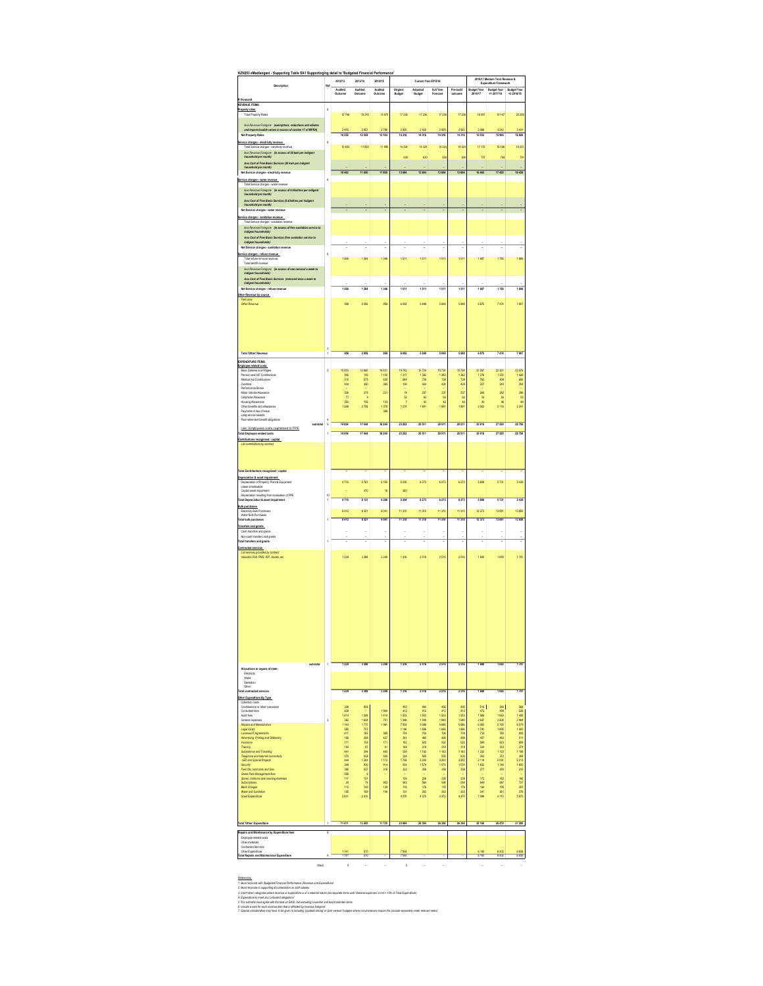| KZN253 eMadlangeni -<br>Supporting Table SA1 Supportinging detail to 'Budgeted Financial Performance                                                   |                | 2012/13                                         | 2013/14                 | 2014/15             |                    | Current Year 2015/16 |                        |                        |                           | 2016/17 Medium Term Revenue &<br>Expenditure Framework |                   |
|--------------------------------------------------------------------------------------------------------------------------------------------------------|----------------|-------------------------------------------------|-------------------------|---------------------|--------------------|----------------------|------------------------|------------------------|---------------------------|--------------------------------------------------------|-------------------|
| Description                                                                                                                                            |                | Audited<br>Outcome                              | Audited<br>Outcome      | Audited<br>Outcome  | Original<br>Budget | Adjusted<br>Budget   | Full Year<br>Forecast  | Pre-audit<br>outcome   | Budget Year<br>2016/17    | <b>Budget Year</b><br>+1 2017/18                       | Budget Yea        |
| Rth<br><b>REVENUE ITEMS:</b>                                                                                                                           |                |                                                 |                         |                     |                    |                      |                        |                        |                           |                                                        |                   |
| Property rates<br><b>Total Property Rates</b>                                                                                                          | ś              | 12748                                           | 15 216                  | 15 970              | 17236              | 17 235               | 17 236                 | 17 236                 | 18 097                    | 19 147                                                 | 20258             |
| less Revenue Foregone (exemptions, reductions and rebates<br>and impermissable values in excess of section 17 of MPRA)                                 |                | 2493                                            | 2 657                   | 2789                | 2 9 2 0            | 2920                 | 2920                   | 2920                   | 3066                      | 3 24 3                                                 | 3 4 3 1           |
| Net Property Rates                                                                                                                                     |                | 10 25                                           | 12 559                  | 13 184              | 14 316             | 14316                | 14 316                 | 14 316                 | 15 032                    | 15 904                                                 | 16826             |
| Service charges - electricity revenue<br>Total Service charges - electricity revenue                                                                   | ś              | 10 463                                          | 11 650                  | 11995               | 14324              | 14 3 24              | 14 324                 | 14 324                 | 17 172                    | 18 16 8                                                | 19.221            |
| less Revenue Foregone (in excess of 50 kwh per indigent<br>household per month)<br>less Cost of Free Basis Services (50 kwh per indigent               |                |                                                 |                         |                     | 630                | 630                  | 63                     | 63                     | 70                        | 749                                                    | 79                |
| household per month)<br>Net Service charges - electricity revenue                                                                                      |                | 10463                                           | 11 650                  | 11 995              | 13 694             | 13694                | 13 694                 | 13 694                 | 16 465                    | 17420                                                  | 18430             |
| Service charges - water revenue<br>Total Service charges - water revenue                                                                               | 6              |                                                 |                         |                     |                    |                      |                        |                        |                           |                                                        |                   |
| lass Ravenue Foregone (in excess of 6 kilolitres per indigent<br>household per month)                                                                  |                |                                                 |                         |                     |                    |                      |                        |                        |                           |                                                        |                   |
| less Cost of Free Besis Services (6 kilolitres per indigent<br>household per month)                                                                    |                |                                                 |                         |                     |                    |                      |                        |                        |                           |                                                        |                   |
| Net Service charges - water revenue                                                                                                                    |                |                                                 |                         |                     |                    |                      |                        |                        |                           |                                                        |                   |
| Service charges - sanitation revenue<br>Total Service charges - sanitation revenue                                                                     |                |                                                 |                         |                     |                    |                      |                        |                        |                           |                                                        |                   |
| less Revenue Foregone (in excess of free sanitation service to<br>indigent households)<br>less Cost of Free Basis Services (free sanitation service to |                |                                                 |                         |                     |                    |                      |                        |                        |                           |                                                        |                   |
| (edigent households)<br>Net Service charges - sanitation revenue                                                                                       |                |                                                 |                         |                     |                    |                      |                        |                        |                           |                                                        |                   |
| Service charges - refuse revenue<br>Total refuse removal revenue                                                                                       | 6              | 1266                                            | 1 284                   | 1346                | 1511               | 1511                 | 1511                   | 1511                   | 1687                      | 1785                                                   | 1888              |
| Total landfill revenue                                                                                                                                 |                |                                                 |                         |                     |                    |                      |                        |                        |                           |                                                        |                   |
| less Revenue Foregone (in arcess of one removal a week to<br>indigent households)<br>less Cost of Free Basis Services (removed once a week to          |                |                                                 |                         |                     |                    |                      |                        |                        |                           |                                                        |                   |
| indigent households)<br>Net Service charges - refuse revenue                                                                                           |                | 1266                                            | 1 284                   | 1346                | 1 511              | 1 511                | 1511                   | 1511                   | 1687                      | 1785                                                   | 188               |
| Other Revenue by source.<br><b>Fuel Levy</b>                                                                                                           |                |                                                 |                         |                     |                    |                      |                        |                        |                           |                                                        |                   |
| Other Revenue                                                                                                                                          |                | 958                                             | 2055                    | 958                 | 6.092              | 5848                 | 5848                   | 5848                   | 6875                      | 7474                                                   | 7.907             |
|                                                                                                                                                        |                |                                                 |                         |                     |                    |                      |                        |                        |                           |                                                        |                   |
|                                                                                                                                                        |                |                                                 |                         |                     |                    |                      |                        |                        |                           |                                                        |                   |
|                                                                                                                                                        |                |                                                 |                         |                     |                    |                      |                        |                        |                           |                                                        |                   |
|                                                                                                                                                        | 3              |                                                 |                         |                     |                    |                      |                        |                        |                           |                                                        |                   |
| Total 'Other' Reven<br><b>EXPENDITURE ITEMS:</b>                                                                                                       | ï              | 958                                             | 2 056                   | 958                 | 6 092              | 5848                 | 5848                   | 5 848                  | 6875                      | 7474                                                   | 7 9 0 7           |
| Employee related costs.<br>Basic Salaries and Wages                                                                                                    | $\overline{2}$ | 10000                                           | 12 685                  | 14 021              | 19702              | 15734                | 15734                  | 15734                  | 21 287                    | 22 321                                                 | 23 5 76           |
| Pension and LIF Contributions<br>Medical Aid Contributions                                                                                             |                | 942<br>515                                      | 106<br>575              | 1102<br>630         | 1317<br>685        | 1382<br>735          | 1382<br>735            | 1382<br>739            | 1276<br>765               | 1350<br>809<br>240                                     | 1429<br>856       |
| Overtime<br>Performance Bonus<br>Motor Vehicle Allowa                                                                                                  |                | 434<br>526                                      | 380<br>375              | 385<br>23           | 136<br>74          | 424<br>237           | 424<br>237             | 424<br>237             | 227                       | 282                                                    | 254<br>298        |
| Colinhone Alimatore<br><b>Housing Allowances</b>                                                                                                       |                | $\overline{7}$<br>222                           | q<br>156                |                     | 52                 | 62<br>42             | 62<br>¢                | 62<br>42               | 266<br>52                 | 54<br>46                                               | 55<br>48          |
| Other benefits and allowances<br>Payments in lieu of leave                                                                                             |                | 1 288                                           | 2758                    | 103<br>1 379<br>388 | 1274               | 1891                 | 1891                   | 1891                   | $rac{43}{2002}$           | 2 1 1 8                                                | 2 2 4 1           |
| Long service aw<br>urds<br>Post-retrement benefit obligations                                                                                          | 4              |                                                 |                         |                     |                    |                      |                        |                        |                           |                                                        |                   |
| ub-fotal<br>Less: Employees costs capitalised to PPE<br>Total Employee related costs                                                                   | $\sf s$        | 14 004<br>14004                                 | 17 044<br>17.044        | 18 240<br>18 240    | 23 252<br>23 253   | 20 511<br>20511      | 20 511<br>20 511       | 20 511<br>20.511       | 25 918<br>35 918          | 27 220<br>77,220                                       | 28758<br>28758    |
| Contributions recognised - capital                                                                                                                     |                |                                                 |                         |                     |                    |                      |                        |                        |                           |                                                        |                   |
| List contributions by contract                                                                                                                         |                |                                                 |                         |                     |                    |                      |                        |                        |                           |                                                        |                   |
|                                                                                                                                                        |                |                                                 |                         |                     |                    |                      |                        |                        |                           |                                                        |                   |
| Total Contributions recognised - capital                                                                                                               |                |                                                 |                         |                     |                    |                      |                        |                        |                           |                                                        |                   |
| Depreciation & asset impairment<br>Depreciation of Property, Plant & Equipment                                                                         |                | 4716                                            | 5761                    | 6 190               | 5 0 3 5            | 6273                 | 6 273                  | 6 273                  | 5808                      | 5731                                                   | 5439              |
| Lease anotisation<br>Capital asset impairment                                                                                                          |                | ×,                                              | 370                     | 16                  | 260                |                      |                        |                        |                           |                                                        |                   |
| Depreciation resulting from revalu<br>ation of PPE<br><b>Total Depreciation &amp; asset impairment</b>                                                 | 10             | 4716                                            | 6 131                   | 6206                | 5 284              | 6273                 | 5.273                  | 5.273                  | 5806                      | 5731                                                   | 5439              |
| <b>Bulk purchases</b><br>Electricity Bulk Purchases                                                                                                    |                | 8412                                            | 8 3 2 1                 | 9041                | 11310              | 11310                | 11310                  | 11310                  | 12 373                    | 13 091                                                 | 13850             |
| Water Bulk Purchases<br><b>Total bulk purchases</b>                                                                                                    |                | 3 412                                           | 8 321                   | 904                 | 11 310             | 11 310               | 11310                  | 11 310                 | 12 373                    | 13 091                                                 | 13 850            |
| Transfers and grants<br>Cash transfers and grants                                                                                                      |                | i,                                              | ×,                      | i,                  | ×,                 | i,                   | i,                     | j.                     | ł,                        | i,                                                     | ł,                |
| Non-cash transfers and grants<br><b>Total transfers and grants</b>                                                                                     |                |                                                 |                         |                     |                    |                      |                        |                        |                           |                                                        |                   |
| Contracted services<br>List services provided by contract<br>Valuation Roll, PMS, IDP, Assets, etc.                                                    |                |                                                 |                         |                     |                    |                      |                        |                        |                           |                                                        |                   |
|                                                                                                                                                        |                | 1229                                            | 3 3 5 E                 | 3249                | 1316               | 2516                 | 2 5 16                 | 2516                   | 1600                      | 1693                                                   | 1791              |
|                                                                                                                                                        |                |                                                 |                         |                     |                    |                      |                        |                        |                           |                                                        |                   |
|                                                                                                                                                        |                |                                                 |                         |                     |                    |                      |                        |                        |                           |                                                        |                   |
|                                                                                                                                                        |                |                                                 |                         |                     |                    |                      |                        |                        |                           |                                                        |                   |
|                                                                                                                                                        |                |                                                 |                         |                     |                    |                      |                        |                        |                           |                                                        |                   |
|                                                                                                                                                        |                |                                                 |                         |                     |                    |                      |                        |                        |                           |                                                        |                   |
|                                                                                                                                                        |                |                                                 |                         |                     |                    |                      |                        |                        |                           |                                                        |                   |
|                                                                                                                                                        |                |                                                 |                         |                     |                    |                      |                        |                        |                           |                                                        |                   |
|                                                                                                                                                        |                |                                                 |                         |                     |                    |                      |                        |                        |                           |                                                        |                   |
|                                                                                                                                                        |                |                                                 |                         |                     |                    |                      |                        |                        |                           |                                                        |                   |
| <b>ALIGN ANALY</b>                                                                                                                                     | ł              | 129                                             | 3356                    | 3249                | 1316               | 2516                 | 2.516                  | 2 516                  | 1600                      | 1693                                                   | 1791              |
| Allocations to organs of state:<br>Electricity                                                                                                         |                |                                                 |                         |                     |                    |                      |                        |                        |                           |                                                        |                   |
| Water<br>Sanitation<br>Other                                                                                                                           |                |                                                 |                         |                     |                    |                      |                        |                        |                           |                                                        |                   |
| Total contracted services                                                                                                                              |                | $\frac{1}{225}$                                 | 3 3 5 E                 | 3 24 9              | 1316               | 2 5 16               | 2 516                  | 2 516                  | 1600                      | 1693                                                   | 1751              |
| Other Expenditure By Type<br>Collection costs<br>Contributions to 'other' provisions                                                                   |                | 338                                             | 958                     |                     | 490                | 492                  | 492                    | 492                    | 516                       | 545                                                    | 568               |
| Consultant fees<br>Audit fees                                                                                                                          |                | 428<br>1414                                     | 1 208                   | 1964<br>1414        | 412<br>1 503       | 412<br>1 503         | 412<br>1503            | 412<br>1 503           | 472<br>1565               | 499<br>660                                             | 528<br>1456       |
| General expenses<br>Repairs and Maintainance<br>Legal Costs                                                                                            | 3              | 362<br>1 140<br>585                             | 1634<br>1770<br>707     | 751<br>1981         | 1348<br>7 5 8 3    | 1940<br>5 686        | 1940<br>5 686<br>1 896 | 1940<br>5 686<br>1 896 | 2647                      | 2808<br>5765                                           | 2964<br>6 079     |
| Licenses/IT Agreements                                                                                                                                 |                | 617                                             | 162                     | 365                 | 704                | 704                  | 704                    | 704                    | 6 0 6 3<br>1 7 9 1<br>739 | 782                                                    | 828               |
| Advertising, Printing and Stationery<br>Insurance                                                                                                      |                | 156<br>171                                      | 288<br>108<br>87        | 427<br>171<br>61    | 341<br>182         | 480<br>522           | 48)<br>522             | 480<br>522             | 457<br>585<br>334         | 483<br>623                                             | 511<br>659        |
| Training<br>Subsistence and Travelling<br>Telephone and Internet connectivity                                                                          |                | $183$<br>$441$<br>375                           | 394<br>508              | 483<br>505          | 168<br>530<br>324  | 318<br>505           | 318<br>505             | 318<br>505             | 1232<br>352               | $\frac{353}{1123}$<br>372                              | 374<br>394        |
| LED and Special Projects<br><b>Security</b>                                                                                                            |                | 644<br>349                                      | 1 204<br>930            | 1 173<br>914        | 1738<br>924        | 3 200<br>1574        | 3 200<br>1574          | 3 200<br>1574          | 2 1 1 5<br>1653           | 2091<br>1748                                           | 2 213<br>1850     |
| Fuel, Oils, lubricants and Gas<br>Game Park Management fees                                                                                            |                | 385                                             | 527<br>6                | 316<br>۰            | 322                | 358                  | 359                    | 359                    | 277                       | 293                                                    | 310               |
| Stores, Uniforms and cleaning materials<br>Subscripti<br><b>Bank Charges</b>                                                                           |                | 117<br>$\begin{array}{c} 20 \\ 115 \end{array}$ | 151<br>$\frac{74}{149}$ | 952<br>139          | 106<br>583<br>176  | 226<br>584<br>176    | 226<br>584<br>176      | 226<br>584<br>176      | 172<br>649<br>184         | 182<br>687<br>195                                      | 192<br>727<br>207 |
| Water and Sanitation<br>Grant Expenditure                                                                                                              |                | 185<br>2831                                     | 169<br>2410             | 105                 | 131<br>4 370       | 263<br>4 370         | $\frac{263}{4370}$     | $\frac{263}{4370}$     | 247<br>7099               | 261<br>4110                                            | 276<br>3 970      |
|                                                                                                                                                        |                |                                                 |                         |                     |                    |                      |                        |                        |                           |                                                        |                   |
|                                                                                                                                                        |                |                                                 |                         |                     |                    |                      |                        |                        |                           |                                                        |                   |
| Total 'Other' Expenditure                                                                                                                              |                | 11411                                           | 13445                   | 11720               | 23 094             | 26394                | 26 394                 | 26 394                 | 29 160                    | 26 479                                                 | 27 200            |
| Repairs and Maintenance by Expenditure hem<br>Employee related costs                                                                                   | 8              |                                                 |                         |                     |                    |                      |                        |                        |                           |                                                        |                   |
| Other materials<br>Contracted Services                                                                                                                 |                |                                                 |                         |                     |                    |                      |                        |                        |                           |                                                        |                   |
| Other Expenditure<br><b>Total Repairs and Maintenance Expendit</b>                                                                                     |                | 1141<br>1141                                    | 570<br>570              |                     | 7593<br>7 593      |                      |                        |                        | 6 193<br>6 193            | 6302<br>6 302                                          | 6 658<br>6 658    |
|                                                                                                                                                        |                |                                                 |                         |                     |                    |                      |                        |                        |                           |                                                        |                   |

Balancaix.com<br>1. Mail nois under Bulgade Francial Pedromana (Revous and Experiment)<br>1. Mail noise Leader du Revolution de la companhabilitat de fill segunde lens unit "Groont seperativ" set > VIV, et Todal Expedition)<br>1. E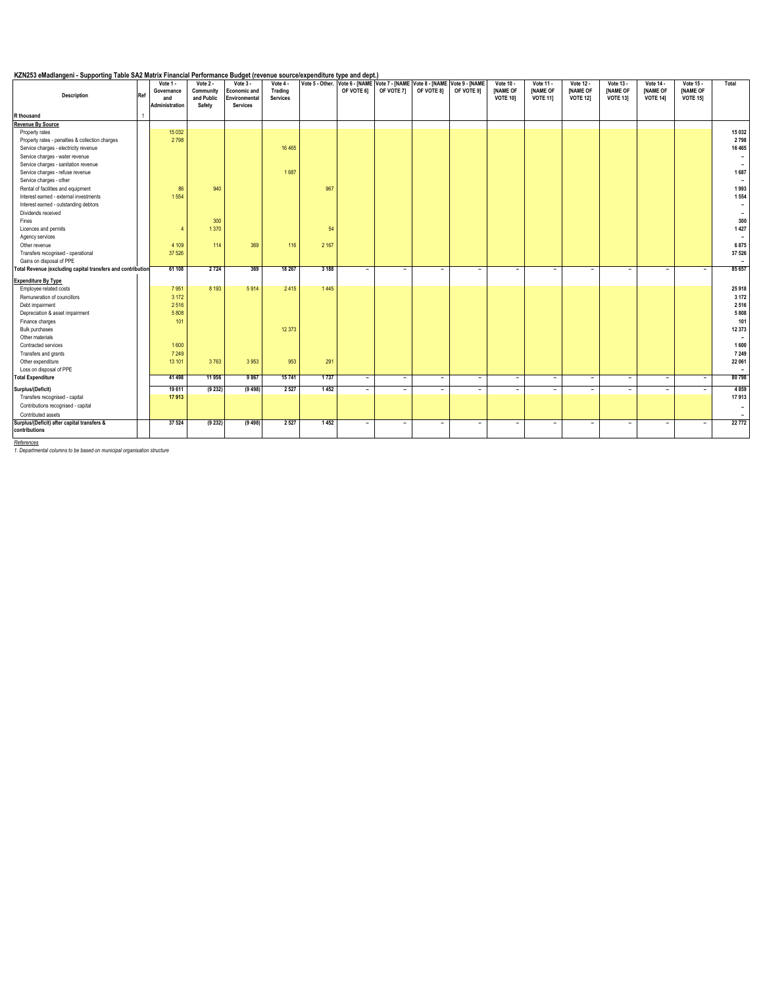### **KZN253 eMadlangeni - Supporting Table SA2 Matrix Financial Performance Budget (revenue source/expenditure type and dept.)**

| Ref<br><b>Description</b>                                   | Vote 1 -<br>Governance<br>and<br>Administration | Vote $2 -$<br>Community<br>and Public<br>Safety | Vote $3 -$<br>Economic and<br>Environmental<br><b>Services</b> | Vote 4 -<br>Trading<br>Services |         | OF VOTE 61               | OF VOTE 71               | OF VOTE 81 | Vote 5 - Other. Vote 6 - [NAME   Vote 7 - [NAME   Vote 8 - [NAME   Vote 9 - [NAME<br>OF VOTE 91 | Vote 10 -<br><b>INAME OF</b><br><b>VOTE 101</b> | Vote 11 -<br><b>INAME OF</b><br><b>VOTE 111</b> | Vote 12 -<br><b>INAME OF</b><br><b>VOTE 121</b> | Vote 13 -<br><b>INAME OF</b><br><b>VOTE 131</b> | Vote 14 -<br><b>INAME OF</b><br><b>VOTE 141</b> | Vote 15 -<br><b>INAME OF</b><br><b>VOTE 151</b> | Total                    |
|-------------------------------------------------------------|-------------------------------------------------|-------------------------------------------------|----------------------------------------------------------------|---------------------------------|---------|--------------------------|--------------------------|------------|-------------------------------------------------------------------------------------------------|-------------------------------------------------|-------------------------------------------------|-------------------------------------------------|-------------------------------------------------|-------------------------------------------------|-------------------------------------------------|--------------------------|
| R thousand                                                  |                                                 |                                                 |                                                                |                                 |         |                          |                          |            |                                                                                                 |                                                 |                                                 |                                                 |                                                 |                                                 |                                                 |                          |
| <b>Revenue By Source</b>                                    |                                                 |                                                 |                                                                |                                 |         |                          |                          |            |                                                                                                 |                                                 |                                                 |                                                 |                                                 |                                                 |                                                 |                          |
| Property rates                                              | 15 0 32                                         |                                                 |                                                                |                                 |         |                          |                          |            |                                                                                                 |                                                 |                                                 |                                                 |                                                 |                                                 |                                                 | 15 032                   |
| Property rates - penalties & collection charges             | 2798                                            |                                                 |                                                                |                                 |         |                          |                          |            |                                                                                                 |                                                 |                                                 |                                                 |                                                 |                                                 |                                                 | 2798                     |
| Service charges - electricity revenue                       |                                                 |                                                 |                                                                | 16 4 65                         |         |                          |                          |            |                                                                                                 |                                                 |                                                 |                                                 |                                                 |                                                 |                                                 | 16 4 65                  |
| Service charges - water revenue                             |                                                 |                                                 |                                                                |                                 |         |                          |                          |            |                                                                                                 |                                                 |                                                 |                                                 |                                                 |                                                 |                                                 | $\overline{\phantom{a}}$ |
| Service charges - sanitation revenue                        |                                                 |                                                 |                                                                |                                 |         |                          |                          |            |                                                                                                 |                                                 |                                                 |                                                 |                                                 |                                                 |                                                 |                          |
| Service charges - refuse revenue                            |                                                 |                                                 |                                                                | 1687                            |         |                          |                          |            |                                                                                                 |                                                 |                                                 |                                                 |                                                 |                                                 |                                                 | 1687                     |
| Service charges - other                                     |                                                 |                                                 |                                                                |                                 |         |                          |                          |            |                                                                                                 |                                                 |                                                 |                                                 |                                                 |                                                 |                                                 |                          |
| Rental of facilities and equipment                          | 86                                              | 940                                             |                                                                |                                 | 967     |                          |                          |            |                                                                                                 |                                                 |                                                 |                                                 |                                                 |                                                 |                                                 | 1993                     |
| Interest earned - external investments                      | 1554                                            |                                                 |                                                                |                                 |         |                          |                          |            |                                                                                                 |                                                 |                                                 |                                                 |                                                 |                                                 |                                                 | 1554                     |
| Interest earned - outstanding debtors                       |                                                 |                                                 |                                                                |                                 |         |                          |                          |            |                                                                                                 |                                                 |                                                 |                                                 |                                                 |                                                 |                                                 | $\overline{\phantom{a}}$ |
| Dividends received                                          |                                                 |                                                 |                                                                |                                 |         |                          |                          |            |                                                                                                 |                                                 |                                                 |                                                 |                                                 |                                                 |                                                 | $\overline{\phantom{a}}$ |
| Fines                                                       |                                                 | 300                                             |                                                                |                                 |         |                          |                          |            |                                                                                                 |                                                 |                                                 |                                                 |                                                 |                                                 |                                                 | 300                      |
| Licences and permits                                        | Z                                               | 1370                                            |                                                                |                                 | 54      |                          |                          |            |                                                                                                 |                                                 |                                                 |                                                 |                                                 |                                                 |                                                 | 1 4 2 7                  |
| Agency services                                             |                                                 |                                                 |                                                                |                                 |         |                          |                          |            |                                                                                                 |                                                 |                                                 |                                                 |                                                 |                                                 |                                                 | $\overline{\phantom{a}}$ |
| Other revenue                                               | 4 1 0 9                                         | 114                                             | 369                                                            | 116                             | 2 1 6 7 |                          |                          |            |                                                                                                 |                                                 |                                                 |                                                 |                                                 |                                                 |                                                 | 6875                     |
| Transfers recognised - operational                          | 37 526                                          |                                                 |                                                                |                                 |         |                          |                          |            |                                                                                                 |                                                 |                                                 |                                                 |                                                 |                                                 |                                                 | 37 526                   |
| Gains on disposal of PPE                                    |                                                 |                                                 |                                                                |                                 |         |                          |                          |            |                                                                                                 |                                                 |                                                 |                                                 |                                                 |                                                 |                                                 | $\overline{\phantom{0}}$ |
| Total Revenue (excluding capital transfers and contribution | 61 108                                          | 2724                                            | 369                                                            | 18 267                          | 3 1 8 8 | $\overline{\phantom{0}}$ | $\overline{\phantom{a}}$ | Ξ.         | ۰                                                                                               | $\overline{\phantom{a}}$                        | ۰                                               | ÷                                               | $\overline{\phantom{a}}$                        | ٠                                               | $\overline{\phantom{a}}$                        | 85 657                   |
| <b>Expenditure By Type</b>                                  |                                                 |                                                 |                                                                |                                 |         |                          |                          |            |                                                                                                 |                                                 |                                                 |                                                 |                                                 |                                                 |                                                 |                          |
| Employee related costs                                      | 7951                                            | 8 1 9 3                                         | 5914                                                           | 2415                            | 1445    |                          |                          |            |                                                                                                 |                                                 |                                                 |                                                 |                                                 |                                                 |                                                 | 25918                    |
| Remuneration of councillors                                 | 3 1 7 2                                         |                                                 |                                                                |                                 |         |                          |                          |            |                                                                                                 |                                                 |                                                 |                                                 |                                                 |                                                 |                                                 | 3 1 7 2                  |
| Debt impairment                                             | 2516                                            |                                                 |                                                                |                                 |         |                          |                          |            |                                                                                                 |                                                 |                                                 |                                                 |                                                 |                                                 |                                                 | 2 5 1 6                  |
| Depreciation & asset impairment                             | 5808                                            |                                                 |                                                                |                                 |         |                          |                          |            |                                                                                                 |                                                 |                                                 |                                                 |                                                 |                                                 |                                                 | 5808                     |
| Finance charges                                             | 101                                             |                                                 |                                                                |                                 |         |                          |                          |            |                                                                                                 |                                                 |                                                 |                                                 |                                                 |                                                 |                                                 | 101                      |
| <b>Bulk purchases</b>                                       |                                                 |                                                 |                                                                | 12 373                          |         |                          |                          |            |                                                                                                 |                                                 |                                                 |                                                 |                                                 |                                                 |                                                 | 12 373                   |
| Other materials                                             |                                                 |                                                 |                                                                |                                 |         |                          |                          |            |                                                                                                 |                                                 |                                                 |                                                 |                                                 |                                                 |                                                 | $\sim$                   |
| Contracted services                                         | 1600                                            |                                                 |                                                                |                                 |         |                          |                          |            |                                                                                                 |                                                 |                                                 |                                                 |                                                 |                                                 |                                                 | 1 600                    |
| Transfers and grants                                        | 7 2 4 9                                         |                                                 |                                                                |                                 |         |                          |                          |            |                                                                                                 |                                                 |                                                 |                                                 |                                                 |                                                 |                                                 | 7 2 4 9                  |
| Other expenditure                                           | 13 101                                          | 3763                                            | 3953                                                           | 953                             | 291     |                          |                          |            |                                                                                                 |                                                 |                                                 |                                                 |                                                 |                                                 |                                                 | 22 061                   |
| Loss on disposal of PPE                                     |                                                 |                                                 |                                                                |                                 |         |                          |                          |            |                                                                                                 |                                                 |                                                 |                                                 |                                                 |                                                 |                                                 | $\overline{\phantom{a}}$ |
| <b>Total Expenditure</b>                                    | 41 498                                          | 11 956                                          | 9 8 6 7                                                        | 15741                           | 1737    | ٠                        | $\overline{a}$           | $\sim$     | $\overline{\phantom{0}}$                                                                        | $\overline{\phantom{a}}$                        | $\sim$                                          | $\overline{\phantom{a}}$                        | $\overline{\phantom{a}}$                        | ۰.                                              | $\overline{\phantom{a}}$                        | 80798                    |
| Surplus/(Deficit)                                           | 19 611                                          | (9 232)                                         | (9498)                                                         | 2 5 2 7                         | 1452    | $\overline{\phantom{a}}$ | $\overline{a}$           | $\sim$     | $\overline{\phantom{a}}$                                                                        | $\overline{\phantom{a}}$                        | ٠                                               | $\overline{\phantom{a}}$                        | $\sim$                                          | ٠                                               | $\sim$                                          | 4 8 5 9                  |
| Transfers recognised - capital                              | 17913                                           |                                                 |                                                                |                                 |         |                          |                          |            |                                                                                                 |                                                 |                                                 |                                                 |                                                 |                                                 |                                                 | 17913                    |
| Contributions recognised - capital                          |                                                 |                                                 |                                                                |                                 |         |                          |                          |            |                                                                                                 |                                                 |                                                 |                                                 |                                                 |                                                 |                                                 | $\overline{\phantom{a}}$ |
| Contributed assets                                          |                                                 |                                                 |                                                                |                                 |         |                          |                          |            |                                                                                                 |                                                 |                                                 |                                                 |                                                 |                                                 |                                                 |                          |
| Surplus/(Deficit) after capital transfers &                 | 37 524                                          | (9 232)                                         | (9498)                                                         | 2 5 2 7                         | 1452    | $\overline{\phantom{a}}$ | $\overline{\phantom{a}}$ | ٠          | ٠                                                                                               | $\overline{\phantom{a}}$                        | ٠                                               | $\overline{\phantom{a}}$                        | $\overline{\phantom{a}}$                        | ٠                                               | $\overline{\phantom{a}}$                        | 22772                    |
| contributions                                               |                                                 |                                                 |                                                                |                                 |         |                          |                          |            |                                                                                                 |                                                 |                                                 |                                                 |                                                 |                                                 |                                                 |                          |

*References 1. Departmental columns to be based on municipal organisation structure*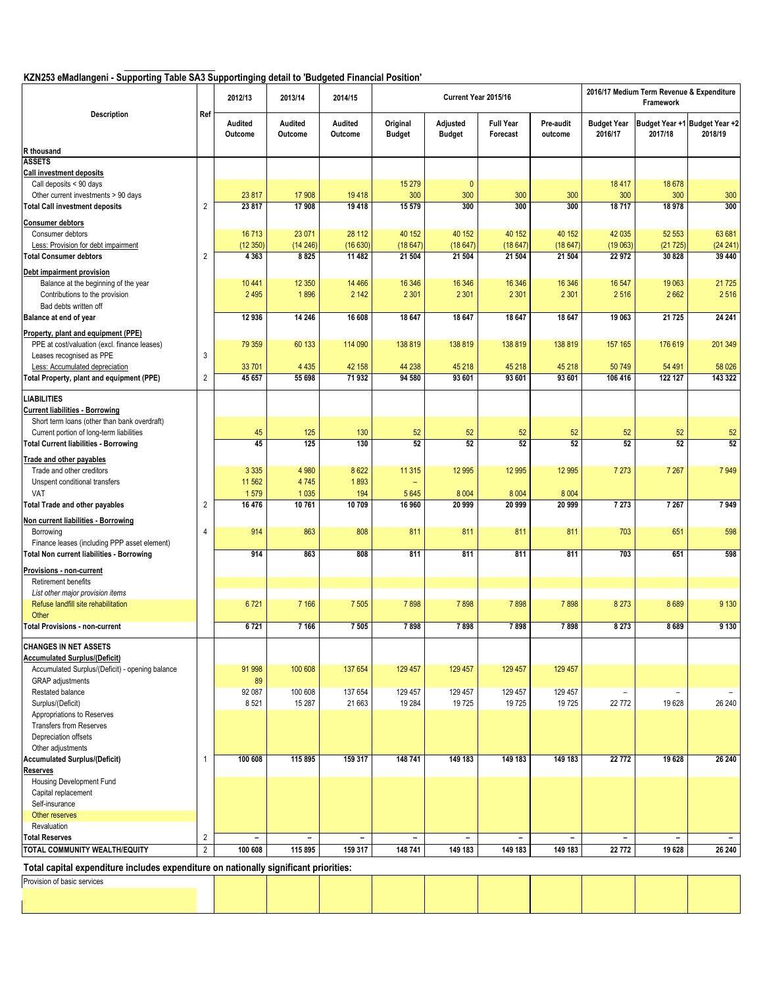# **KZN253 eMadlangeni - Supporting Table SA3 Supportinging detail to 'Budgeted Financial Position'**

|                                                                                        |                | 2012/13                  | 2013/14                  | 2014/15                  |                           |                           | Current Year 2015/16         |                          |                               | 2016/17 Medium Term Revenue & Expenditure<br>Framework |                                          |
|----------------------------------------------------------------------------------------|----------------|--------------------------|--------------------------|--------------------------|---------------------------|---------------------------|------------------------------|--------------------------|-------------------------------|--------------------------------------------------------|------------------------------------------|
| Description                                                                            | Ref            | Audited<br>Outcome       | Audited<br>Outcome       | Audited<br>Outcome       | Original<br><b>Budget</b> | Adjusted<br><b>Budget</b> | <b>Full Year</b><br>Forecast | Pre-audit<br>outcome     | <b>Budget Year</b><br>2016/17 | 2017/18                                                | Budget Year +1 Budget Year +2<br>2018/19 |
| R thousand                                                                             |                |                          |                          |                          |                           |                           |                              |                          |                               |                                                        |                                          |
| <b>ASSETS</b>                                                                          |                |                          |                          |                          |                           |                           |                              |                          |                               |                                                        |                                          |
| <b>Call investment deposits</b><br>Call deposits < 90 days                             |                |                          |                          |                          | 15 279                    | $\mathbf{0}$              |                              |                          | 18 417                        | 18 678                                                 |                                          |
| Other current investments > 90 days                                                    |                | 23 817                   | 17 908                   | 19418                    | 300                       | 300                       | 300                          | 300                      | 300                           | 300                                                    | 300                                      |
| <b>Total Call investment deposits</b>                                                  | $\overline{2}$ | 23 817                   | 17 908                   | 19 4 18                  | 15 579                    | 300                       | 300                          | 300                      | 18717                         | 18 978                                                 | 300                                      |
|                                                                                        |                |                          |                          |                          |                           |                           |                              |                          |                               |                                                        |                                          |
| <b>Consumer debtors</b><br>Consumer debtors                                            |                | 16713                    | 23 071                   | 28 112                   | 40 152                    | 40 152                    | 40 152                       | 40 152                   | 42 035                        | 52 553                                                 | 63 681                                   |
| Less: Provision for debt impairment                                                    |                | (12350)                  | (14246)                  | (16630)                  | (18647)                   | (18647)                   | (18647)                      | (18647)                  | (19063)                       | (21725)                                                | (24 241)                                 |
| <b>Total Consumer debtors</b>                                                          | 2              | 4 3 6 3                  | 8825                     | 11 482                   | 21 504                    | 21 504                    | 21 504                       | 21 504                   | 22 972                        | 30 828                                                 | 39 440                                   |
| Debt impairment provision                                                              |                |                          |                          |                          |                           |                           |                              |                          |                               |                                                        |                                          |
| Balance at the beginning of the year                                                   |                | 10 441                   | 12 3 50                  | 14 4 66                  | 16 346                    | 16 346                    | 16 34 6                      | 16 346                   | 16 547                        | 19 063                                                 | 21 7 25                                  |
| Contributions to the provision                                                         |                | 2 4 9 5                  | 1896                     | 2 1 4 2                  | 2 3 0 1                   | 2 3 0 1                   | 2 3 0 1                      | 2 3 0 1                  | 2516                          | 2 6 6 2                                                | 2516                                     |
| Bad debts written off                                                                  |                |                          |                          |                          |                           |                           |                              |                          |                               |                                                        |                                          |
| Balance at end of year                                                                 |                | 12 936                   | 14 24 6                  | 16 608                   | 18 647                    | 18 647                    | 18 647                       | 18 647                   | 19 063                        | 21 725                                                 | 24 24 1                                  |
| Property, plant and equipment (PPE)                                                    |                |                          |                          |                          |                           |                           |                              |                          |                               |                                                        |                                          |
| PPE at cost/valuation (excl. finance leases)                                           |                | 79 359                   | 60 133                   | 114 090                  | 138 819                   | 138 819                   | 138 819                      | 138 819                  | 157 165                       | 176 619                                                | 201 349                                  |
| Leases recognised as PPE                                                               | 3              |                          |                          |                          |                           |                           |                              |                          |                               |                                                        |                                          |
| Less: Accumulated depreciation                                                         |                | 33 701                   | 4 4 3 5                  | 42 158                   | 44 238                    | 45 218                    | 45 218                       | 45 218                   | 50749                         | 54 491                                                 | 58 0 26                                  |
| Total Property, plant and equipment (PPE)                                              | 2              | 45 657                   | 55 698                   | 71 932                   | 94 580                    | 93 601                    | 93 601                       | 93 601                   | 106 416                       | 122 127                                                | 143 322                                  |
|                                                                                        |                |                          |                          |                          |                           |                           |                              |                          |                               |                                                        |                                          |
| <b>LIABILITIES</b>                                                                     |                |                          |                          |                          |                           |                           |                              |                          |                               |                                                        |                                          |
| <b>Current liabilities - Borrowing</b><br>Short term loans (other than bank overdraft) |                |                          |                          |                          |                           |                           |                              |                          |                               |                                                        |                                          |
| Current portion of long-term liabilities                                               |                | 45                       | 125                      | 130                      | 52                        | 52                        | 52                           | 52                       | 52                            | 52                                                     | 52                                       |
| <b>Total Current liabilities - Borrowing</b>                                           |                | 45                       | 125                      | 130                      | 52                        | 52                        | $\overline{52}$              | 52                       | 52                            | 52                                                     | $\overline{52}$                          |
|                                                                                        |                |                          |                          |                          |                           |                           |                              |                          |                               |                                                        |                                          |
| Trade and other payables<br>Trade and other creditors                                  |                | 3 3 3 5                  | 4 9 8 0                  | 8622                     | 11 315                    | 12 9 95                   | 12 9 95                      | 12 995                   | 7 2 7 3                       | 7 2 6 7                                                | 7949                                     |
| Unspent conditional transfers                                                          |                | 11 5 62                  | 4745                     | 1893                     |                           |                           |                              |                          |                               |                                                        |                                          |
| VAT                                                                                    |                | 1579                     | 1 0 3 5                  | 194                      | 5 6 4 5                   | 8 0 0 4                   | 8 0 0 4                      | 8 0 0 4                  |                               |                                                        |                                          |
| <b>Total Trade and other payables</b>                                                  | 2              | 16 476                   | 10761                    | 10 709                   | 16 960                    | 20 999                    | 20 999                       | 20 999                   | 7 2 7 3                       | 7 2 6 7                                                | 7949                                     |
| Non current liabilities - Borrowing                                                    |                |                          |                          |                          |                           |                           |                              |                          |                               |                                                        |                                          |
| Borrowing                                                                              | 4              | 914                      | 863                      | 808                      | 811                       | 811                       | 811                          | 811                      | 703                           | 651                                                    | 598                                      |
| Finance leases (including PPP asset element)                                           |                |                          |                          |                          |                           |                           |                              |                          |                               |                                                        |                                          |
| <b>Total Non current liabilities - Borrowing</b>                                       |                | 914                      | 863                      | 808                      | 811                       | 811                       | 811                          | 811                      | 703                           | 651                                                    | 598                                      |
| Provisions - non-current                                                               |                |                          |                          |                          |                           |                           |                              |                          |                               |                                                        |                                          |
| Retirement benefits                                                                    |                |                          |                          |                          |                           |                           |                              |                          |                               |                                                        |                                          |
| List other major provision items                                                       |                |                          |                          |                          |                           |                           |                              |                          |                               |                                                        |                                          |
| Refuse landfill site rehabilitation                                                    |                | 6721                     | 7 1 6 6                  | 7 5 0 5                  | 7898                      | 7898                      | 7898                         | 7898                     | 8 2 7 3                       | 8689                                                   | 9 1 3 0                                  |
| Other                                                                                  |                |                          |                          |                          |                           |                           |                              |                          |                               |                                                        |                                          |
| <b>Total Provisions - non-current</b>                                                  |                | 6721                     | 7 1 6 6                  | 7 5 0 5                  | 7898                      | 7898                      | 7898                         | 7898                     | 8 2 7 3                       | 8 6 8 9                                                | 9 1 3 0                                  |
| <b>CHANGES IN NET ASSETS</b>                                                           |                |                          |                          |                          |                           |                           |                              |                          |                               |                                                        |                                          |
| <b>Accumulated Surplus/(Deficit)</b>                                                   |                |                          |                          |                          |                           |                           |                              |                          |                               |                                                        |                                          |
| Accumulated Surplus/(Deficit) - opening balance                                        |                | 91 998                   | 100 608                  | 137 654                  | 129 457                   | 129 457                   | 129 457                      | 129 457                  |                               |                                                        |                                          |
| <b>GRAP</b> adjustments                                                                |                | 89                       |                          |                          |                           |                           |                              |                          |                               |                                                        |                                          |
| Restated balance                                                                       |                | 92 087                   | 100 608                  | 137 654                  | 129 457                   | 129 457                   | 129 457                      | 129 457                  |                               | $\overline{\phantom{a}}$                               |                                          |
| Surplus/(Deficit)                                                                      |                | 8521                     | 15 287                   | 21 663                   | 19 284                    | 19725                     | 19725                        | 19725                    | 22 772                        | 19 628                                                 | 26 240                                   |
| Appropriations to Reserves                                                             |                |                          |                          |                          |                           |                           |                              |                          |                               |                                                        |                                          |
| <b>Transfers from Reserves</b><br>Depreciation offsets                                 |                |                          |                          |                          |                           |                           |                              |                          |                               |                                                        |                                          |
| Other adjustments                                                                      |                |                          |                          |                          |                           |                           |                              |                          |                               |                                                        |                                          |
| <b>Accumulated Surplus/(Deficit)</b>                                                   | $\mathbf{1}$   | 100 608                  | 115 895                  | 159 317                  | 148 741                   | 149 183                   | 149 183                      | 149 183                  | 22 772                        | 19 628                                                 | 26 240                                   |
| <b>Reserves</b>                                                                        |                |                          |                          |                          |                           |                           |                              |                          |                               |                                                        |                                          |
| Housing Development Fund                                                               |                |                          |                          |                          |                           |                           |                              |                          |                               |                                                        |                                          |
| Capital replacement                                                                    |                |                          |                          |                          |                           |                           |                              |                          |                               |                                                        |                                          |
| Self-insurance                                                                         |                |                          |                          |                          |                           |                           |                              |                          |                               |                                                        |                                          |
| Other reserves                                                                         |                |                          |                          |                          |                           |                           |                              |                          |                               |                                                        |                                          |
| Revaluation                                                                            |                |                          |                          |                          |                           |                           |                              |                          |                               |                                                        |                                          |
| <b>Total Reserves</b>                                                                  | 2              | $\overline{\phantom{a}}$ | $\overline{\phantom{a}}$ | $\overline{\phantom{a}}$ | $\overline{\phantom{a}}$  | $\overline{\phantom{a}}$  | $\overline{\phantom{a}}$     | $\overline{\phantom{a}}$ | $\overline{\phantom{a}}$      | $\overline{\phantom{a}}$                               | $\overline{\phantom{a}}$                 |
| TOTAL COMMUNITY WEALTH/EQUITY                                                          | $\overline{2}$ | 100 608                  | 115 895                  | 159 317                  | 148 741                   | 149 183                   | 149 183                      | 149 183                  | 22 772                        | 19 628                                                 | 26 240                                   |
| Total capital expenditure includes expenditure on nationally significant priorities:   |                |                          |                          |                          |                           |                           |                              |                          |                               |                                                        |                                          |
| Provision of basic services                                                            |                |                          |                          |                          |                           |                           |                              |                          |                               |                                                        |                                          |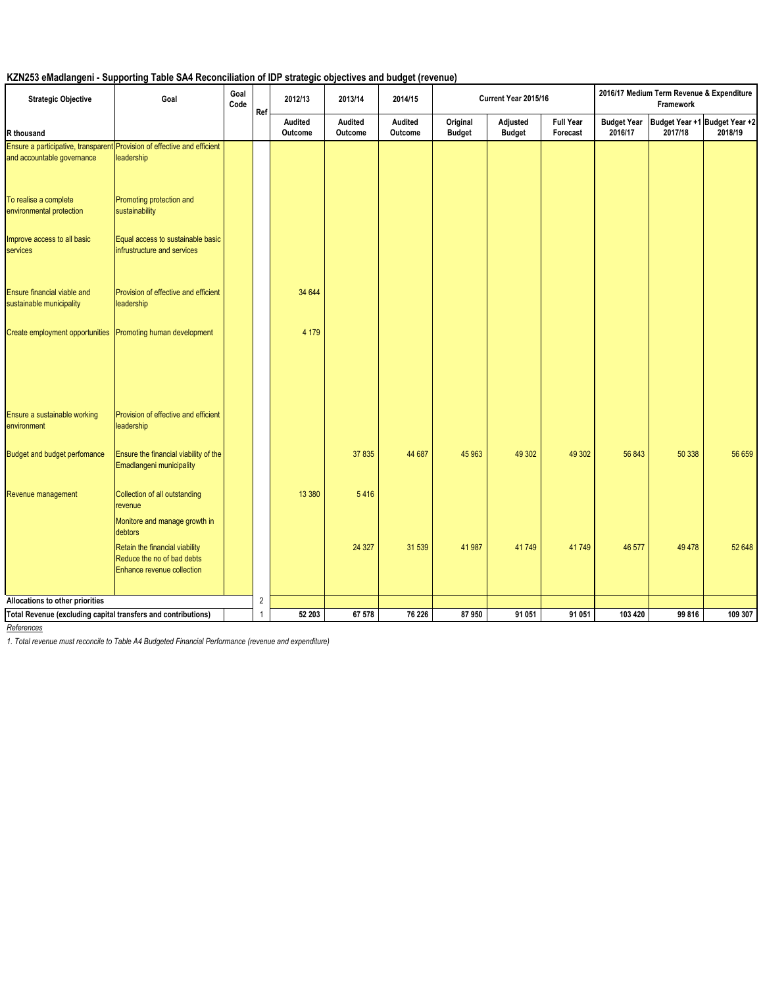# **KZN253 eMadlangeni - Supporting Table SA4 Reconciliation of IDP strategic objectives and budget (revenue)**

| <b>Strategic Objective</b>                                    | Goal                                                                                                  | Goal<br>Code | Ref          | 2012/13            | 2013/14            | 2014/15                   |                           | Current Year 2015/16      |                              |                               | 2016/17 Medium Term Revenue & Expenditure<br>Framework |                                          |
|---------------------------------------------------------------|-------------------------------------------------------------------------------------------------------|--------------|--------------|--------------------|--------------------|---------------------------|---------------------------|---------------------------|------------------------------|-------------------------------|--------------------------------------------------------|------------------------------------------|
| R thousand                                                    |                                                                                                       |              |              | Audited<br>Outcome | Audited<br>Outcome | <b>Audited</b><br>Outcome | Original<br><b>Budget</b> | Adjusted<br><b>Budget</b> | <b>Full Year</b><br>Forecast | <b>Budget Year</b><br>2016/17 | 2017/18                                                | Budget Year +1 Budget Year +2<br>2018/19 |
| and accountable governance                                    | Ensure a participative, transparent Provision of effective and efficient<br>leadership                |              |              |                    |                    |                           |                           |                           |                              |                               |                                                        |                                          |
| To realise a complete<br>environmental protection             | Promoting protection and<br>sustainability                                                            |              |              |                    |                    |                           |                           |                           |                              |                               |                                                        |                                          |
| Improve access to all basic<br>services                       | Equal access to sustainable basic<br>infrustructure and services                                      |              |              |                    |                    |                           |                           |                           |                              |                               |                                                        |                                          |
| Ensure financial viable and<br>sustainable municipality       | Provision of effective and efficient<br>leadership                                                    |              |              | 34 644             |                    |                           |                           |                           |                              |                               |                                                        |                                          |
| Create employment opportunities                               | Promoting human development                                                                           |              |              | 4 1 7 9            |                    |                           |                           |                           |                              |                               |                                                        |                                          |
| Ensure a sustainable working<br>environment                   | Provision of effective and efficient<br>leadership                                                    |              |              |                    |                    |                           |                           |                           |                              |                               |                                                        |                                          |
| <b>Budget and budget perfomance</b>                           | Ensure the financial viability of the<br>Emadlangeni municipality                                     |              |              |                    | 37 835             | 44 687                    | 45 963                    | 49 30 2                   | 49 30 2                      | 56 843                        | 50 338                                                 | 56 659                                   |
| Revenue management                                            | Collection of all outstanding<br>revenue<br>Monitore and manage growth in                             |              |              | 13 380             | 5416               |                           |                           |                           |                              |                               |                                                        |                                          |
|                                                               | debtors<br>Retain the financial viability<br>Reduce the no of bad debts<br>Enhance revenue collection |              |              |                    | 24 3 27            | 31 539                    | 41 987                    | 41749                     | 41749                        | 46 577                        | 49 4 78                                                | 52 648                                   |
| Allocations to other priorities                               |                                                                                                       |              | 2            |                    |                    |                           |                           |                           |                              |                               |                                                        |                                          |
| Total Revenue (excluding capital transfers and contributions) |                                                                                                       |              | $\mathbf{1}$ | 52 203             | 67 578             | 76 226                    | 87950                     | 91 051                    | 91 051                       | 103 420                       | 99 816                                                 | 109 307                                  |

*References*

*1. Total revenue must reconcile to Table A4 Budgeted Financial Performance (revenue and expenditure)*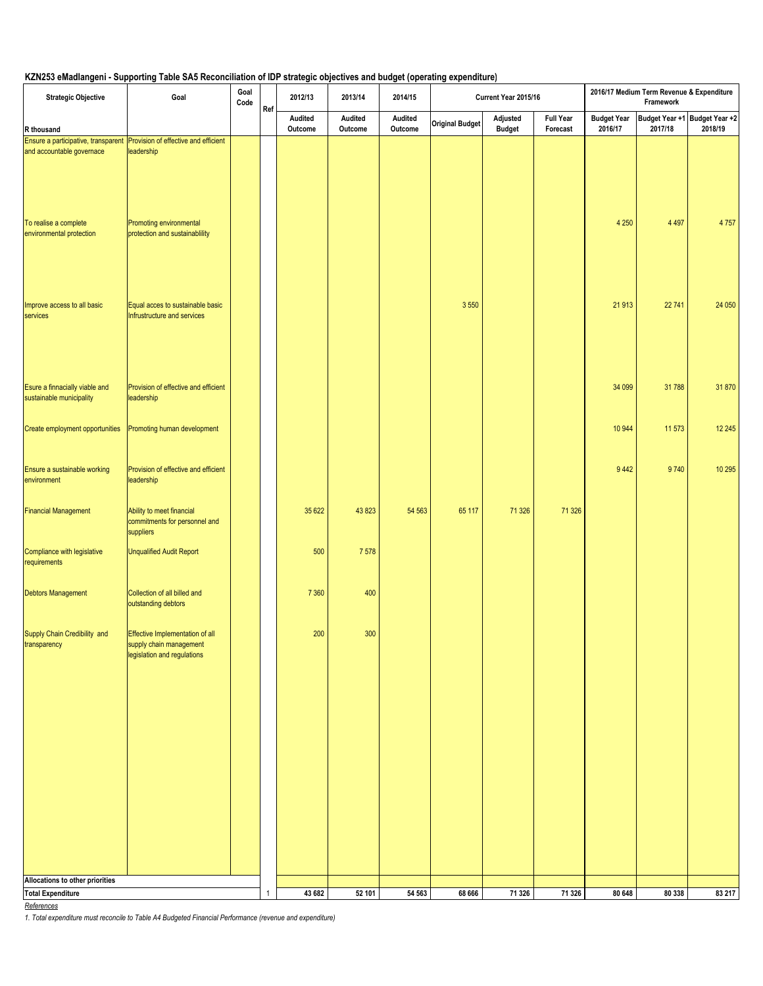## **KZN253 eMadlangeni - Supporting Table SA5 Reconciliation of IDP strategic objectives and budget (operating expenditure)**

| <b>Strategic Objective</b>                                               | Goal                                                                                      | Goal<br>Code | Ref          | 2012/13            | 2013/14            | 2014/15            |                        | Current Year 2015/16      |                              |                               | 2016/17 Medium Term Revenue & Expenditure<br>Framework |                                          |
|--------------------------------------------------------------------------|-------------------------------------------------------------------------------------------|--------------|--------------|--------------------|--------------------|--------------------|------------------------|---------------------------|------------------------------|-------------------------------|--------------------------------------------------------|------------------------------------------|
| R thousand                                                               |                                                                                           |              |              | Audited<br>Outcome | Audited<br>Outcome | Audited<br>Outcome | <b>Original Budget</b> | Adjusted<br><b>Budget</b> | <b>Full Year</b><br>Forecast | <b>Budget Year</b><br>2016/17 | 2017/18                                                | Budget Year +1 Budget Year +2<br>2018/19 |
| Ensure a participative, transparent Provision of effective and efficient |                                                                                           |              |              |                    |                    |                    |                        |                           |                              |                               |                                                        |                                          |
| and accountable governace                                                | leadership                                                                                |              |              |                    |                    |                    |                        |                           |                              |                               |                                                        |                                          |
| To realise a complete<br>environmental protection                        | Promoting environmental<br>protection and sustainablility                                 |              |              |                    |                    |                    |                        |                           |                              | 4 2 5 0                       | 4 4 9 7                                                | 4757                                     |
| Improve access to all basic<br>services                                  | Equal acces to sustainable basic<br>Infrustructure and services                           |              |              |                    |                    |                    | 3 5 5 0                |                           |                              | 21 913                        | 22 741                                                 | 24 050                                   |
| Esure a finnacially viable and<br>sustainable municipality               | Provision of effective and efficient<br>leadership                                        |              |              |                    |                    |                    |                        |                           |                              | 34 099                        | 31788                                                  | 31 870                                   |
| Create employment opportunities                                          | Promoting human development                                                               |              |              |                    |                    |                    |                        |                           |                              | 10 944                        | 11 573                                                 | 12 245                                   |
| Ensure a sustainable working<br>environment                              | Provision of effective and efficient<br>leadership                                        |              |              |                    |                    |                    |                        |                           |                              | 9 4 4 2                       | 9740                                                   | 10 295                                   |
| <b>Financial Management</b>                                              | Ability to meet financial<br>commitments for personnel and<br>suppliers                   |              |              | 35 622             | 43823              | 54 563             | 65 117                 | 71 326                    | 71 326                       |                               |                                                        |                                          |
| Compliance with legislative<br>requirements                              | <b>Unqualified Audit Report</b>                                                           |              |              | 500                | 7578               |                    |                        |                           |                              |                               |                                                        |                                          |
| <b>Debtors Management</b>                                                | Collection of all billed and<br>outstanding debtors                                       |              |              | 7 3 6 0            | 400                |                    |                        |                           |                              |                               |                                                        |                                          |
| Supply Chain Credibility and<br>transparency                             | Effective Implementation of all<br>supply chain management<br>legislation and regulations |              |              | 200                | 300                |                    |                        |                           |                              |                               |                                                        |                                          |
|                                                                          |                                                                                           |              |              |                    |                    |                    |                        |                           |                              |                               |                                                        |                                          |
|                                                                          |                                                                                           |              |              |                    |                    |                    |                        |                           |                              |                               |                                                        |                                          |
| Allocations to other priorities                                          |                                                                                           |              |              |                    |                    |                    |                        |                           |                              |                               |                                                        |                                          |
| <b>Total Expenditure</b>                                                 |                                                                                           |              | $\mathbf{1}$ | 43 682             | 52 101             | 54 563             | 68 666                 | 71 326                    | 71 326                       | 80 648                        | 80 338                                                 | 83 217                                   |

*References*

*1. Total expenditure must reconcile to Table A4 Budgeted Financial Performance (revenue and expenditure)*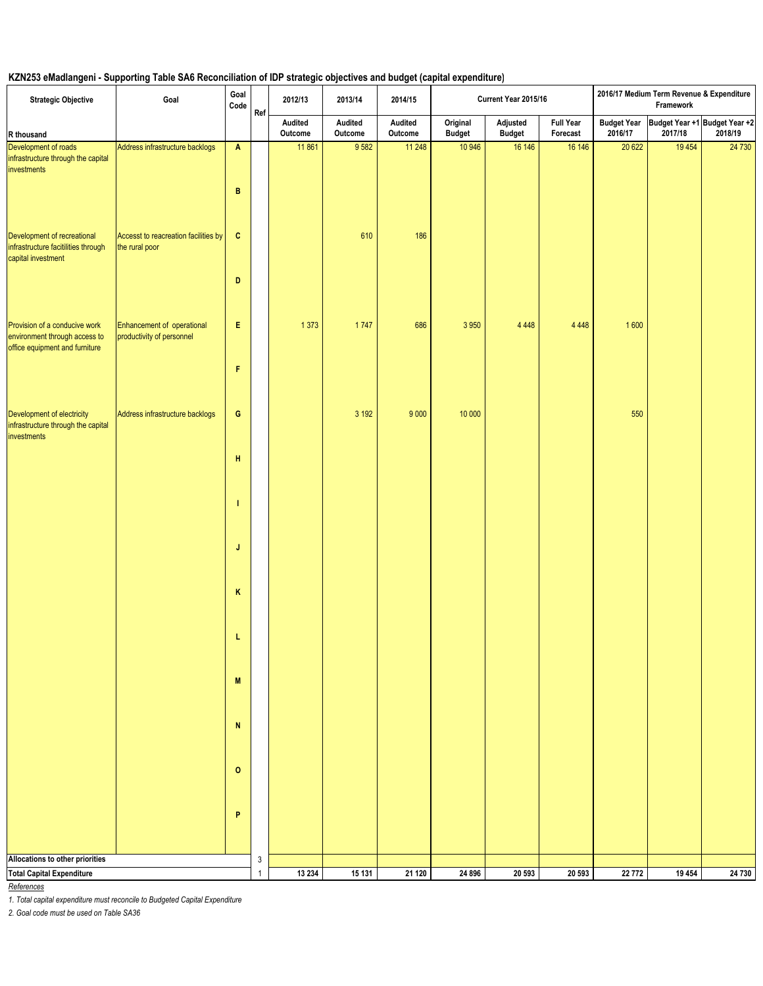# **KZN253 eMadlangeni - Supporting Table SA6 Reconciliation of IDP strategic objectives and budget (capital expenditure)**

| <b>Strategic Objective</b>                                                               | Goal                                                    | Goal<br>Code              | Ref          | 2012/13            | 2013/14            | 2014/15            |                           | Current Year 2015/16      |                              |         | 2016/17 Medium Term Revenue & Expenditure<br>Framework |         |
|------------------------------------------------------------------------------------------|---------------------------------------------------------|---------------------------|--------------|--------------------|--------------------|--------------------|---------------------------|---------------------------|------------------------------|---------|--------------------------------------------------------|---------|
| R thousand                                                                               |                                                         |                           |              | Audited<br>Outcome | Audited<br>Outcome | Audited<br>Outcome | Original<br><b>Budget</b> | Adjusted<br><b>Budget</b> | <b>Full Year</b><br>Forecast | 2016/17 | Budget Year Budget Year +1 Budget Year +2<br>2017/18   | 2018/19 |
| Development of roads<br>infrastructure through the capital<br>investments                | Address infrastructure backlogs                         | $\boldsymbol{\mathsf{A}}$ |              | 11861              | 9582               | 11 248             | 10 946                    | 16 14 6                   | 16 146                       | 20 6 22 | 19 4 54                                                | 24 730  |
|                                                                                          |                                                         | B                         |              |                    |                    |                    |                           |                           |                              |         |                                                        |         |
| Development of recreational<br>infrastructure facitilities through<br>capital investment | Accesst to reacreation facilities by<br>the rural poor  | $\mathbf{C}$              |              |                    | 610                | 186                |                           |                           |                              |         |                                                        |         |
| Provision of a conducive work                                                            |                                                         | D<br>E                    |              |                    | 1747               |                    |                           |                           |                              |         |                                                        |         |
| environment through access to<br>office equipment and furniture                          | Enhancement of operational<br>productivity of personnel | F                         |              | 1373               |                    | 686                | 3 9 5 0                   | 4 4 4 8                   | 4 4 4 8                      | 1600    |                                                        |         |
|                                                                                          |                                                         |                           |              |                    |                    |                    |                           |                           |                              |         |                                                        |         |
| Development of electricity<br>infrastructure through the capital<br>investments          | Address infrastructure backlogs                         | $\mathbf G$               |              |                    | 3 1 9 2            | 9 0 0 0            | 10 000                    |                           |                              | 550     |                                                        |         |
|                                                                                          |                                                         | н                         |              |                    |                    |                    |                           |                           |                              |         |                                                        |         |
|                                                                                          |                                                         | л                         |              |                    |                    |                    |                           |                           |                              |         |                                                        |         |
|                                                                                          |                                                         | J                         |              |                    |                    |                    |                           |                           |                              |         |                                                        |         |
|                                                                                          |                                                         | Κ<br>L                    |              |                    |                    |                    |                           |                           |                              |         |                                                        |         |
|                                                                                          |                                                         | $\boldsymbol{\mathsf{M}}$ |              |                    |                    |                    |                           |                           |                              |         |                                                        |         |
|                                                                                          |                                                         | N                         |              |                    |                    |                    |                           |                           |                              |         |                                                        |         |
|                                                                                          |                                                         | $\mathbf 0$               |              |                    |                    |                    |                           |                           |                              |         |                                                        |         |
|                                                                                          |                                                         | P                         |              |                    |                    |                    |                           |                           |                              |         |                                                        |         |
|                                                                                          |                                                         |                           |              |                    |                    |                    |                           |                           |                              |         |                                                        |         |
| Allocations to other priorities                                                          |                                                         |                           | $\mathsf 3$  |                    |                    |                    |                           |                           |                              |         |                                                        |         |
| <b>Total Capital Expenditure</b>                                                         |                                                         |                           | $\mathbf{1}$ | 13 2 34            | 15 131             | $\frac{1}{21}$ 120 | 24 896                    | 20 593                    | 20 593                       | 22 772  | 19 4 54                                                | 24 730  |

*References*

*1. Total capital expenditure must reconcile to Budgeted Capital Expenditure*

*2. Goal code must be used on Table SA36*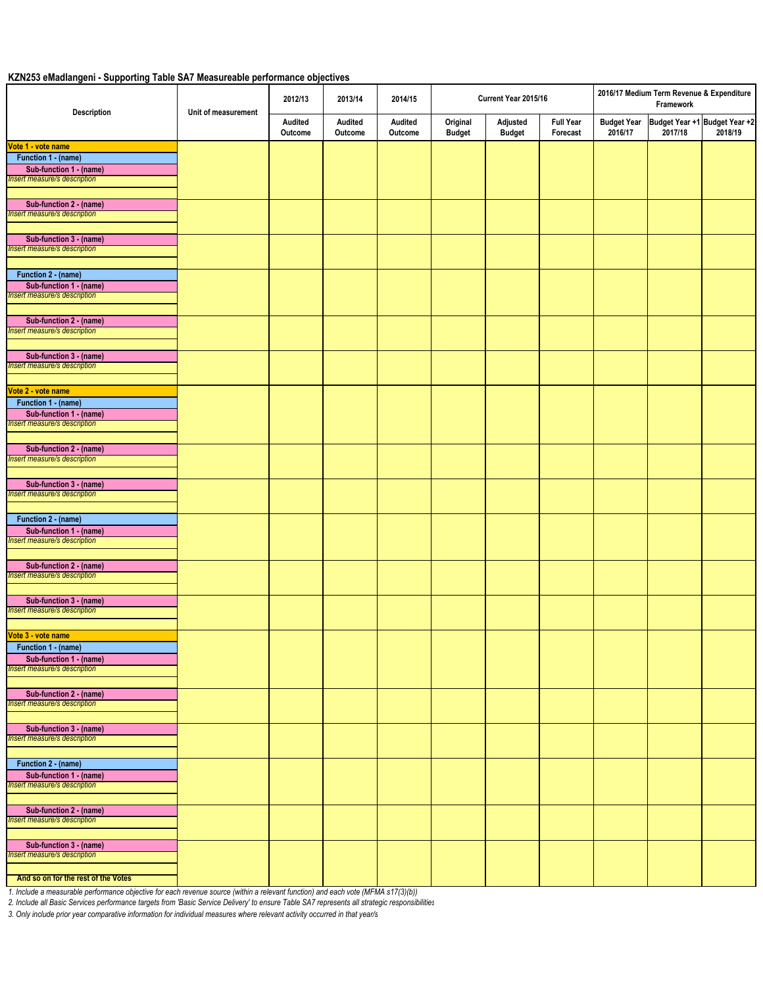## **KZN253 eMadlangeni - Supporting Table SA7 Measureable performance objectives**

| <b>Description</b>                  | Unit of measurement | 2012/13            | 2013/14            | 2014/15            |                           | Current Year 2015/16      |                              |                               | 2016/17 Medium Term Revenue & Expenditure<br>Framework |         |
|-------------------------------------|---------------------|--------------------|--------------------|--------------------|---------------------------|---------------------------|------------------------------|-------------------------------|--------------------------------------------------------|---------|
|                                     |                     | Audited<br>Outcome | Audited<br>Outcome | Audited<br>Outcome | Original<br><b>Budget</b> | Adjusted<br><b>Budget</b> | <b>Full Year</b><br>Forecast | <b>Budget Year</b><br>2016/17 | Budget Year +1 Budget Year +2<br>2017/18               | 2018/19 |
| Vote 1 - vote name                  |                     |                    |                    |                    |                           |                           |                              |                               |                                                        |         |
| Function 1 - (name)                 |                     |                    |                    |                    |                           |                           |                              |                               |                                                        |         |
| Sub-function 1 - (name)             |                     |                    |                    |                    |                           |                           |                              |                               |                                                        |         |
| Insert measure/s description        |                     |                    |                    |                    |                           |                           |                              |                               |                                                        |         |
|                                     |                     |                    |                    |                    |                           |                           |                              |                               |                                                        |         |
| Sub-function 2 - (name)             |                     |                    |                    |                    |                           |                           |                              |                               |                                                        |         |
| nsert measure/s description         |                     |                    |                    |                    |                           |                           |                              |                               |                                                        |         |
|                                     |                     |                    |                    |                    |                           |                           |                              |                               |                                                        |         |
| Sub-function 3 - (name)             |                     |                    |                    |                    |                           |                           |                              |                               |                                                        |         |
| Insert measure/s description        |                     |                    |                    |                    |                           |                           |                              |                               |                                                        |         |
|                                     |                     |                    |                    |                    |                           |                           |                              |                               |                                                        |         |
| Function 2 - (name)                 |                     |                    |                    |                    |                           |                           |                              |                               |                                                        |         |
| Sub-function 1 - (name)             |                     |                    |                    |                    |                           |                           |                              |                               |                                                        |         |
| Insert measure/s description        |                     |                    |                    |                    |                           |                           |                              |                               |                                                        |         |
|                                     |                     |                    |                    |                    |                           |                           |                              |                               |                                                        |         |
| Sub-function 2 - (name)             |                     |                    |                    |                    |                           |                           |                              |                               |                                                        |         |
| Insert measure/s description        |                     |                    |                    |                    |                           |                           |                              |                               |                                                        |         |
|                                     |                     |                    |                    |                    |                           |                           |                              |                               |                                                        |         |
| Sub-function 3 - (name)             |                     |                    |                    |                    |                           |                           |                              |                               |                                                        |         |
| <b>Insert measure/s description</b> |                     |                    |                    |                    |                           |                           |                              |                               |                                                        |         |
|                                     |                     |                    |                    |                    |                           |                           |                              |                               |                                                        |         |
| Vote 2 - vote name                  |                     |                    |                    |                    |                           |                           |                              |                               |                                                        |         |
| Function 1 - (name)                 |                     |                    |                    |                    |                           |                           |                              |                               |                                                        |         |
| Sub-function 1 - (name)             |                     |                    |                    |                    |                           |                           |                              |                               |                                                        |         |
| Insert measure/s description        |                     |                    |                    |                    |                           |                           |                              |                               |                                                        |         |
|                                     |                     |                    |                    |                    |                           |                           |                              |                               |                                                        |         |
| Sub-function 2 - (name)             |                     |                    |                    |                    |                           |                           |                              |                               |                                                        |         |
| Insert measure/s description        |                     |                    |                    |                    |                           |                           |                              |                               |                                                        |         |
|                                     |                     |                    |                    |                    |                           |                           |                              |                               |                                                        |         |
| Sub-function 3 - (name)             |                     |                    |                    |                    |                           |                           |                              |                               |                                                        |         |
| Insert measure/s description        |                     |                    |                    |                    |                           |                           |                              |                               |                                                        |         |
|                                     |                     |                    |                    |                    |                           |                           |                              |                               |                                                        |         |
| Function 2 - (name)                 |                     |                    |                    |                    |                           |                           |                              |                               |                                                        |         |
| Sub-function 1 - (name)             |                     |                    |                    |                    |                           |                           |                              |                               |                                                        |         |
| Insert measure/s description        |                     |                    |                    |                    |                           |                           |                              |                               |                                                        |         |
|                                     |                     |                    |                    |                    |                           |                           |                              |                               |                                                        |         |
| Sub-function 2 - (name)             |                     |                    |                    |                    |                           |                           |                              |                               |                                                        |         |
| Insert measure/s description        |                     |                    |                    |                    |                           |                           |                              |                               |                                                        |         |
|                                     |                     |                    |                    |                    |                           |                           |                              |                               |                                                        |         |
| Sub-function 3 - (name)             |                     |                    |                    |                    |                           |                           |                              |                               |                                                        |         |
| Insert measure/s description        |                     |                    |                    |                    |                           |                           |                              |                               |                                                        |         |
|                                     |                     |                    |                    |                    |                           |                           |                              |                               |                                                        |         |
| Vote 3 - vote name                  |                     |                    |                    |                    |                           |                           |                              |                               |                                                        |         |
| Function 1 - (name)                 |                     |                    |                    |                    |                           |                           |                              |                               |                                                        |         |
| Sub-function 1 - (name)             |                     |                    |                    |                    |                           |                           |                              |                               |                                                        |         |
| Insert measure/s description        |                     |                    |                    |                    |                           |                           |                              |                               |                                                        |         |
|                                     |                     |                    |                    |                    |                           |                           |                              |                               |                                                        |         |
| Sub-function 2 - (name)             |                     |                    |                    |                    |                           |                           |                              |                               |                                                        |         |
| Insert measure/s description        |                     |                    |                    |                    |                           |                           |                              |                               |                                                        |         |
|                                     |                     |                    |                    |                    |                           |                           |                              |                               |                                                        |         |
| Sub-function 3 - (name)             |                     |                    |                    |                    |                           |                           |                              |                               |                                                        |         |
| Insert measure/s description        |                     |                    |                    |                    |                           |                           |                              |                               |                                                        |         |
|                                     |                     |                    |                    |                    |                           |                           |                              |                               |                                                        |         |
| Function 2 - (name)                 |                     |                    |                    |                    |                           |                           |                              |                               |                                                        |         |
| Sub-function 1 - (name)             |                     |                    |                    |                    |                           |                           |                              |                               |                                                        |         |
| Insert measure/s description        |                     |                    |                    |                    |                           |                           |                              |                               |                                                        |         |
|                                     |                     |                    |                    |                    |                           |                           |                              |                               |                                                        |         |
| Sub-function 2 - (name)             |                     |                    |                    |                    |                           |                           |                              |                               |                                                        |         |
| Insert measure/s description        |                     |                    |                    |                    |                           |                           |                              |                               |                                                        |         |
|                                     |                     |                    |                    |                    |                           |                           |                              |                               |                                                        |         |
| Sub-function 3 - (name)             |                     |                    |                    |                    |                           |                           |                              |                               |                                                        |         |
| Insert measure/s description        |                     |                    |                    |                    |                           |                           |                              |                               |                                                        |         |
|                                     |                     |                    |                    |                    |                           |                           |                              |                               |                                                        |         |
| And so on for the rest of the Votes |                     |                    |                    |                    |                           |                           |                              |                               |                                                        |         |

*1. Include a measurable performance objective for each revenue source (within a relevant function) and each vote (MFMA s17(3)(b))*

*2. Include all Basic Services performance targets from 'Basic Service Delivery' to ensure Table SA7 represents all strategic responsibilities*

*3. Only include prior year comparative information for individual measures where relevant activity occurred in that year/s*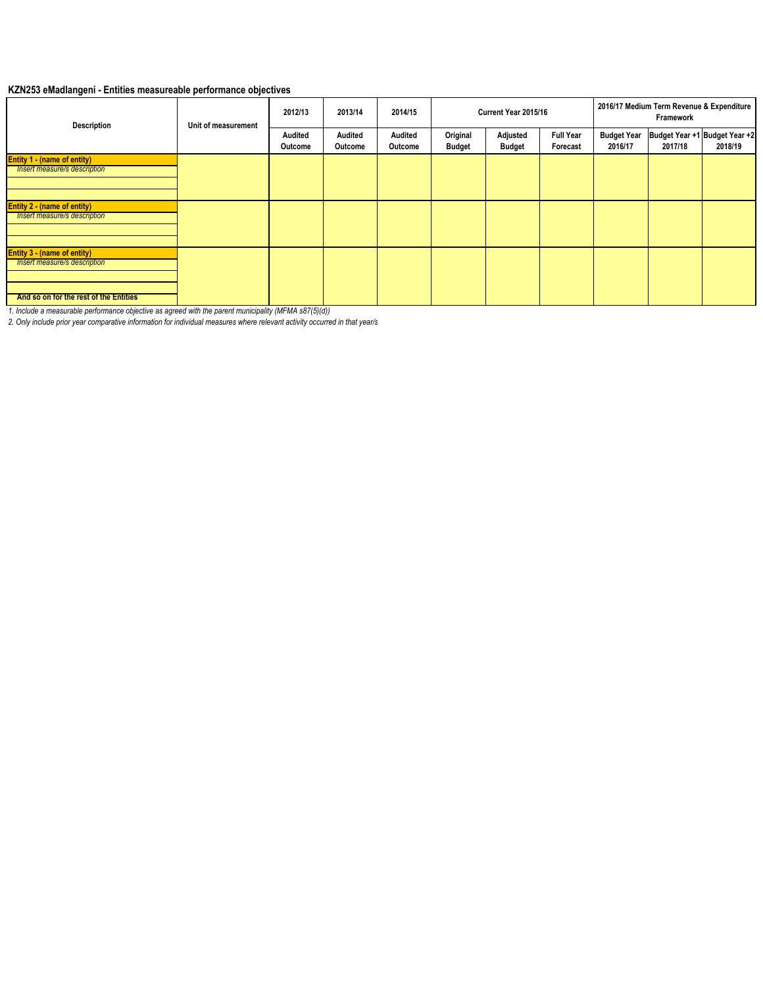## **KZN253 eMadlangeni - Entities measureable performance objectives**

| <b>Description</b>                     | Unit of measurement | 2012/13            | 2013/14            | 2014/15            | Current Year 2015/16      |                           |                              | 2016/17 Medium Term Revenue & Expenditure<br>Framework |         |                                          |  |
|----------------------------------------|---------------------|--------------------|--------------------|--------------------|---------------------------|---------------------------|------------------------------|--------------------------------------------------------|---------|------------------------------------------|--|
|                                        |                     | Audited<br>Outcome | Audited<br>Outcome | Audited<br>Outcome | Original<br><b>Budget</b> | Adjusted<br><b>Budget</b> | <b>Full Year</b><br>Forecast | <b>Budget Year</b><br>2016/17                          | 2017/18 | Budget Year +1 Budget Year +2<br>2018/19 |  |
| Entity 1 - (name of entity)            |                     |                    |                    |                    |                           |                           |                              |                                                        |         |                                          |  |
| Insert measure/s description           |                     |                    |                    |                    |                           |                           |                              |                                                        |         |                                          |  |
|                                        |                     |                    |                    |                    |                           |                           |                              |                                                        |         |                                          |  |
| <b>Entity 2 - (name of entity)</b>     |                     |                    |                    |                    |                           |                           |                              |                                                        |         |                                          |  |
| Insert measure/s description           |                     |                    |                    |                    |                           |                           |                              |                                                        |         |                                          |  |
|                                        |                     |                    |                    |                    |                           |                           |                              |                                                        |         |                                          |  |
| <b>Entity 3 - (name of entity)</b>     |                     |                    |                    |                    |                           |                           |                              |                                                        |         |                                          |  |
| Insert measure/s description           |                     |                    |                    |                    |                           |                           |                              |                                                        |         |                                          |  |
|                                        |                     |                    |                    |                    |                           |                           |                              |                                                        |         |                                          |  |
| And so on for the rest of the Entities |                     |                    |                    |                    |                           |                           |                              |                                                        |         |                                          |  |
|                                        |                     |                    |                    |                    |                           |                           |                              |                                                        |         |                                          |  |

*1. Include a measurable performance objective as agreed with the parent municipality (MFMA s87(5)(d))*

*2. Only include prior year comparative information for individual measures where relevant activity occurred in that year/s*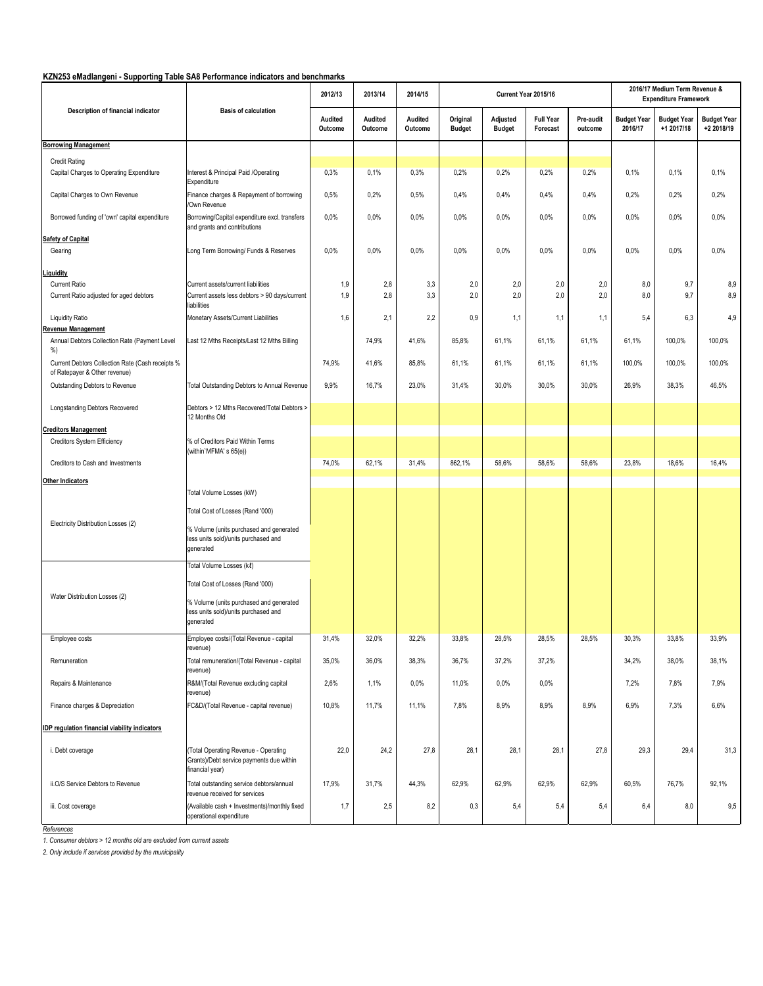### **KZN253 eMadlangeni - Supporting Table SA8 Performance indicators and benchmarks**

| KZNZ53 emadiangeni - Supporting Table SA8 Performance indicators and benchmarks   | <b>Basis of calculation</b>                                                                         | 2012/13            | 2013/14            | 2014/15            |                           | Current Year 2015/16      |                              |                      |                               | 2016/17 Medium Term Revenue &<br><b>Expenditure Framework</b> |                                  |
|-----------------------------------------------------------------------------------|-----------------------------------------------------------------------------------------------------|--------------------|--------------------|--------------------|---------------------------|---------------------------|------------------------------|----------------------|-------------------------------|---------------------------------------------------------------|----------------------------------|
| Description of financial indicator                                                |                                                                                                     | Audited<br>Outcome | Audited<br>Outcome | Audited<br>Outcome | Original<br><b>Budget</b> | Adjusted<br><b>Budget</b> | <b>Full Year</b><br>Forecast | Pre-audit<br>outcome | <b>Budget Year</b><br>2016/17 | <b>Budget Year</b><br>+1 2017/18                              | <b>Budget Year</b><br>+2 2018/19 |
| <b>Borrowing Management</b>                                                       |                                                                                                     |                    |                    |                    |                           |                           |                              |                      |                               |                                                               |                                  |
| <b>Credit Rating</b>                                                              |                                                                                                     |                    |                    |                    |                           |                           |                              |                      |                               |                                                               |                                  |
| Capital Charges to Operating Expenditure                                          | Interest & Principal Paid /Operating<br>Expenditure                                                 | 0,3%               | 0,1%               | 0.3%               | 0.2%                      | 0,2%                      | 0,2%                         | 0,2%                 | 0,1%                          | 0,1%                                                          | 0,1%                             |
| Capital Charges to Own Revenue                                                    | Finance charges & Repayment of borrowing<br>/Own Revenue                                            | 0,5%               | 0.2%               | 0,5%               | 0.4%                      | 0,4%                      | 0,4%                         | 0,4%                 | 0,2%                          | 0.2%                                                          | 0.2%                             |
| Borrowed funding of 'own' capital expenditure                                     | Borrowing/Capital expenditure excl. transfers<br>and grants and contributions                       | 0,0%               | 0.0%               | 0.0%               | 0.0%                      | 0.0%                      | 0.0%                         | 0.0%                 | 0,0%                          | 0.0%                                                          | 0.0%                             |
| <b>Safety of Capital</b>                                                          |                                                                                                     |                    |                    |                    |                           |                           |                              |                      |                               |                                                               |                                  |
| Gearing                                                                           | Long Term Borrowing/ Funds & Reserves                                                               | 0,0%               | 0.0%               | 0.0%               | 0.0%                      | 0.0%                      | 0.0%                         | 0,0%                 | 0.0%                          | 0.0%                                                          | 0.0%                             |
| <i>iquidity</i>                                                                   |                                                                                                     |                    |                    |                    |                           |                           |                              |                      |                               |                                                               |                                  |
| Current Ratio<br>Current Ratio adjusted for aged debtors                          | Current assets/current liabilities<br>Current assets less debtors > 90 days/current<br>liabilities  | 1,9<br>1,9         | 2,8<br>2,8         | 3,3<br>3,3         | 2,0<br>2,0                | 2,0<br>2,0                | 2,0<br>2,0                   | 2,0<br>2,0           | 8,0<br>8,0                    | 9,7<br>9,7                                                    | 8,9<br>8,9                       |
| <b>Liquidity Ratio</b><br>Revenue Management                                      | Monetary Assets/Current Liabilities                                                                 | 1,6                | 2,1                | 2,2                | 0.9                       | 1,1                       | 1,1                          | 1,1                  | 5,4                           | 6,3                                                           | 4,9                              |
| Annual Debtors Collection Rate (Payment Level<br>%)                               | Last 12 Mths Receipts/Last 12 Mths Billing                                                          |                    | 74,9%              | 41,6%              | 85,8%                     | 61,1%                     | 61,1%                        | 61,1%                | 61,1%                         | 100,0%                                                        | 100,0%                           |
| Current Debtors Collection Rate (Cash receipts %<br>of Ratepayer & Other revenue) |                                                                                                     | 74,9%              | 41,6%              | 85,8%              | 61,1%                     | 61,1%                     | 61,1%                        | 61,1%                | 100,0%                        | 100,0%                                                        | 100,0%                           |
| Outstanding Debtors to Revenue                                                    | Total Outstanding Debtors to Annual Revenue                                                         | 9,9%               | 16,7%              | 23,0%              | 31,4%                     | 30,0%                     | 30,0%                        | 30,0%                | 26,9%                         | 38,3%                                                         | 46,5%                            |
| Longstanding Debtors Recovered                                                    | Debtors > 12 Mths Recovered/Total Debtors ><br>12 Months Old                                        |                    |                    |                    |                           |                           |                              |                      |                               |                                                               |                                  |
| <b>Creditors Management</b>                                                       |                                                                                                     |                    |                    |                    |                           |                           |                              |                      |                               |                                                               |                                  |
| Creditors System Efficiency                                                       | % of Creditors Paid Within Terms                                                                    |                    |                    |                    |                           |                           |                              |                      |                               |                                                               |                                  |
| Creditors to Cash and Investments                                                 | (within'MFMA's 65(e))                                                                               | 74,0%              | 62,1%              | 31,4%              | 862,1%                    | 58,6%                     | 58,6%                        | 58,6%                | 23,8%                         | 18,6%                                                         | 16,4%                            |
| <b>Other Indicators</b>                                                           |                                                                                                     |                    |                    |                    |                           |                           |                              |                      |                               |                                                               |                                  |
|                                                                                   | Total Volume Losses (kW)                                                                            |                    |                    |                    |                           |                           |                              |                      |                               |                                                               |                                  |
|                                                                                   | Total Cost of Losses (Rand '000)                                                                    |                    |                    |                    |                           |                           |                              |                      |                               |                                                               |                                  |
| Electricity Distribution Losses (2)                                               | % Volume (units purchased and generated<br>less units sold)/units purchased and<br>generated        |                    |                    |                    |                           |                           |                              |                      |                               |                                                               |                                  |
|                                                                                   | Total Volume Losses (kl)                                                                            |                    |                    |                    |                           |                           |                              |                      |                               |                                                               |                                  |
|                                                                                   | Total Cost of Losses (Rand '000)                                                                    |                    |                    |                    |                           |                           |                              |                      |                               |                                                               |                                  |
| Water Distribution Losses (2)                                                     | % Volume (units purchased and generated<br>less units sold)/units purchased and<br>generated        |                    |                    |                    |                           |                           |                              |                      |                               |                                                               |                                  |
| Employee costs                                                                    | Employee costs/(Total Revenue - capital<br>revenue)                                                 | 31,4%              | 32,0%              | 32,2%              | 33,8%                     | 28,5%                     | 28,5%                        | 28,5%                | 30,3%                         | 33,8%                                                         | 33,9%                            |
| Remuneration                                                                      | Total remuneration/(Total Revenue - capital<br>revenue)                                             | 35,0%              | 36,0%              | 38,3%              | 36,7%                     | 37,2%                     | 37,2%                        |                      | 34,2%                         | 38,0%                                                         | 38,1%                            |
| Repairs & Maintenance                                                             | R&M/(Total Revenue excluding capital<br>revenue)                                                    | 2,6%               | 1,1%               | 0.0%               | 11,0%                     | 0,0%                      | 0,0%                         |                      | 7,2%                          | 7,8%                                                          | 7,9%                             |
| Finance charges & Depreciation                                                    | FC&D/(Total Revenue - capital revenue)                                                              | 10,8%              | 11,7%              | 11,1%              | 7,8%                      | 8,9%                      | 8,9%                         | 8,9%                 | 6,9%                          | 7,3%                                                          | 6,6%                             |
| <b>IDP regulation financial viability indicators</b>                              |                                                                                                     |                    |                    |                    |                           |                           |                              |                      |                               |                                                               |                                  |
| i. Debt coverage                                                                  | (Total Operating Revenue - Operating<br>Grants)/Debt service payments due within<br>financial year) | 22,0               | 24,2               | 27,8               | 28,1                      | 28,1                      | 28,1                         | 27,8                 | 29,3                          | 29,4                                                          | 31,3                             |
| ii.O/S Service Debtors to Revenue                                                 | Total outstanding service debtors/annual<br>revenue received for services                           | 17,9%              | 31,7%              | 44,3%              | 62,9%                     | 62,9%                     | 62,9%                        | 62,9%                | 60,5%                         | 76,7%                                                         | 92,1%                            |
| iii. Cost coverage                                                                | (Available cash + Investments)/monthly fixed<br>operational expenditure                             | 1,7                | 2,5                | 8,2                | 0,3                       | 5,4                       | 5,4                          | 5,4                  | 6,4                           | 8,0                                                           | 9,5                              |

*References*

*1. Consumer debtors > 12 months old are excluded from current assets*

*2. Only include if services provided by the municipality*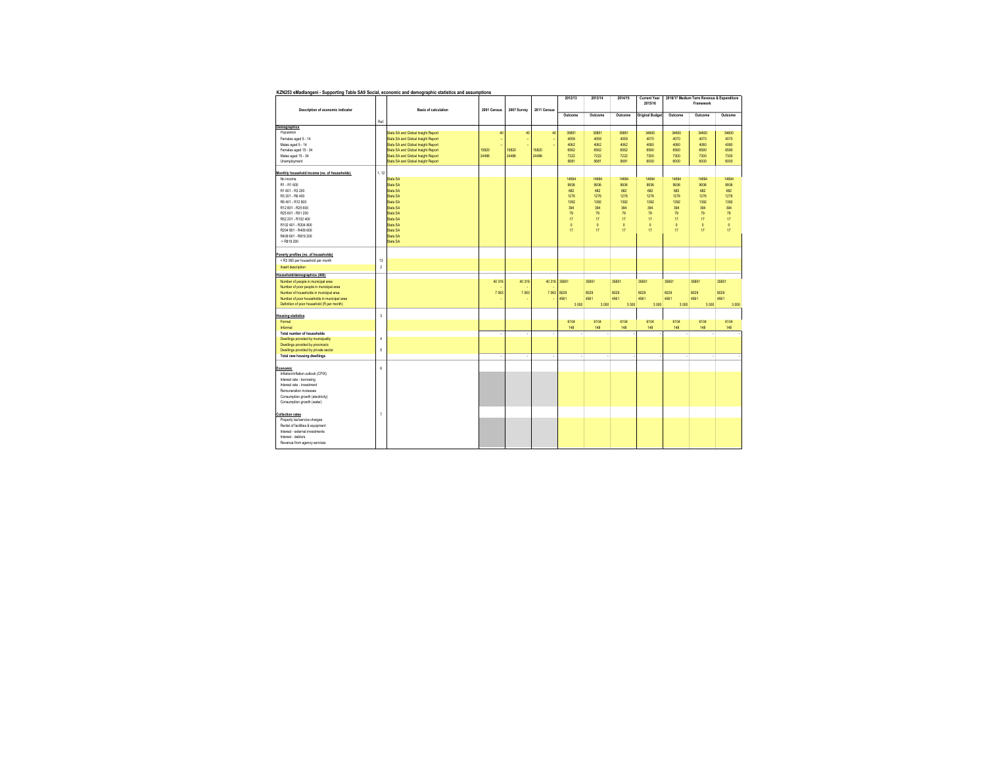| KZN253 eMadlangeni - Supporting Table SA9 Social, economic and demographic statistics and assumptions                                                              |                          |                                    |             |                          |             |          |                 |         |                                |                 |                                                        |         |
|--------------------------------------------------------------------------------------------------------------------------------------------------------------------|--------------------------|------------------------------------|-------------|--------------------------|-------------|----------|-----------------|---------|--------------------------------|-----------------|--------------------------------------------------------|---------|
| Description of economic indicator                                                                                                                                  |                          | <b>Basis of calculation</b>        | 2001 Census | 2007 Survey              | 2011 Census | 2012/13  | 2013/14         | 2014/15 | <b>Current Year</b><br>2015/16 |                 | 2016/17 Medium Term Revenue & Expenditure<br>Framework |         |
|                                                                                                                                                                    | Ref.                     |                                    |             |                          |             | Outcome  | Outcome         | Outcome | <b>Original Budget</b>         | Outcome         | Outcome                                                | Outcome |
| <b>Demographics</b>                                                                                                                                                |                          |                                    |             |                          |             |          |                 |         |                                |                 |                                                        |         |
| Population                                                                                                                                                         |                          | Stats SA and Global Insight Report | 40          | 40                       | 40          | 35851    | 35851           | 35851   | 34600                          | 34600           | 34600                                                  | 34600   |
|                                                                                                                                                                    |                          |                                    |             |                          |             |          |                 |         |                                |                 |                                                        |         |
| Females aged 5 - 14                                                                                                                                                |                          | Stats SA and Global Insight Report | ٠           | ۰.                       |             | 4059     | 4059            | 4059    | 4070                           | 4070            | 4070                                                   | 4070    |
| Males aged 5 - 14                                                                                                                                                  |                          | Stats SA and Global Insight Report | ٤           |                          |             | 4062     | 4062            | 4062    | 4080                           | 4080            | 4080                                                   | 4080    |
| Females aged 15 - 34                                                                                                                                               |                          | Stats SA and Global Insight Report | 15820       | 15820                    | 15820       | 6562     | 6562            | 6562    | 6590                           | 6590            | 6590                                                   | 6590    |
| Males aged 15 - 34                                                                                                                                                 |                          |                                    | 24496       | 24496                    | 24496       | 7222     | $\overline{r}$  | 7222    | 7300                           | 7300            | 7300                                                   | 7300    |
|                                                                                                                                                                    |                          | Stats SA and Global Insight Report |             |                          |             |          |                 |         |                                |                 |                                                        |         |
| <b>Unemployment</b>                                                                                                                                                |                          | Stats SA and Global Insight Report |             |                          |             | 5681     | 5681            | 5681    | 6000                           | 6000            | 6000                                                   | 6000    |
| Monthly household income (no. of households)                                                                                                                       | 1.12                     |                                    |             |                          |             |          |                 |         |                                |                 |                                                        |         |
| No income                                                                                                                                                          |                          | <b>Stats SA</b>                    |             |                          |             | 14694    | 14694           | 14694   | 14694                          | 14694           | 14694                                                  | 14694   |
| R1-R1600                                                                                                                                                           |                          | <b>Stats SA</b>                    |             |                          |             | 9936     | 9936            | 9936    | 9936                           | 9936            | 9936                                                   | 9936    |
| R1601 - R3 200                                                                                                                                                     |                          | State SA                           |             |                          |             | 682      | 682             | 682     | 682                            | 682             | 682                                                    | 682     |
|                                                                                                                                                                    |                          |                                    |             |                          |             |          |                 |         |                                |                 |                                                        |         |
| R3 201 - R6 400                                                                                                                                                    |                          | <b>Stats SA</b>                    |             |                          |             | 1276     | 1276            | 1276    | 1276                           | 1276            | 1276                                                   | 1276    |
| R6401 - R12 800                                                                                                                                                    |                          | <b>Stats SA</b>                    |             |                          |             | 1392     | 1392            | 1392    | 1392                           | 1392            | 1392                                                   | 1392    |
| R12 801 - R25 600                                                                                                                                                  |                          | <b>Stats SA</b>                    |             |                          |             | 394      | 394             | 394     | 394                            | 394             | 394                                                    | 394     |
| R25 601 - R51 200                                                                                                                                                  |                          | <b>Stats SA</b>                    |             |                          |             | 79       | 79              | 79      | 79                             | 79              | 79                                                     | 79      |
| R52 201 - R102 400                                                                                                                                                 |                          | <b>Stats SA</b>                    |             |                          |             | 17       | 17 <sup>2</sup> | 17      | 17                             | 17 <sup>2</sup> | 17                                                     | 17      |
|                                                                                                                                                                    |                          |                                    |             |                          |             |          |                 |         |                                |                 |                                                        |         |
| R102 401 - R204 800                                                                                                                                                |                          | <b>Stats SA</b>                    |             |                          |             | $\theta$ | $\bullet$       | $\circ$ | $\theta$                       | $\bullet$       | $\circ$                                                | $\circ$ |
| R204 801 - R409 600                                                                                                                                                |                          | <b>Stats SA</b>                    |             |                          |             | 17       | 17 <sup>2</sup> | 17      | 17                             | 17 <sup>2</sup> | 17                                                     | 17      |
| R409 601 - R819 200                                                                                                                                                |                          | <b>Stats SA</b>                    |             |                          |             |          |                 |         |                                |                 |                                                        |         |
| > R819 200                                                                                                                                                         |                          | <b>Stats SA</b>                    |             |                          |             |          |                 |         |                                |                 |                                                        |         |
|                                                                                                                                                                    |                          |                                    |             |                          |             |          |                 |         |                                |                 |                                                        |         |
|                                                                                                                                                                    |                          |                                    |             |                          |             |          |                 |         |                                |                 |                                                        |         |
| Poverty profiles (no. of households)                                                                                                                               |                          |                                    |             |                          |             |          |                 |         |                                |                 |                                                        |         |
| <r2 060="" household="" month<="" per="" td=""><td>13</td><td></td><td></td><td></td><td></td><td></td><td></td><td></td><td></td><td></td><td></td><td></td></r2> | 13                       |                                    |             |                          |             |          |                 |         |                                |                 |                                                        |         |
|                                                                                                                                                                    |                          |                                    |             |                          |             |          |                 |         |                                |                 |                                                        |         |
|                                                                                                                                                                    |                          |                                    |             |                          |             |          |                 |         |                                |                 |                                                        |         |
| Insert description                                                                                                                                                 | $\overline{2}$           |                                    |             |                          |             |          |                 |         |                                |                 |                                                        |         |
| Household/demographics (000)                                                                                                                                       |                          |                                    |             |                          |             |          |                 |         |                                |                 |                                                        |         |
|                                                                                                                                                                    |                          |                                    |             |                          |             |          |                 |         |                                |                 |                                                        |         |
| Number of people in municipal area                                                                                                                                 |                          |                                    | 40316       | 40316                    | 40 316      | 35851    | 35851           | 35851   | 35851                          | 35851           | 35851                                                  | 35851   |
| Number of poor people in municipal area                                                                                                                            |                          |                                    |             |                          |             |          |                 |         |                                |                 |                                                        |         |
| Number of households in municipal area                                                                                                                             |                          |                                    | 7063        | 7063                     | 7063        | 8029     | 8029            | 8029    | 8029                           | 8029            | 8029                                                   | 8029    |
| Number of poor households in municipal area                                                                                                                        |                          |                                    |             |                          |             | 4561     | 4561            | 4561    | 4561                           | 4561            | 4561                                                   | 4561    |
| Definition of poor household (R per month)                                                                                                                         |                          |                                    |             |                          |             |          |                 |         |                                |                 |                                                        |         |
|                                                                                                                                                                    |                          |                                    |             |                          |             | 3000     | 3000            | 3000    | 3000                           | 3000            | 3 0 0 0                                                | 3000    |
|                                                                                                                                                                    |                          |                                    |             |                          |             |          |                 |         |                                |                 |                                                        |         |
| Housing statistics                                                                                                                                                 | $\overline{\mathbf{3}}$  |                                    |             |                          |             |          |                 |         |                                |                 |                                                        |         |
| Formal                                                                                                                                                             |                          |                                    |             |                          |             | 6104     | 6104            | 6104    | 6104                           | 6104            | 6104                                                   | 6104    |
| Informal                                                                                                                                                           |                          |                                    |             |                          |             | 148      | 148             | 148     | 148                            | 148             | 148                                                    | 148     |
| <b>Total number of households</b>                                                                                                                                  |                          |                                    | ×           | $\overline{\phantom{a}}$ |             |          |                 |         |                                |                 |                                                        |         |
|                                                                                                                                                                    |                          |                                    |             |                          |             |          |                 |         |                                |                 |                                                        |         |
| Dwellings provided by municipality                                                                                                                                 | $\ddot{4}$               |                                    |             |                          |             |          |                 |         |                                |                 |                                                        |         |
| Dwellings provided by province's                                                                                                                                   |                          |                                    |             |                          |             |          |                 |         |                                |                 |                                                        |         |
| Dwellings provided by private sector                                                                                                                               | $\overline{\phantom{a}}$ |                                    |             |                          |             |          |                 |         |                                |                 |                                                        |         |
| <b>Total new housing dwellings</b>                                                                                                                                 |                          |                                    | ٠           |                          |             |          |                 |         |                                |                 |                                                        |         |
|                                                                                                                                                                    |                          |                                    |             |                          |             |          |                 |         |                                |                 |                                                        |         |
|                                                                                                                                                                    |                          |                                    |             |                          |             |          |                 |         |                                |                 |                                                        |         |
| Economic                                                                                                                                                           | $6\phantom{a}$           |                                    |             |                          |             |          |                 |         |                                |                 |                                                        |         |
| Inflation/inflation outlook (CPIX)                                                                                                                                 |                          |                                    |             |                          |             |          |                 |         |                                |                 |                                                        |         |
| Interest rate - borrowing                                                                                                                                          |                          |                                    |             |                          |             |          |                 |         |                                |                 |                                                        |         |
| Interest rate - investment                                                                                                                                         |                          |                                    |             |                          |             |          |                 |         |                                |                 |                                                        |         |
| Remuneration increases                                                                                                                                             |                          |                                    |             |                          |             |          |                 |         |                                |                 |                                                        |         |
| Consumption growth (electricity)                                                                                                                                   |                          |                                    |             |                          |             |          |                 |         |                                |                 |                                                        |         |
|                                                                                                                                                                    |                          |                                    |             |                          |             |          |                 |         |                                |                 |                                                        |         |
| Consumption growth (water)                                                                                                                                         |                          |                                    |             |                          |             |          |                 |         |                                |                 |                                                        |         |
|                                                                                                                                                                    |                          |                                    |             |                          |             |          |                 |         |                                |                 |                                                        |         |
| Collection rates                                                                                                                                                   | $\overline{7}$           |                                    |             |                          |             |          |                 |         |                                |                 |                                                        |         |
| Property tax/service charges                                                                                                                                       |                          |                                    |             |                          |             |          |                 |         |                                |                 |                                                        |         |
|                                                                                                                                                                    |                          |                                    |             |                          |             |          |                 |         |                                |                 |                                                        |         |
| Rental of facilities & equipment                                                                                                                                   |                          |                                    |             |                          |             |          |                 |         |                                |                 |                                                        |         |
| Interest - external investments                                                                                                                                    |                          |                                    |             |                          |             |          |                 |         |                                |                 |                                                        |         |
| Interest - debtors<br>Revenue from agency services                                                                                                                 |                          |                                    |             |                          |             |          |                 |         |                                |                 |                                                        |         |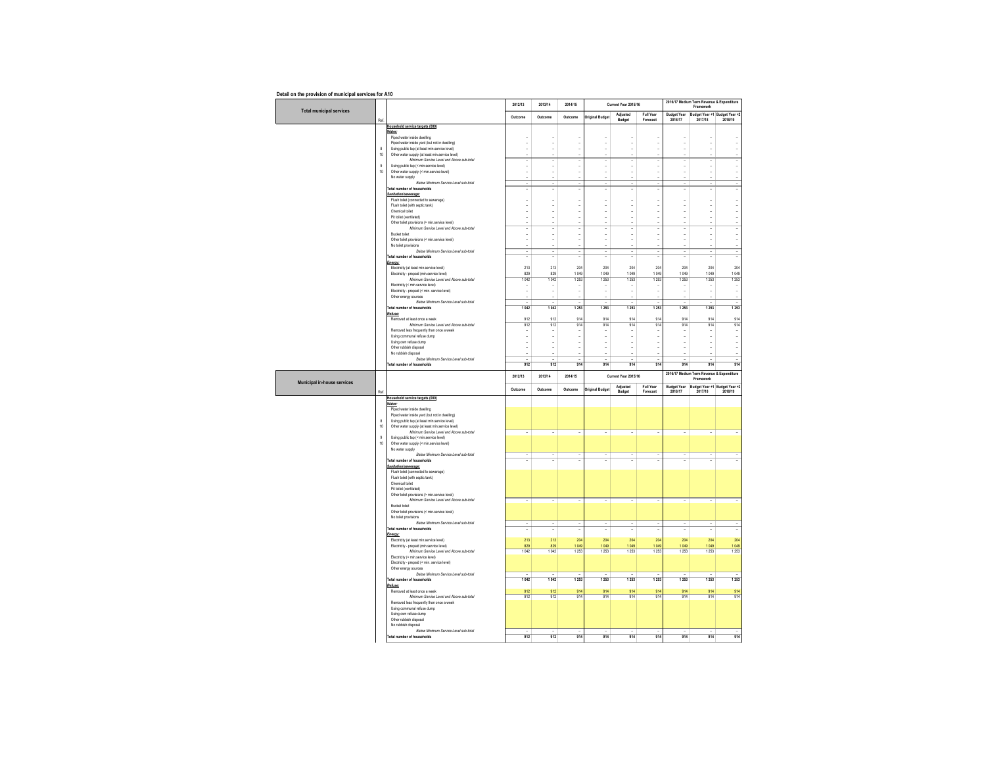|  | Detail on the provision of municipal services for A10 |  |      |  |
|--|-------------------------------------------------------|--|------|--|
|  |                                                       |  | $ -$ |  |

|                                 |                    |                                                                                                  | 2012/13                        | 2013/14                  | 2014/15                            |                                                      | Current Year 2015/16     |                                |                               | 2016/17 Medium Term Revenue & Expenditure<br>Framework |                                    |
|---------------------------------|--------------------|--------------------------------------------------------------------------------------------------|--------------------------------|--------------------------|------------------------------------|------------------------------------------------------|--------------------------|--------------------------------|-------------------------------|--------------------------------------------------------|------------------------------------|
| <b>Total municipal services</b> |                    |                                                                                                  | Outcome                        | Outcome                  | Outcome                            | <b>Original Budget</b>                               | Adiusted                 | Full Year                      | <b>Budget Year</b>            | Budget Year +1 Budget Year +2                          |                                    |
|                                 | Ref.               | Household service targets (000)                                                                  |                                |                          |                                    |                                                      | Budget                   | Forecast                       | 2016/17                       | 2017/18                                                | 2018/19                            |
|                                 |                    | Water:                                                                                           |                                |                          |                                    |                                                      |                          |                                |                               |                                                        |                                    |
|                                 |                    | Piped water inside dwelling                                                                      |                                |                          |                                    | ä,                                                   |                          | ÷,                             |                               |                                                        |                                    |
|                                 | 8                  | Piped water inside yard (but not in dwelling)<br>Using public tap (at least min.service level)   |                                |                          | ÷,                                 | ÷                                                    | ł,                       |                                |                               |                                                        |                                    |
|                                 | 10                 | Other water supply (at least min.service level)                                                  |                                |                          |                                    |                                                      |                          |                                |                               |                                                        |                                    |
|                                 | $\overline{9}$     | Minimum Service Level and Above sub-total<br>Using public tap (< min.service level)              | $\overline{\phantom{a}}$<br>ä, | ÷<br>÷,                  | $\overline{\phantom{a}}$<br>$\sim$ | ٠<br>ä,                                              | ÷,<br>÷,                 | $\overline{\phantom{a}}$<br>ä, | ÷<br>ä,                       | ÷<br>$\sim$                                            | $\overline{\phantom{a}}$<br>$\sim$ |
|                                 | 10                 | Other water supply (< min.service level)                                                         | $\sim$                         | i.                       | ÷.                                 | ÷,                                                   | ÷,                       | ÷.                             | ÷,                            | i.                                                     | ÷.                                 |
|                                 |                    | No water supply                                                                                  |                                |                          |                                    |                                                      |                          |                                |                               |                                                        |                                    |
|                                 |                    | Below Minimum Service Level sub-total<br>Total number of households                              | Ţ<br>Ξ                         | Ξ                        | Ξ                                  | Ξ<br>Ξ                                               |                          | Ξ                              | Ξ<br>Ţ                        | τ                                                      | Ξ                                  |
|                                 |                    | Sanitation/sewerage:                                                                             |                                |                          |                                    |                                                      |                          |                                |                               |                                                        |                                    |
|                                 |                    | Flush toilet (connected to sewerage)<br>Flush toilet (with septic tank)                          | ÷,                             | $\sim$                   | $\sim$                             | ÷,                                                   | ÷,                       | $\sim$                         | $\overline{\phantom{a}}$      | $\sim$                                                 | $\sim$                             |
|                                 |                    | Chemical toilet                                                                                  | ä,                             | ÷                        | ٠                                  | ٠                                                    | ٠                        | ٠                              | ٠                             | ۰.                                                     | ٠                                  |
|                                 |                    | Pittoilet (ventilated)                                                                           | $\sim$                         | i.                       | $\sim$                             | ÷,                                                   | ÷,                       | $\sim$                         | ÷,                            | $\sim$                                                 | $\sim$                             |
|                                 |                    | Other toilet provisions (> min.service level)<br>Minimum Service Level and Above sub-fotal       | Ξ                              | ł.<br>÷.                 | ٠                                  | ä,<br>٠                                              | ÷.                       | ÷                              | ÷,                            | ł.<br>÷                                                | Τ                                  |
|                                 |                    | Bucket toilet                                                                                    | $\blacksquare$                 | ÷,                       | ÷,                                 | ä,                                                   | ł,                       | ä,                             | Ĭ.                            | J.                                                     | ÷,                                 |
|                                 |                    | Other toilet provisions (< min.service level)                                                    | ä,                             | ÷,                       | ÷,                                 | ä,                                                   | J.                       | ÷,                             | J.                            | J.                                                     | ä,                                 |
|                                 |                    | No toilet provisions<br>Below Minimum Service Level sub-total                                    | Τ                              | Ξ                        | $\sim$                             | Ξ                                                    | ٠                        | Ξ                              | $\overline{\phantom{a}}$      | τ                                                      | Τ                                  |
|                                 |                    | Total number of households                                                                       | ÷,                             | $\overline{\phantom{a}}$ | $\overline{\phantom{a}}$           | ٠                                                    |                          |                                | ٠                             | ٠.                                                     | ٠                                  |
|                                 |                    | Energy:<br>Electricity (at least min.service level)                                              | 213                            | 213                      | 204                                | 204                                                  | 204                      | 204                            | 204                           | 204                                                    | 204                                |
|                                 |                    | Electricity - prepaid (min.service level)                                                        | 829                            | 829                      | 1049                               | 1049                                                 | 1049                     | 1049                           | 1049                          | 1049                                                   | 1049                               |
|                                 |                    | Minimum Service Level and Above sub-total                                                        | 1042                           | 1042                     | 1253                               | 1253                                                 | 1253                     | 1253                           | 1253                          | 1253                                                   | 1253                               |
|                                 |                    | Electricity (< min.service level)<br>Electricity - prepaid (< min. service level)                | $\overline{\phantom{a}}$<br>÷, | ٠<br>÷,                  | $\overline{\phantom{a}}$<br>÷      | ٠<br>÷,                                              | ÷<br>÷,                  | $\overline{\phantom{a}}$       | ٠<br>i,                       | $\overline{\phantom{a}}$<br>÷,                         | $\overline{\phantom{a}}$<br>÷      |
|                                 |                    | Other energy sources                                                                             |                                |                          |                                    |                                                      |                          |                                |                               |                                                        |                                    |
|                                 |                    | Below Minimum Service Level sub-total                                                            | Ξ                              | ÷,                       | ٠                                  | ٠                                                    | τ                        | Ξ                              | ٠                             | ä,                                                     | ٠                                  |
|                                 |                    | Total number of households<br>Refuse:                                                            | 1 042                          | 1 0 4 2                  | 1253                               | 1253                                                 | 1253                     | 1253                           | 1253                          | 1 2 5 3                                                | 1253                               |
|                                 |                    | Removed at least once a week                                                                     | 912                            | 912                      | 914                                | 914                                                  | 914                      | 914                            | 914                           | 914                                                    | 914                                |
|                                 |                    | Minimum Service Level and Above sub-total<br>Removed less frequently than once a week            | 912                            | 912                      | 914                                | 914                                                  | 914                      | 914                            | 914                           | 914                                                    | 914<br>$\sim$                      |
|                                 |                    | Using communal refuse dump                                                                       | $\overline{\phantom{a}}$<br>÷, | ÷,                       | ÷<br>$\blacksquare$                | $\overline{\phantom{a}}$<br>$\overline{\phantom{a}}$ | ٠<br>$\blacksquare$      | $\sim$                         | ÷,                            | $\sim$                                                 | $\overline{\phantom{a}}$           |
|                                 |                    | Using own refuse dump                                                                            | $\overline{\phantom{a}}$       | ٠                        | ÷                                  | ÷,                                                   | ÷,                       | $\overline{\phantom{a}}$       | ٠                             |                                                        | $\sim$                             |
|                                 |                    | Other rubbish disposal<br>No rubbish discosal                                                    | $\sim$<br>ä,                   | i.<br>÷,                 | ÷.                                 | ÷,<br>ä,                                             | ÷,<br>ł.                 | $\sim$                         | ÷,<br>ä,                      | ÷.<br>ł.                                               | ÷.<br>ä,                           |
|                                 |                    | Relow Minimum Service Level sub-total                                                            | ä,                             | ÷,                       |                                    | ä,                                                   |                          |                                |                               |                                                        | ٠                                  |
|                                 |                    | Total number of households                                                                       | 912                            | 912                      | 914                                | 914                                                  | 914                      | 914                            | 914                           | 914                                                    | 914                                |
|                                 |                    |                                                                                                  |                                |                          |                                    |                                                      |                          |                                |                               |                                                        |                                    |
|                                 |                    |                                                                                                  | 2012/13                        | 2013/14                  | 2014/15                            |                                                      | Current Year 2015/16     |                                |                               | 2016/17 Medium Term Revenue & Expenditure<br>Framework |                                    |
| Municipal in-house services     |                    |                                                                                                  |                                |                          |                                    |                                                      | Adjusted                 | Full Year                      |                               |                                                        |                                    |
|                                 | Ref.               |                                                                                                  | Outcome                        | Outcome                  | Outcome                            | <b>Original Budget</b>                               | Budget                   | Forecast                       | <b>Budget Year</b><br>2016/17 | Budget Year +1 Budget Year +2<br>2017/18               | 2018/19                            |
|                                 |                    | Household service targets (000)<br>Water:                                                        |                                |                          |                                    |                                                      |                          |                                |                               |                                                        |                                    |
|                                 |                    | Pined water inside dwelling                                                                      |                                |                          |                                    |                                                      |                          |                                |                               |                                                        |                                    |
|                                 |                    | Piped water inside yard (but not in dwelling)                                                    |                                |                          |                                    |                                                      |                          |                                |                               |                                                        |                                    |
|                                 | $\mathbf{g}$<br>10 | Using public tap (at least min.service level)<br>Other water supply (at least min.service level) |                                |                          |                                    |                                                      |                          |                                |                               |                                                        |                                    |
|                                 |                    | Minimum Service Level and Above sub-total                                                        |                                |                          |                                    |                                                      |                          |                                |                               |                                                        |                                    |
|                                 | $\mathsf g$        | Using public tap (< min.service level)                                                           |                                |                          |                                    |                                                      |                          |                                |                               |                                                        |                                    |
|                                 | 10                 | Other water supply (< min.service level)<br>No water supply                                      |                                |                          |                                    |                                                      |                          |                                |                               |                                                        |                                    |
|                                 |                    | Below Minimum Service Level sub-total                                                            | ٠<br>٠                         | $\sim$<br>٠              | ٠<br>٠                             | ٠                                                    |                          | $\sim$<br>$\sim$               | ٠<br>٠                        | ٠<br>٠                                                 |                                    |
|                                 |                    | <b>Total number of households</b>                                                                |                                |                          |                                    |                                                      |                          |                                |                               |                                                        |                                    |
|                                 |                    | Sanitation/sewerage:<br>Flush toilet (connected to sewerage)                                     |                                |                          |                                    |                                                      |                          |                                |                               |                                                        |                                    |
|                                 |                    | Flush toilet (with septic tank)                                                                  |                                |                          |                                    |                                                      |                          |                                |                               |                                                        |                                    |
|                                 |                    | Chemical toilet<br>Pit toilet (ventilated)                                                       |                                |                          |                                    |                                                      |                          |                                |                               |                                                        |                                    |
|                                 |                    | Other toilet provisions (> min.service level)                                                    |                                |                          |                                    |                                                      |                          |                                |                               |                                                        |                                    |
|                                 |                    | Minimum Service Level and Above sub-total<br>Bucket toilet                                       | ÷,                             | $\overline{\phantom{a}}$ | $\overline{\phantom{a}}$           | ÷                                                    | $\overline{\phantom{a}}$ | $\sim$                         | $\overline{\phantom{a}}$      | $\overline{\phantom{a}}$                               | $\overline{\phantom{a}}$           |
|                                 |                    | Other toilet provisions (< min.service level)                                                    |                                |                          |                                    |                                                      |                          |                                |                               |                                                        |                                    |
|                                 |                    | No toilet provisions                                                                             |                                |                          |                                    |                                                      |                          |                                |                               |                                                        |                                    |
|                                 |                    | Below Minimum Service Level sub-total<br>Total number of households                              | ٠<br>٠                         | ٠                        | ٠                                  | ۰<br>$\overline{\phantom{0}}$                        |                          |                                | ٠                             |                                                        | ٠                                  |
|                                 |                    | Energy:                                                                                          |                                |                          |                                    |                                                      |                          |                                |                               |                                                        |                                    |
|                                 |                    | Electricity (at least min.service level)                                                         | 213<br>829                     | 213<br>829               | 204<br>1.049                       | 204<br>1.049                                         | 204<br>1.049             | 204<br>1.049                   | 204<br>1.049                  | 204<br>1.049                                           | 204<br>1049                        |
|                                 |                    | Electricity - prepaid (min.service level)<br>Minimum Service Level and Above sub-total           | 1042                           | 1042                     | 1253                               | 1253                                                 | 1253                     | 1253                           | 1253                          | 1253                                                   | 1253                               |
|                                 |                    | Electricity (< min.service level)                                                                |                                |                          |                                    |                                                      |                          |                                |                               |                                                        |                                    |
|                                 |                    | Electricity - prepaid (< min. service level)<br>Other energy sources                             |                                |                          |                                    |                                                      |                          |                                |                               |                                                        |                                    |
|                                 |                    | Below Minimum Service Level sub-total                                                            |                                |                          |                                    |                                                      |                          |                                |                               |                                                        |                                    |
|                                 |                    | Total number of households                                                                       | 1 042                          | 1 0 4 2                  | 1253                               | 1253                                                 | 1253                     | 1253                           | 1253                          | 1253                                                   | 1253                               |
|                                 |                    | Refuse:<br>Removed at least once a week                                                          | 912                            | 912                      | 914                                | 914                                                  | 914                      | 914                            | 914                           | 914                                                    | 914                                |
|                                 |                    | Minimum Service Level and Above sub-fotal                                                        | 912                            | 912                      | 914                                | 914                                                  | 914                      | 914                            | 914                           | 914                                                    | 914                                |
|                                 |                    | Removed less frequently than once a week<br>Using communal refuse dump                           |                                |                          |                                    |                                                      |                          |                                |                               |                                                        |                                    |
|                                 |                    | Using own refuse dump                                                                            |                                |                          |                                    |                                                      |                          |                                |                               |                                                        |                                    |
|                                 |                    | Other rubbish disposal<br>No rubbish disposal                                                    |                                |                          |                                    |                                                      |                          |                                |                               |                                                        |                                    |
|                                 |                    | Below Minimum Service Level sub-total<br>Total number of households                              | 912                            | 912                      | 914                                | 914                                                  | 914                      | 914                            | 914                           | 914                                                    | 914                                |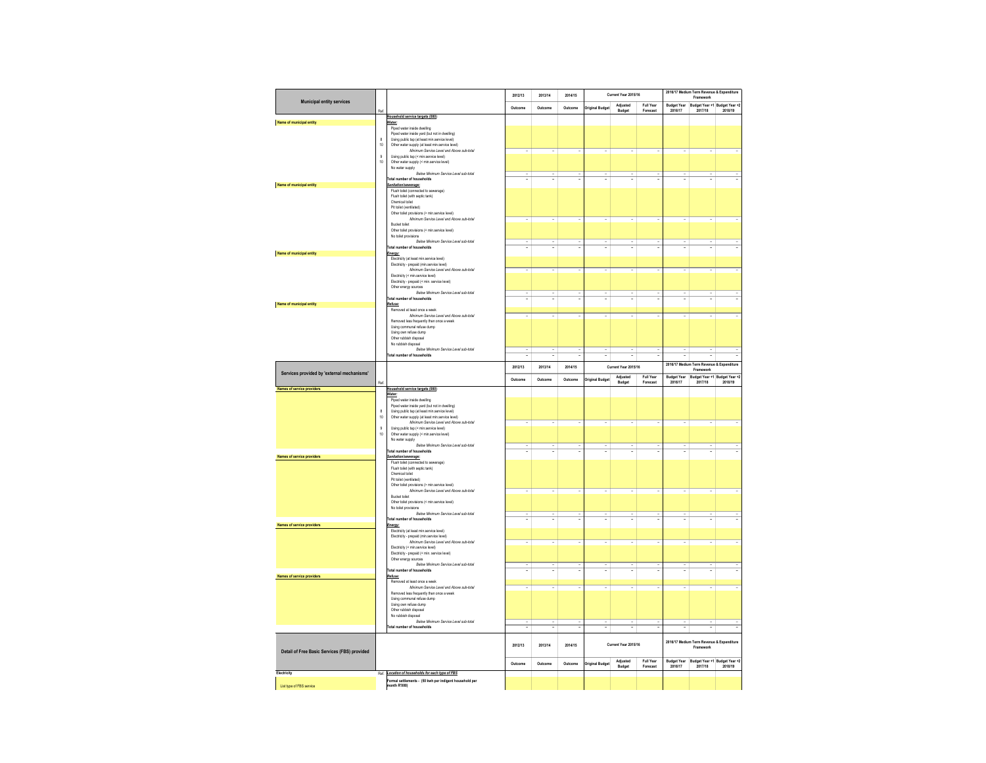|                                              |                |                                                                                                             | 2012/13                  | 2013/14 | 2014/15 |                          | Current Year 2015/16     |                       |                               | Framework                                              | 2016/17 Medium Term Revenue & Expenditure |
|----------------------------------------------|----------------|-------------------------------------------------------------------------------------------------------------|--------------------------|---------|---------|--------------------------|--------------------------|-----------------------|-------------------------------|--------------------------------------------------------|-------------------------------------------|
| <b>Municipal entity services</b>             |                |                                                                                                             | Outcome                  | Outcome | Outcome | <b>Original Budge</b>    | Adiusted                 | Full Year             | <b>Budget Year</b>            | Budget Year +1 Budget Year +2<br>2017/18               | 2018/19                                   |
|                                              | Ref            | Household service targets (000)                                                                             |                          |         |         |                          | Budget                   | Forecast              | 2016/17                       |                                                        |                                           |
| Name of municipal entity                     |                | Water:<br>Piped water inside dwelling                                                                       |                          |         |         |                          |                          |                       |                               |                                                        |                                           |
|                                              | $\mathbf{g}$   | Piped water inside yard (but not in dwelling)<br>Using public tap (at least min.service level)              |                          |         |         |                          |                          |                       |                               |                                                        |                                           |
|                                              | 10             | Other water supply (at least min.service level)                                                             |                          |         |         |                          |                          |                       |                               |                                                        |                                           |
|                                              | $\overline{9}$ | Minimum Service Level and Above sub-total<br>Using public tap (< min.service level)                         |                          |         |         |                          |                          |                       |                               |                                                        |                                           |
|                                              | 10             | Other water supply (< min.service level)                                                                    |                          |         |         |                          |                          |                       |                               |                                                        |                                           |
|                                              |                | No water supply<br>Relow Minimum Service Level sub-total                                                    |                          |         |         |                          |                          |                       |                               |                                                        |                                           |
| Name of municipal entity                     |                | <b>Total number of households</b><br>Sanitation/sewerage:                                                   |                          |         |         |                          | ä,                       |                       |                               |                                                        |                                           |
|                                              |                | Flush toilet (connected to sewerage)                                                                        |                          |         |         |                          |                          |                       |                               |                                                        |                                           |
|                                              |                | Flush toilet (with septic tank)<br>Chemical toilet                                                          |                          |         |         |                          |                          |                       |                               |                                                        |                                           |
|                                              |                | Pit toilet (ventilated)                                                                                     |                          |         |         |                          |                          |                       |                               |                                                        |                                           |
|                                              |                | Other toilet provisions (> min.service level)<br>Minimum Service Level and Above sub-total                  |                          |         |         |                          |                          |                       |                               |                                                        |                                           |
|                                              |                | <b>Bucket toilet</b><br>Other toilet provisions (< min.service level)                                       |                          |         |         |                          |                          |                       |                               |                                                        |                                           |
|                                              |                | No toilet provisions                                                                                        |                          |         |         |                          |                          |                       |                               |                                                        |                                           |
|                                              |                | Below Minimum Service Level sub-total<br>Total number of households                                         |                          |         |         |                          |                          |                       |                               |                                                        |                                           |
| Name of municipal entity                     |                | Energy:                                                                                                     |                          |         |         |                          |                          |                       |                               |                                                        |                                           |
|                                              |                | Flectricity (at least min service level)<br>Electricity - prepaid (min.service level)                       |                          |         |         |                          |                          |                       |                               |                                                        |                                           |
|                                              |                | Minimum Service Level and Above sub-total                                                                   |                          |         |         |                          |                          |                       |                               |                                                        |                                           |
|                                              |                | Electricity (< min.service level)<br>Electricity - prepaid (< min. service level)                           |                          |         |         |                          |                          |                       |                               |                                                        |                                           |
|                                              |                | Other energy sources<br>Below Minimum Service Level sub-total                                               |                          |         |         |                          |                          |                       |                               |                                                        |                                           |
|                                              |                | Total number of households                                                                                  |                          |         |         |                          |                          |                       |                               |                                                        |                                           |
| Name of municipal entity                     |                | Refuse:<br>Removed at least once a week                                                                     |                          |         |         |                          |                          |                       |                               |                                                        |                                           |
|                                              |                | Minimum Service Level and Above sub-total                                                                   |                          |         |         |                          |                          |                       |                               |                                                        |                                           |
|                                              |                | Removed less frequently than once a week<br>Using communal refuse dump                                      |                          |         |         |                          |                          |                       |                               |                                                        |                                           |
|                                              |                | Using own refuse dump                                                                                       |                          |         |         |                          |                          |                       |                               |                                                        |                                           |
|                                              |                | Other rubbish disposal<br>No rubbish disposal                                                               |                          |         |         |                          |                          |                       |                               |                                                        |                                           |
|                                              |                | Below Minimum Service Level sub-total<br>Total number of households                                         | $\overline{\phantom{a}}$ | ٠       |         | $\overline{\phantom{a}}$ | $\overline{\phantom{a}}$ | $\sim$                | $\overline{\phantom{a}}$      | $\overline{\phantom{a}}$                               | $\overline{\phantom{a}}$                  |
|                                              |                |                                                                                                             | 2012/13                  | 2013/14 | 2014/15 |                          | Current Year 2015/16     |                       |                               | 2016/17 Medium Term Revenue & Expenditure              |                                           |
| Services provided by 'external mechanisms'   |                |                                                                                                             |                          |         |         |                          | Adjusted                 | <b>Full Year</b>      | <b>Budget Year</b>            | Framework<br>Budget Year +1 Budget Year +2             |                                           |
|                                              | Ref.           |                                                                                                             | Outcome                  | Outcome | Outcome | <b>Original Budget</b>   | Budget                   | Forecast              | 2016/17                       | 2017/18                                                | 2018/19                                   |
| <b>Names of service providers</b>            |                | Household service targets (000)<br>Water:                                                                   |                          |         |         |                          |                          |                       |                               |                                                        |                                           |
|                                              |                | Ploed water inside dwelling<br>Piped water inside vard (but not in dwelling)                                |                          |         |         |                          |                          |                       |                               |                                                        |                                           |
|                                              |                |                                                                                                             |                          |         |         |                          |                          |                       |                               |                                                        |                                           |
|                                              | 8              | Using public tap (at least min.service level)                                                               |                          |         |         |                          |                          |                       |                               |                                                        |                                           |
|                                              | 10             | Other water supply (at least min.service level)                                                             |                          |         |         |                          |                          |                       |                               |                                                        |                                           |
|                                              | $\overline{9}$ | Minimum Service Level and Above sub-total<br>Using public tap (< min.service level)                         |                          |         |         |                          |                          |                       |                               |                                                        |                                           |
|                                              | 10             | Other water supply (< min.service level)                                                                    |                          |         |         |                          |                          |                       |                               |                                                        |                                           |
|                                              |                | No water supply<br>Below Minimum Service Level sub-total                                                    |                          |         |         |                          |                          |                       |                               |                                                        |                                           |
| <b>Names of service providers</b>            |                | <b>Total number of households</b><br>Sanitation/sewerage:                                                   |                          |         |         |                          |                          |                       |                               |                                                        |                                           |
|                                              |                | Flush toilet (connected to sewerage)                                                                        |                          |         |         |                          |                          |                       |                               |                                                        |                                           |
|                                              |                | Flush toilet (with septic tank)<br>Chemical toilet                                                          |                          |         |         |                          |                          |                       |                               |                                                        |                                           |
|                                              |                | Pit toilet (ventilated)<br>Other toilet provisions (> min.service level)                                    |                          |         |         |                          |                          |                       |                               |                                                        |                                           |
|                                              |                | Minimum Service Level and Above sub-total                                                                   | ٠                        | ٠       | ٠       | $\overline{\phantom{a}}$ | ٠                        | $\sim$                | ٠                             | ٠                                                      |                                           |
|                                              |                | Bucket toilet<br>Other toilet provisions (< min.service level)                                              |                          |         |         |                          |                          |                       |                               |                                                        |                                           |
|                                              |                | No toilet provisions                                                                                        |                          |         |         |                          |                          |                       |                               |                                                        |                                           |
|                                              |                | Below Minimum Service Level sub-total<br><b>Total number of households</b>                                  |                          |         |         |                          | Ξ                        |                       |                               |                                                        |                                           |
| Names of service providers                   |                | Energy:                                                                                                     |                          |         |         |                          |                          |                       |                               |                                                        |                                           |
|                                              |                | Electricity (at least min.service level)<br>Electricity - prepaid (min.service level)                       |                          |         |         |                          |                          |                       |                               |                                                        |                                           |
|                                              |                | Minimum Service Level and Above sub-total<br>Electricity (< min.service level)                              |                          |         |         |                          |                          |                       |                               |                                                        |                                           |
|                                              |                | Electricity - prepaid (< min. service level)                                                                |                          |         |         |                          |                          |                       |                               |                                                        |                                           |
|                                              |                | Other energy sources<br>Below Minimum Service Level sub-total                                               |                          |         |         |                          |                          |                       |                               |                                                        |                                           |
|                                              |                | Total number of households                                                                                  |                          |         |         |                          |                          |                       |                               |                                                        |                                           |
| <b>Names of service providers</b>            |                | Refuse:<br>Removed at least once a week                                                                     |                          |         |         |                          |                          |                       |                               |                                                        |                                           |
|                                              |                | Minimum Service Level and Above sub-total                                                                   |                          |         |         |                          |                          |                       |                               |                                                        |                                           |
|                                              |                | Removed less frequently than once a week<br>Using communal refuse dump                                      |                          |         |         |                          |                          |                       |                               |                                                        |                                           |
|                                              |                | Using own refuse dump                                                                                       |                          |         |         |                          |                          |                       |                               |                                                        |                                           |
|                                              |                | Other rubbish disposal<br>No rubbish disposal                                                               |                          |         |         |                          |                          |                       |                               |                                                        |                                           |
|                                              |                | Below Minimum Service Level sub-total<br>Total number of households                                         |                          |         |         |                          | Ξ                        | ٠<br>τ                |                               | Ξ                                                      | Τ                                         |
|                                              |                |                                                                                                             |                          |         |         |                          |                          |                       |                               |                                                        |                                           |
|                                              |                |                                                                                                             | 2012/13                  | 2013/14 | 2014/15 |                          | Current Year 2015/16     |                       |                               | 2016/17 Medium Term Revenue & Expenditure<br>Framework |                                           |
| Detail of Free Basic Services (FBS) provided |                |                                                                                                             |                          |         |         |                          |                          |                       |                               |                                                        |                                           |
|                                              |                |                                                                                                             | Outcome                  | Outcome | Outcome | <b>Original Budget</b>   | Adjusted<br>Budget       | Full Year<br>Forecast | <b>Budget Year</b><br>2016/17 | Budget Year +1 Budget Year +2<br>2017/18 2018/19       |                                           |
| Electricity                                  |                | Ref. Location of households for each type of FBS<br>Formal settlements - (50 kwh per indigent household per |                          |         |         |                          |                          |                       |                               |                                                        |                                           |